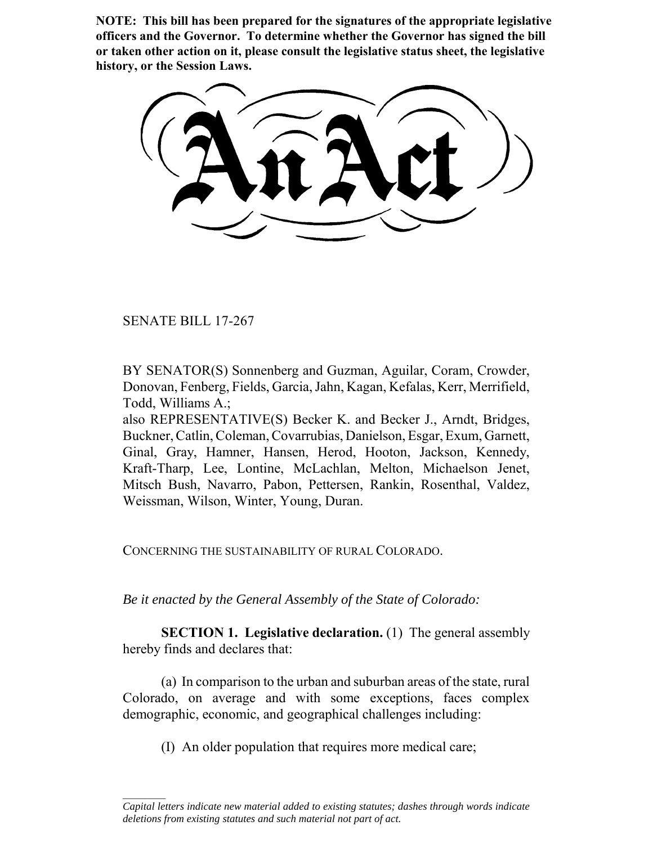**NOTE: This bill has been prepared for the signatures of the appropriate legislative officers and the Governor. To determine whether the Governor has signed the bill or taken other action on it, please consult the legislative status sheet, the legislative history, or the Session Laws.**

SENATE BILL 17-267

 $\frac{1}{2}$ 

BY SENATOR(S) Sonnenberg and Guzman, Aguilar, Coram, Crowder, Donovan, Fenberg, Fields, Garcia, Jahn, Kagan, Kefalas, Kerr, Merrifield, Todd, Williams A.;

also REPRESENTATIVE(S) Becker K. and Becker J., Arndt, Bridges, Buckner, Catlin, Coleman, Covarrubias, Danielson, Esgar, Exum, Garnett, Ginal, Gray, Hamner, Hansen, Herod, Hooton, Jackson, Kennedy, Kraft-Tharp, Lee, Lontine, McLachlan, Melton, Michaelson Jenet, Mitsch Bush, Navarro, Pabon, Pettersen, Rankin, Rosenthal, Valdez, Weissman, Wilson, Winter, Young, Duran.

CONCERNING THE SUSTAINABILITY OF RURAL COLORADO.

*Be it enacted by the General Assembly of the State of Colorado:*

**SECTION 1. Legislative declaration.** (1) The general assembly hereby finds and declares that:

(a) In comparison to the urban and suburban areas of the state, rural Colorado, on average and with some exceptions, faces complex demographic, economic, and geographical challenges including:

(I) An older population that requires more medical care;

*Capital letters indicate new material added to existing statutes; dashes through words indicate deletions from existing statutes and such material not part of act.*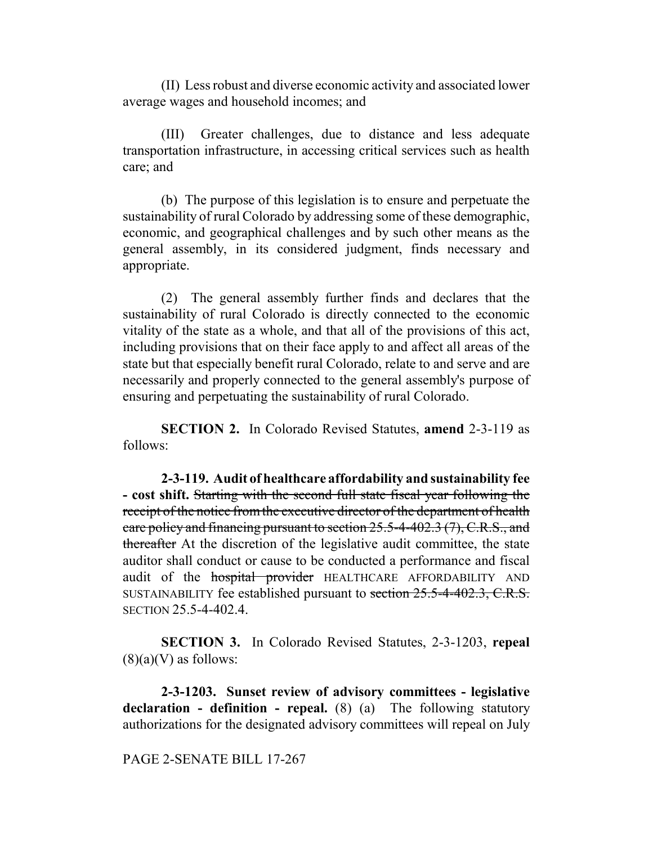(II) Less robust and diverse economic activity and associated lower average wages and household incomes; and

(III) Greater challenges, due to distance and less adequate transportation infrastructure, in accessing critical services such as health care; and

(b) The purpose of this legislation is to ensure and perpetuate the sustainability of rural Colorado by addressing some of these demographic, economic, and geographical challenges and by such other means as the general assembly, in its considered judgment, finds necessary and appropriate.

(2) The general assembly further finds and declares that the sustainability of rural Colorado is directly connected to the economic vitality of the state as a whole, and that all of the provisions of this act, including provisions that on their face apply to and affect all areas of the state but that especially benefit rural Colorado, relate to and serve and are necessarily and properly connected to the general assembly's purpose of ensuring and perpetuating the sustainability of rural Colorado.

**SECTION 2.** In Colorado Revised Statutes, **amend** 2-3-119 as follows:

**2-3-119. Audit of healthcare affordability and sustainability fee - cost shift.** Starting with the second full state fiscal year following the receipt of the notice from the executive director of the department of health care policy and financing pursuant to section 25.5-4-402.3 (7), C.R.S., and thereafter At the discretion of the legislative audit committee, the state auditor shall conduct or cause to be conducted a performance and fiscal audit of the **hospital provider** HEALTHCARE AFFORDABILITY AND SUSTAINABILITY fee established pursuant to section 25.5-4-402.3, C.R.S. SECTION 25.5-4-402.4.

**SECTION 3.** In Colorado Revised Statutes, 2-3-1203, **repeal**  $(8)(a)(V)$  as follows:

**2-3-1203. Sunset review of advisory committees - legislative declaration - definition - repeal.** (8) (a) The following statutory authorizations for the designated advisory committees will repeal on July

#### PAGE 2-SENATE BILL 17-267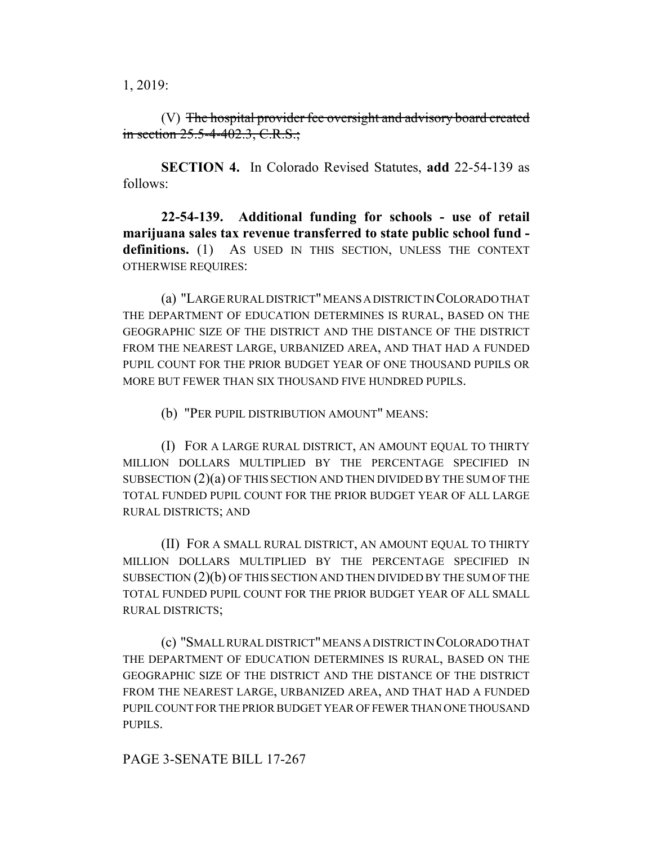1, 2019:

(V) The hospital provider fee oversight and advisory board created in section 25.5-4-402.3, C.R.S.;

**SECTION 4.** In Colorado Revised Statutes, **add** 22-54-139 as follows:

**22-54-139. Additional funding for schools - use of retail marijuana sales tax revenue transferred to state public school fund**  definitions. (1) AS USED IN THIS SECTION, UNLESS THE CONTEXT OTHERWISE REQUIRES:

(a) "LARGE RURAL DISTRICT" MEANS A DISTRICT IN COLORADO THAT THE DEPARTMENT OF EDUCATION DETERMINES IS RURAL, BASED ON THE GEOGRAPHIC SIZE OF THE DISTRICT AND THE DISTANCE OF THE DISTRICT FROM THE NEAREST LARGE, URBANIZED AREA, AND THAT HAD A FUNDED PUPIL COUNT FOR THE PRIOR BUDGET YEAR OF ONE THOUSAND PUPILS OR MORE BUT FEWER THAN SIX THOUSAND FIVE HUNDRED PUPILS.

(b) "PER PUPIL DISTRIBUTION AMOUNT" MEANS:

(I) FOR A LARGE RURAL DISTRICT, AN AMOUNT EQUAL TO THIRTY MILLION DOLLARS MULTIPLIED BY THE PERCENTAGE SPECIFIED IN SUBSECTION  $(2)(a)$  OF THIS SECTION AND THEN DIVIDED BY THE SUM OF THE TOTAL FUNDED PUPIL COUNT FOR THE PRIOR BUDGET YEAR OF ALL LARGE RURAL DISTRICTS; AND

(II) FOR A SMALL RURAL DISTRICT, AN AMOUNT EQUAL TO THIRTY MILLION DOLLARS MULTIPLIED BY THE PERCENTAGE SPECIFIED IN SUBSECTION (2)(b) OF THIS SECTION AND THEN DIVIDED BY THE SUM OF THE TOTAL FUNDED PUPIL COUNT FOR THE PRIOR BUDGET YEAR OF ALL SMALL RURAL DISTRICTS;

(c) "SMALL RURAL DISTRICT" MEANS A DISTRICT IN COLORADO THAT THE DEPARTMENT OF EDUCATION DETERMINES IS RURAL, BASED ON THE GEOGRAPHIC SIZE OF THE DISTRICT AND THE DISTANCE OF THE DISTRICT FROM THE NEAREST LARGE, URBANIZED AREA, AND THAT HAD A FUNDED PUPIL COUNT FOR THE PRIOR BUDGET YEAR OF FEWER THAN ONE THOUSAND PUPILS.

#### PAGE 3-SENATE BILL 17-267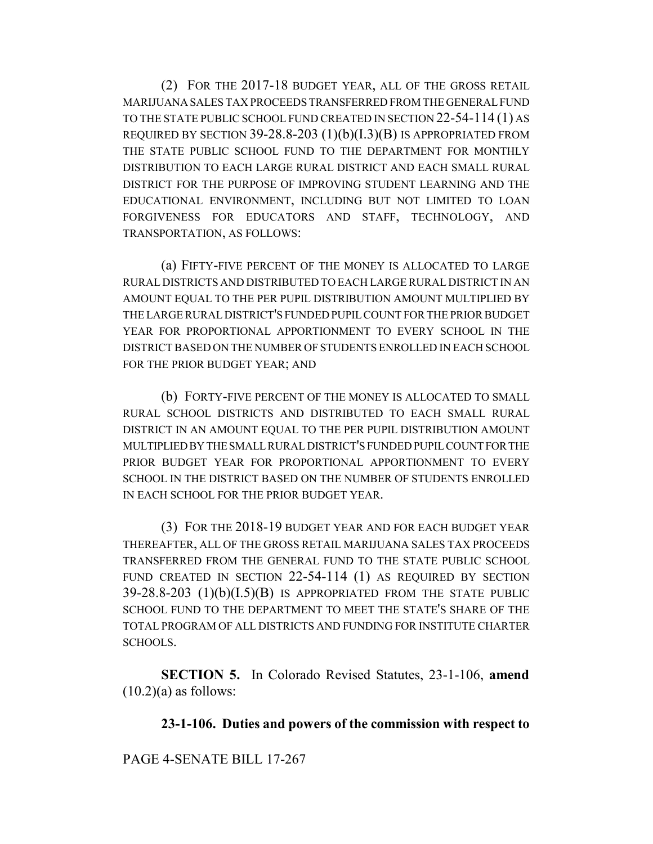(2) FOR THE 2017-18 BUDGET YEAR, ALL OF THE GROSS RETAIL MARIJUANA SALES TAX PROCEEDS TRANSFERRED FROM THE GENERAL FUND TO THE STATE PUBLIC SCHOOL FUND CREATED IN SECTION 22-54-114 (1) AS REQUIRED BY SECTION 39-28.8-203 (1)(b)(I.3)(B) IS APPROPRIATED FROM THE STATE PUBLIC SCHOOL FUND TO THE DEPARTMENT FOR MONTHLY DISTRIBUTION TO EACH LARGE RURAL DISTRICT AND EACH SMALL RURAL DISTRICT FOR THE PURPOSE OF IMPROVING STUDENT LEARNING AND THE EDUCATIONAL ENVIRONMENT, INCLUDING BUT NOT LIMITED TO LOAN FORGIVENESS FOR EDUCATORS AND STAFF, TECHNOLOGY, AND TRANSPORTATION, AS FOLLOWS:

(a) FIFTY-FIVE PERCENT OF THE MONEY IS ALLOCATED TO LARGE RURAL DISTRICTS AND DISTRIBUTED TO EACH LARGE RURAL DISTRICT IN AN AMOUNT EQUAL TO THE PER PUPIL DISTRIBUTION AMOUNT MULTIPLIED BY THE LARGE RURAL DISTRICT'S FUNDED PUPIL COUNT FOR THE PRIOR BUDGET YEAR FOR PROPORTIONAL APPORTIONMENT TO EVERY SCHOOL IN THE DISTRICT BASED ON THE NUMBER OF STUDENTS ENROLLED IN EACH SCHOOL FOR THE PRIOR BUDGET YEAR; AND

(b) FORTY-FIVE PERCENT OF THE MONEY IS ALLOCATED TO SMALL RURAL SCHOOL DISTRICTS AND DISTRIBUTED TO EACH SMALL RURAL DISTRICT IN AN AMOUNT EQUAL TO THE PER PUPIL DISTRIBUTION AMOUNT MULTIPLIED BY THE SMALL RURAL DISTRICT'S FUNDED PUPIL COUNT FOR THE PRIOR BUDGET YEAR FOR PROPORTIONAL APPORTIONMENT TO EVERY SCHOOL IN THE DISTRICT BASED ON THE NUMBER OF STUDENTS ENROLLED IN EACH SCHOOL FOR THE PRIOR BUDGET YEAR.

(3) FOR THE 2018-19 BUDGET YEAR AND FOR EACH BUDGET YEAR THEREAFTER, ALL OF THE GROSS RETAIL MARIJUANA SALES TAX PROCEEDS TRANSFERRED FROM THE GENERAL FUND TO THE STATE PUBLIC SCHOOL FUND CREATED IN SECTION 22-54-114 (1) AS REQUIRED BY SECTION  $39-28.8-203$  (1)(b)(I.5)(B) IS APPROPRIATED FROM THE STATE PUBLIC SCHOOL FUND TO THE DEPARTMENT TO MEET THE STATE'S SHARE OF THE TOTAL PROGRAM OF ALL DISTRICTS AND FUNDING FOR INSTITUTE CHARTER SCHOOLS.

**SECTION 5.** In Colorado Revised Statutes, 23-1-106, **amend**  $(10.2)(a)$  as follows:

**23-1-106. Duties and powers of the commission with respect to**

PAGE 4-SENATE BILL 17-267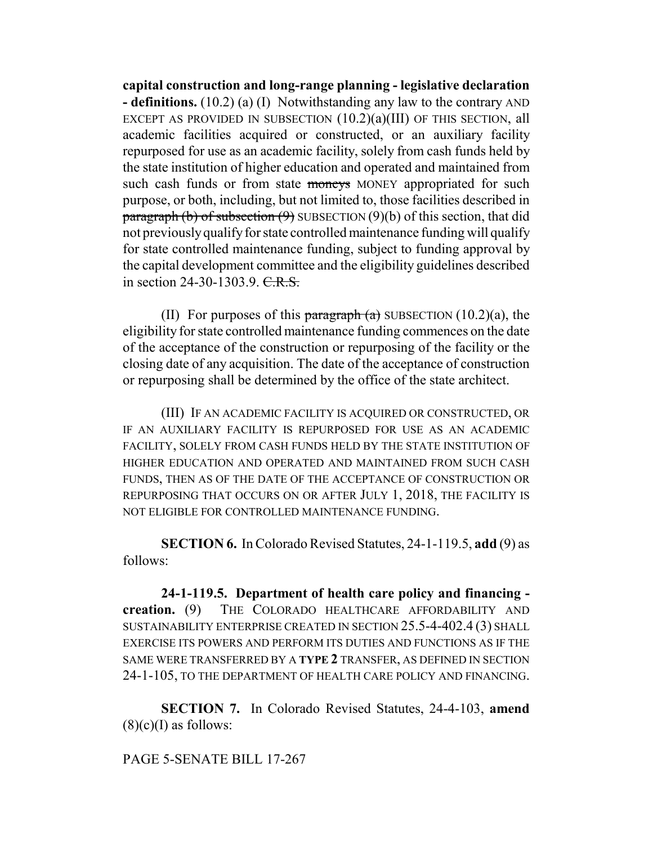**capital construction and long-range planning - legislative declaration - definitions.** (10.2) (a) (I) Notwithstanding any law to the contrary AND EXCEPT AS PROVIDED IN SUBSECTION  $(10.2)(a)(III)$  OF THIS SECTION, all academic facilities acquired or constructed, or an auxiliary facility repurposed for use as an academic facility, solely from cash funds held by the state institution of higher education and operated and maintained from such cash funds or from state moneys MONEY appropriated for such purpose, or both, including, but not limited to, those facilities described in paragraph (b) of subsection  $(9)$  SUBSECTION  $(9)(b)$  of this section, that did not previously qualify for state controlled maintenance funding will qualify for state controlled maintenance funding, subject to funding approval by the capital development committee and the eligibility guidelines described in section 24-30-1303.9.  $C.R.S.$ 

(II) For purposes of this paragraph  $(a)$  SUBSECTION  $(10.2)(a)$ , the eligibility for state controlled maintenance funding commences on the date of the acceptance of the construction or repurposing of the facility or the closing date of any acquisition. The date of the acceptance of construction or repurposing shall be determined by the office of the state architect.

(III) IF AN ACADEMIC FACILITY IS ACQUIRED OR CONSTRUCTED, OR IF AN AUXILIARY FACILITY IS REPURPOSED FOR USE AS AN ACADEMIC FACILITY, SOLELY FROM CASH FUNDS HELD BY THE STATE INSTITUTION OF HIGHER EDUCATION AND OPERATED AND MAINTAINED FROM SUCH CASH FUNDS, THEN AS OF THE DATE OF THE ACCEPTANCE OF CONSTRUCTION OR REPURPOSING THAT OCCURS ON OR AFTER JULY 1, 2018, THE FACILITY IS NOT ELIGIBLE FOR CONTROLLED MAINTENANCE FUNDING.

**SECTION 6.** In Colorado Revised Statutes, 24-1-119.5, **add** (9) as follows:

**24-1-119.5. Department of health care policy and financing creation.** (9) THE COLORADO HEALTHCARE AFFORDABILITY AND SUSTAINABILITY ENTERPRISE CREATED IN SECTION 25.5-4-402.4 (3) SHALL EXERCISE ITS POWERS AND PERFORM ITS DUTIES AND FUNCTIONS AS IF THE SAME WERE TRANSFERRED BY A **TYPE 2** TRANSFER, AS DEFINED IN SECTION 24-1-105, TO THE DEPARTMENT OF HEALTH CARE POLICY AND FINANCING.

**SECTION 7.** In Colorado Revised Statutes, 24-4-103, **amend**  $(8)(c)(I)$  as follows:

# PAGE 5-SENATE BILL 17-267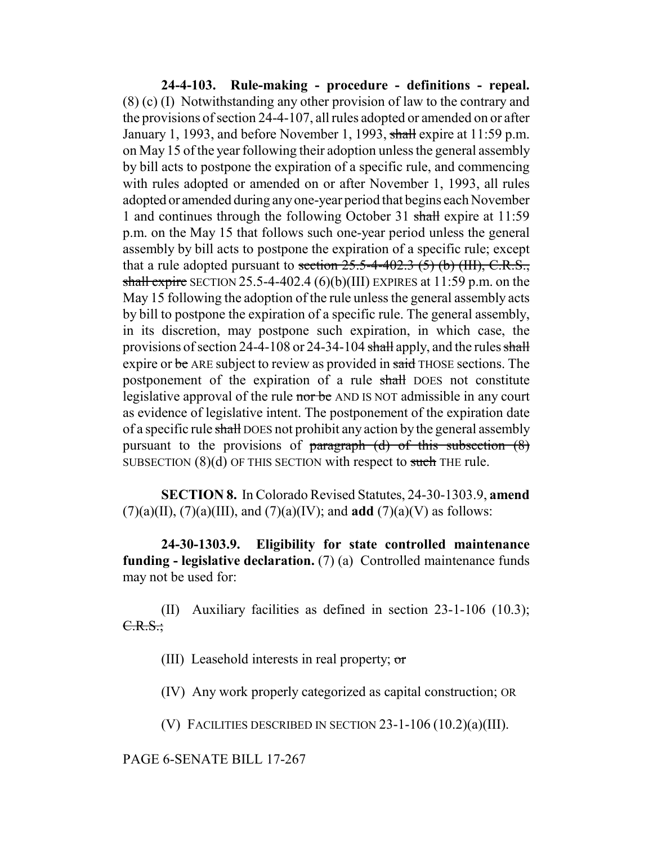**24-4-103. Rule-making - procedure - definitions - repeal.** (8) (c) (I) Notwithstanding any other provision of law to the contrary and the provisions of section 24-4-107, all rules adopted or amended on or after January 1, 1993, and before November 1, 1993, shall expire at 11:59 p.m. on May 15 of the year following their adoption unless the general assembly by bill acts to postpone the expiration of a specific rule, and commencing with rules adopted or amended on or after November 1, 1993, all rules adopted or amended during any one-year period that begins each November 1 and continues through the following October 31 shall expire at 11:59 p.m. on the May 15 that follows such one-year period unless the general assembly by bill acts to postpone the expiration of a specific rule; except that a rule adopted pursuant to section  $25.5-4-402.3$  (5) (b) (III), C.R.S., shall expire SECTION 25.5-4-402.4 (6)(b)(III) EXPIRES at  $11:59$  p.m. on the May 15 following the adoption of the rule unless the general assembly acts by bill to postpone the expiration of a specific rule. The general assembly, in its discretion, may postpone such expiration, in which case, the provisions of section 24-4-108 or 24-34-104 shall apply, and the rules shall expire or be ARE subject to review as provided in said THOSE sections. The postponement of the expiration of a rule shall DOES not constitute legislative approval of the rule nor be AND IS NOT admissible in any court as evidence of legislative intent. The postponement of the expiration date of a specific rule shall DOES not prohibit any action by the general assembly pursuant to the provisions of paragraph  $(d)$  of this subsection  $(8)$ SUBSECTION  $(8)(d)$  OF THIS SECTION with respect to such THE rule.

**SECTION 8.** In Colorado Revised Statutes, 24-30-1303.9, **amend** (7)(a)(II), (7)(a)(III), and (7)(a)(IV); and **add** (7)(a)(V) as follows:

**24-30-1303.9. Eligibility for state controlled maintenance funding - legislative declaration.** (7) (a) Controlled maintenance funds may not be used for:

(II) Auxiliary facilities as defined in section 23-1-106 (10.3); C.R.S.;

(III) Leasehold interests in real property; or

(IV) Any work properly categorized as capital construction; OR

(V) FACILITIES DESCRIBED IN SECTION 23-1-106 (10.2)(a)(III).

PAGE 6-SENATE BILL 17-267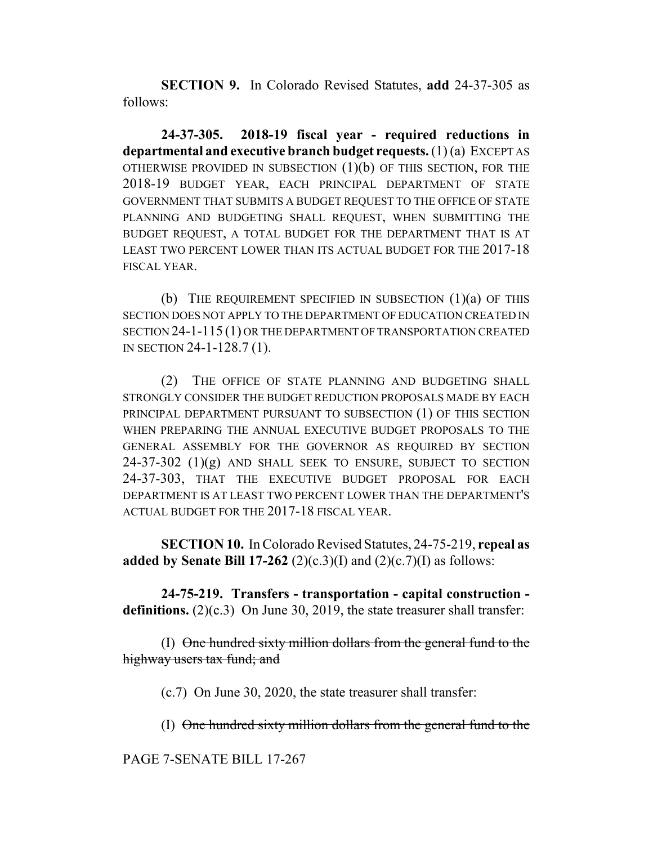**SECTION 9.** In Colorado Revised Statutes, **add** 24-37-305 as follows:

**24-37-305. 2018-19 fiscal year - required reductions in departmental and executive branch budget requests.** (1) (a) EXCEPT AS OTHERWISE PROVIDED IN SUBSECTION (1)(b) OF THIS SECTION, FOR THE 2018-19 BUDGET YEAR, EACH PRINCIPAL DEPARTMENT OF STATE GOVERNMENT THAT SUBMITS A BUDGET REQUEST TO THE OFFICE OF STATE PLANNING AND BUDGETING SHALL REQUEST, WHEN SUBMITTING THE BUDGET REQUEST, A TOTAL BUDGET FOR THE DEPARTMENT THAT IS AT LEAST TWO PERCENT LOWER THAN ITS ACTUAL BUDGET FOR THE 2017-18 FISCAL YEAR.

(b) THE REQUIREMENT SPECIFIED IN SUBSECTION  $(1)(a)$  OF THIS SECTION DOES NOT APPLY TO THE DEPARTMENT OF EDUCATION CREATED IN SECTION 24-1-115 (1) OR THE DEPARTMENT OF TRANSPORTATION CREATED IN SECTION 24-1-128.7 (1).

(2) THE OFFICE OF STATE PLANNING AND BUDGETING SHALL STRONGLY CONSIDER THE BUDGET REDUCTION PROPOSALS MADE BY EACH PRINCIPAL DEPARTMENT PURSUANT TO SUBSECTION (1) OF THIS SECTION WHEN PREPARING THE ANNUAL EXECUTIVE BUDGET PROPOSALS TO THE GENERAL ASSEMBLY FOR THE GOVERNOR AS REQUIRED BY SECTION  $24-37-302$  (1)(g) AND SHALL SEEK TO ENSURE, SUBJECT TO SECTION 24-37-303, THAT THE EXECUTIVE BUDGET PROPOSAL FOR EACH DEPARTMENT IS AT LEAST TWO PERCENT LOWER THAN THE DEPARTMENT'S ACTUAL BUDGET FOR THE 2017-18 FISCAL YEAR.

**SECTION 10.** In Colorado Revised Statutes, 24-75-219, **repeal as added by Senate Bill 17-262** (2)(c.3)(I) and (2)(c.7)(I) as follows:

**24-75-219. Transfers - transportation - capital construction definitions.** (2)(c.3) On June 30, 2019, the state treasurer shall transfer:

(I) One hundred sixty million dollars from the general fund to the highway users tax fund; and

(c.7) On June 30, 2020, the state treasurer shall transfer:

(I) One hundred sixty million dollars from the general fund to the

PAGE 7-SENATE BILL 17-267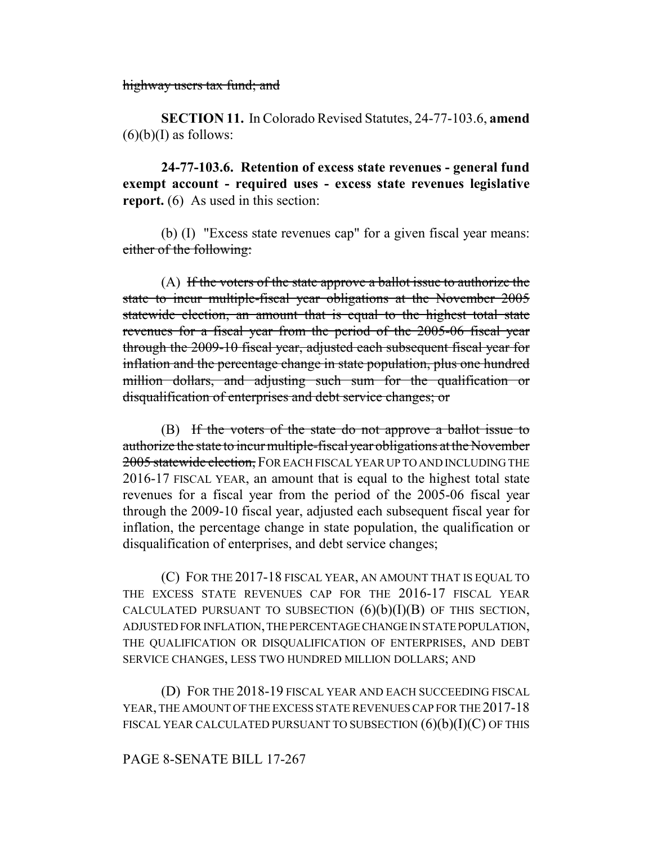highway users tax fund; and

**SECTION 11.** In Colorado Revised Statutes, 24-77-103.6, **amend**  $(6)(b)(I)$  as follows:

**24-77-103.6. Retention of excess state revenues - general fund exempt account - required uses - excess state revenues legislative report.** (6) As used in this section:

(b) (I) "Excess state revenues cap" for a given fiscal year means: either of the following:

(A) If the voters of the state approve a ballot issue to authorize the state to incur multiple-fiscal year obligations at the November 2005 statewide election, an amount that is equal to the highest total state revenues for a fiscal year from the period of the 2005-06 fiscal year through the 2009-10 fiscal year, adjusted each subsequent fiscal year for inflation and the percentage change in state population, plus one hundred million dollars, and adjusting such sum for the qualification or disqualification of enterprises and debt service changes; or

(B) If the voters of the state do not approve a ballot issue to authorize the state to incur multiple-fiscal year obligations at the November 2005 statewide election, FOR EACH FISCAL YEAR UP TO AND INCLUDING THE 2016-17 FISCAL YEAR, an amount that is equal to the highest total state revenues for a fiscal year from the period of the 2005-06 fiscal year through the 2009-10 fiscal year, adjusted each subsequent fiscal year for inflation, the percentage change in state population, the qualification or disqualification of enterprises, and debt service changes;

(C) FOR THE 2017-18 FISCAL YEAR, AN AMOUNT THAT IS EQUAL TO THE EXCESS STATE REVENUES CAP FOR THE 2016-17 FISCAL YEAR CALCULATED PURSUANT TO SUBSECTION  $(6)(b)(I)(B)$  OF THIS SECTION, ADJUSTED FOR INFLATION, THE PERCENTAGE CHANGE IN STATE POPULATION, THE QUALIFICATION OR DISQUALIFICATION OF ENTERPRISES, AND DEBT SERVICE CHANGES, LESS TWO HUNDRED MILLION DOLLARS; AND

(D) FOR THE 2018-19 FISCAL YEAR AND EACH SUCCEEDING FISCAL YEAR, THE AMOUNT OF THE EXCESS STATE REVENUES CAP FOR THE 2017-18 FISCAL YEAR CALCULATED PURSUANT TO SUBSECTION  $(6)(b)(I)(C)$  OF THIS

## PAGE 8-SENATE BILL 17-267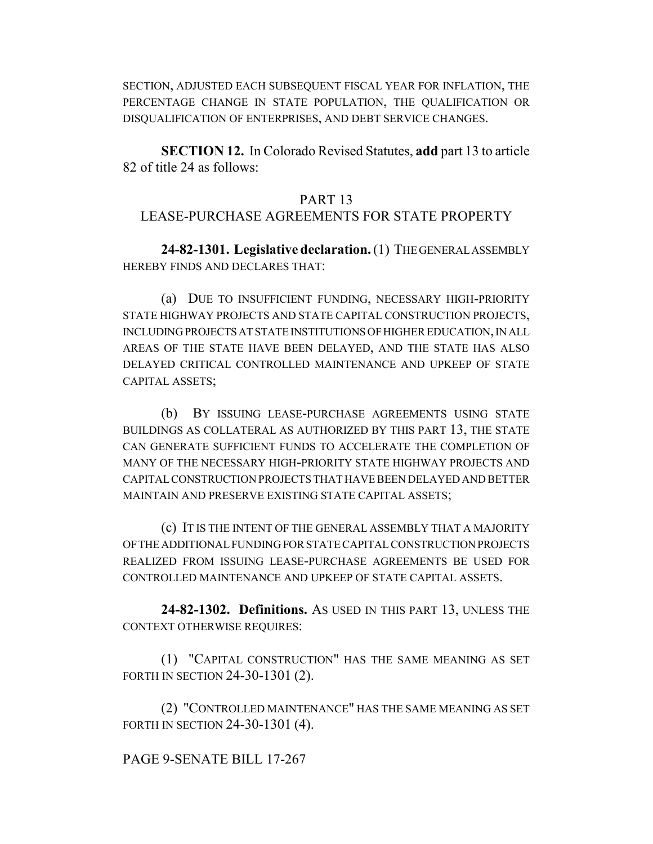SECTION, ADJUSTED EACH SUBSEQUENT FISCAL YEAR FOR INFLATION, THE PERCENTAGE CHANGE IN STATE POPULATION, THE QUALIFICATION OR DISQUALIFICATION OF ENTERPRISES, AND DEBT SERVICE CHANGES.

**SECTION 12.** In Colorado Revised Statutes, **add** part 13 to article 82 of title 24 as follows:

#### PART 13

# LEASE-PURCHASE AGREEMENTS FOR STATE PROPERTY

**24-82-1301. Legislative declaration.** (1) THE GENERAL ASSEMBLY HEREBY FINDS AND DECLARES THAT:

(a) DUE TO INSUFFICIENT FUNDING, NECESSARY HIGH-PRIORITY STATE HIGHWAY PROJECTS AND STATE CAPITAL CONSTRUCTION PROJECTS, INCLUDING PROJECTS AT STATE INSTITUTIONS OF HIGHER EDUCATION, IN ALL AREAS OF THE STATE HAVE BEEN DELAYED, AND THE STATE HAS ALSO DELAYED CRITICAL CONTROLLED MAINTENANCE AND UPKEEP OF STATE CAPITAL ASSETS;

(b) BY ISSUING LEASE-PURCHASE AGREEMENTS USING STATE BUILDINGS AS COLLATERAL AS AUTHORIZED BY THIS PART 13, THE STATE CAN GENERATE SUFFICIENT FUNDS TO ACCELERATE THE COMPLETION OF MANY OF THE NECESSARY HIGH-PRIORITY STATE HIGHWAY PROJECTS AND CAPITAL CONSTRUCTION PROJECTS THAT HAVE BEEN DELAYED AND BETTER MAINTAIN AND PRESERVE EXISTING STATE CAPITAL ASSETS;

(c) IT IS THE INTENT OF THE GENERAL ASSEMBLY THAT A MAJORITY OF THE ADDITIONAL FUNDING FOR STATE CAPITAL CONSTRUCTION PROJECTS REALIZED FROM ISSUING LEASE-PURCHASE AGREEMENTS BE USED FOR CONTROLLED MAINTENANCE AND UPKEEP OF STATE CAPITAL ASSETS.

**24-82-1302. Definitions.** AS USED IN THIS PART 13, UNLESS THE CONTEXT OTHERWISE REQUIRES:

(1) "CAPITAL CONSTRUCTION" HAS THE SAME MEANING AS SET FORTH IN SECTION 24-30-1301 (2).

(2) "CONTROLLED MAINTENANCE" HAS THE SAME MEANING AS SET FORTH IN SECTION 24-30-1301 (4).

## PAGE 9-SENATE BILL 17-267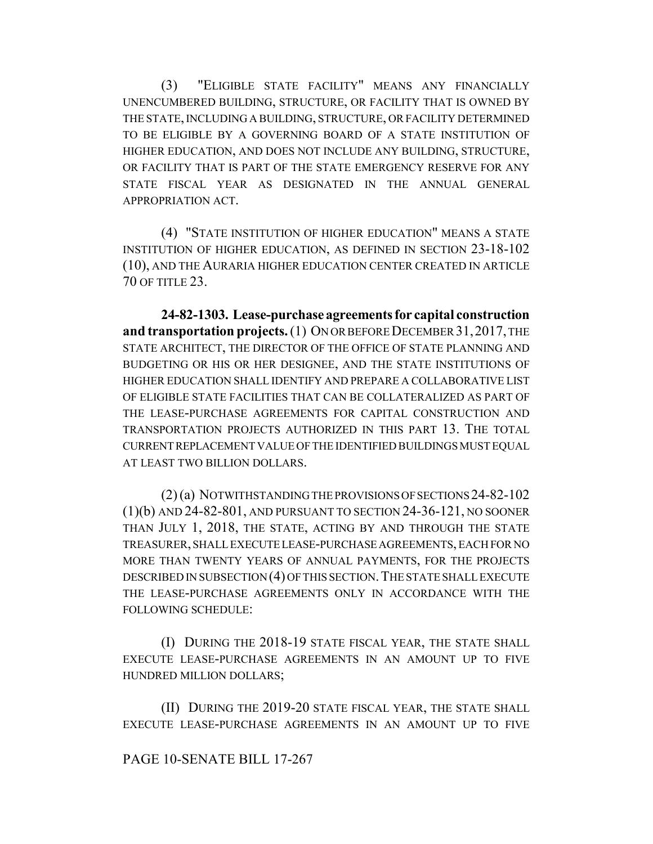(3) "ELIGIBLE STATE FACILITY" MEANS ANY FINANCIALLY UNENCUMBERED BUILDING, STRUCTURE, OR FACILITY THAT IS OWNED BY THE STATE, INCLUDING A BUILDING, STRUCTURE, OR FACILITY DETERMINED TO BE ELIGIBLE BY A GOVERNING BOARD OF A STATE INSTITUTION OF HIGHER EDUCATION, AND DOES NOT INCLUDE ANY BUILDING, STRUCTURE, OR FACILITY THAT IS PART OF THE STATE EMERGENCY RESERVE FOR ANY STATE FISCAL YEAR AS DESIGNATED IN THE ANNUAL GENERAL APPROPRIATION ACT.

(4) "STATE INSTITUTION OF HIGHER EDUCATION" MEANS A STATE INSTITUTION OF HIGHER EDUCATION, AS DEFINED IN SECTION 23-18-102 (10), AND THE AURARIA HIGHER EDUCATION CENTER CREATED IN ARTICLE 70 OF TITLE 23.

**24-82-1303. Lease-purchase agreements for capital construction and transportation projects.** (1) ON OR BEFORE DECEMBER 31,2017, THE STATE ARCHITECT, THE DIRECTOR OF THE OFFICE OF STATE PLANNING AND BUDGETING OR HIS OR HER DESIGNEE, AND THE STATE INSTITUTIONS OF HIGHER EDUCATION SHALL IDENTIFY AND PREPARE A COLLABORATIVE LIST OF ELIGIBLE STATE FACILITIES THAT CAN BE COLLATERALIZED AS PART OF THE LEASE-PURCHASE AGREEMENTS FOR CAPITAL CONSTRUCTION AND TRANSPORTATION PROJECTS AUTHORIZED IN THIS PART 13. THE TOTAL CURRENT REPLACEMENT VALUE OF THE IDENTIFIED BUILDINGS MUST EQUAL AT LEAST TWO BILLION DOLLARS.

(2) (a) NOTWITHSTANDING THE PROVISIONS OF SECTIONS 24-82-102 (1)(b) AND 24-82-801, AND PURSUANT TO SECTION 24-36-121, NO SOONER THAN JULY 1, 2018, THE STATE, ACTING BY AND THROUGH THE STATE TREASURER, SHALL EXECUTE LEASE-PURCHASE AGREEMENTS, EACH FOR NO MORE THAN TWENTY YEARS OF ANNUAL PAYMENTS, FOR THE PROJECTS DESCRIBED IN SUBSECTION (4) OF THIS SECTION.THE STATE SHALL EXECUTE THE LEASE-PURCHASE AGREEMENTS ONLY IN ACCORDANCE WITH THE FOLLOWING SCHEDULE:

(I) DURING THE 2018-19 STATE FISCAL YEAR, THE STATE SHALL EXECUTE LEASE-PURCHASE AGREEMENTS IN AN AMOUNT UP TO FIVE HUNDRED MILLION DOLLARS;

(II) DURING THE 2019-20 STATE FISCAL YEAR, THE STATE SHALL EXECUTE LEASE-PURCHASE AGREEMENTS IN AN AMOUNT UP TO FIVE

## PAGE 10-SENATE BILL 17-267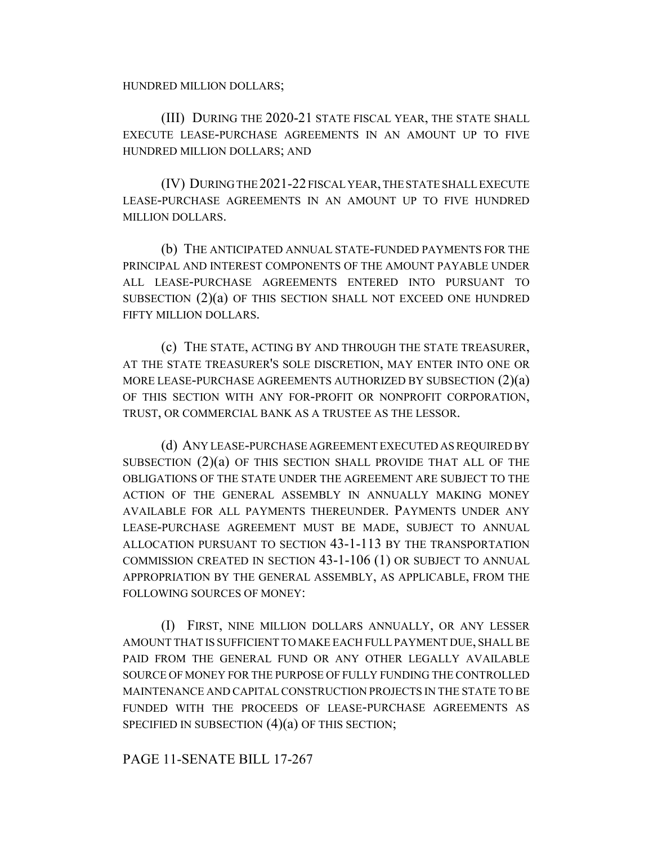HUNDRED MILLION DOLLARS;

(III) DURING THE 2020-21 STATE FISCAL YEAR, THE STATE SHALL EXECUTE LEASE-PURCHASE AGREEMENTS IN AN AMOUNT UP TO FIVE HUNDRED MILLION DOLLARS; AND

(IV) DURING THE 2021-22 FISCAL YEAR, THE STATE SHALL EXECUTE LEASE-PURCHASE AGREEMENTS IN AN AMOUNT UP TO FIVE HUNDRED MILLION DOLLARS.

(b) THE ANTICIPATED ANNUAL STATE-FUNDED PAYMENTS FOR THE PRINCIPAL AND INTEREST COMPONENTS OF THE AMOUNT PAYABLE UNDER ALL LEASE-PURCHASE AGREEMENTS ENTERED INTO PURSUANT TO SUBSECTION (2)(a) OF THIS SECTION SHALL NOT EXCEED ONE HUNDRED FIFTY MILLION DOLLARS.

(c) THE STATE, ACTING BY AND THROUGH THE STATE TREASURER, AT THE STATE TREASURER'S SOLE DISCRETION, MAY ENTER INTO ONE OR MORE LEASE-PURCHASE AGREEMENTS AUTHORIZED BY SUBSECTION (2)(a) OF THIS SECTION WITH ANY FOR-PROFIT OR NONPROFIT CORPORATION, TRUST, OR COMMERCIAL BANK AS A TRUSTEE AS THE LESSOR.

(d) ANY LEASE-PURCHASE AGREEMENT EXECUTED AS REQUIRED BY SUBSECTION (2)(a) OF THIS SECTION SHALL PROVIDE THAT ALL OF THE OBLIGATIONS OF THE STATE UNDER THE AGREEMENT ARE SUBJECT TO THE ACTION OF THE GENERAL ASSEMBLY IN ANNUALLY MAKING MONEY AVAILABLE FOR ALL PAYMENTS THEREUNDER. PAYMENTS UNDER ANY LEASE-PURCHASE AGREEMENT MUST BE MADE, SUBJECT TO ANNUAL ALLOCATION PURSUANT TO SECTION 43-1-113 BY THE TRANSPORTATION COMMISSION CREATED IN SECTION 43-1-106 (1) OR SUBJECT TO ANNUAL APPROPRIATION BY THE GENERAL ASSEMBLY, AS APPLICABLE, FROM THE FOLLOWING SOURCES OF MONEY:

(I) FIRST, NINE MILLION DOLLARS ANNUALLY, OR ANY LESSER AMOUNT THAT IS SUFFICIENT TO MAKE EACH FULL PAYMENT DUE, SHALL BE PAID FROM THE GENERAL FUND OR ANY OTHER LEGALLY AVAILABLE SOURCE OF MONEY FOR THE PURPOSE OF FULLY FUNDING THE CONTROLLED MAINTENANCE AND CAPITAL CONSTRUCTION PROJECTS IN THE STATE TO BE FUNDED WITH THE PROCEEDS OF LEASE-PURCHASE AGREEMENTS AS SPECIFIED IN SUBSECTION  $(4)(a)$  OF THIS SECTION;

PAGE 11-SENATE BILL 17-267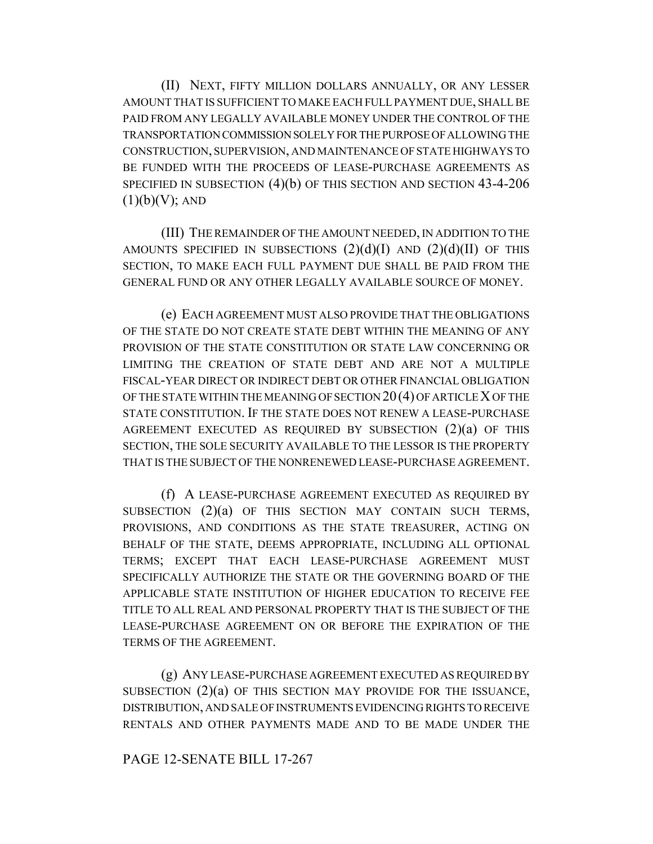(II) NEXT, FIFTY MILLION DOLLARS ANNUALLY, OR ANY LESSER AMOUNT THAT IS SUFFICIENT TO MAKE EACH FULL PAYMENT DUE, SHALL BE PAID FROM ANY LEGALLY AVAILABLE MONEY UNDER THE CONTROL OF THE TRANSPORTATION COMMISSION SOLELY FOR THE PURPOSE OF ALLOWING THE CONSTRUCTION, SUPERVISION, AND MAINTENANCE OF STATE HIGHWAYS TO BE FUNDED WITH THE PROCEEDS OF LEASE-PURCHASE AGREEMENTS AS SPECIFIED IN SUBSECTION (4)(b) OF THIS SECTION AND SECTION 43-4-206  $(1)(b)(V)$ ; AND

(III) THE REMAINDER OF THE AMOUNT NEEDED, IN ADDITION TO THE AMOUNTS SPECIFIED IN SUBSECTIONS  $(2)(d)(I)$  AND  $(2)(d)(II)$  OF THIS SECTION, TO MAKE EACH FULL PAYMENT DUE SHALL BE PAID FROM THE GENERAL FUND OR ANY OTHER LEGALLY AVAILABLE SOURCE OF MONEY.

(e) EACH AGREEMENT MUST ALSO PROVIDE THAT THE OBLIGATIONS OF THE STATE DO NOT CREATE STATE DEBT WITHIN THE MEANING OF ANY PROVISION OF THE STATE CONSTITUTION OR STATE LAW CONCERNING OR LIMITING THE CREATION OF STATE DEBT AND ARE NOT A MULTIPLE FISCAL-YEAR DIRECT OR INDIRECT DEBT OR OTHER FINANCIAL OBLIGATION OF THE STATE WITHIN THE MEANING OF SECTION 20(4) OF ARTICLE X OF THE STATE CONSTITUTION. IF THE STATE DOES NOT RENEW A LEASE-PURCHASE AGREEMENT EXECUTED AS REQUIRED BY SUBSECTION (2)(a) OF THIS SECTION, THE SOLE SECURITY AVAILABLE TO THE LESSOR IS THE PROPERTY THAT IS THE SUBJECT OF THE NONRENEWED LEASE-PURCHASE AGREEMENT.

(f) A LEASE-PURCHASE AGREEMENT EXECUTED AS REQUIRED BY SUBSECTION (2)(a) OF THIS SECTION MAY CONTAIN SUCH TERMS, PROVISIONS, AND CONDITIONS AS THE STATE TREASURER, ACTING ON BEHALF OF THE STATE, DEEMS APPROPRIATE, INCLUDING ALL OPTIONAL TERMS; EXCEPT THAT EACH LEASE-PURCHASE AGREEMENT MUST SPECIFICALLY AUTHORIZE THE STATE OR THE GOVERNING BOARD OF THE APPLICABLE STATE INSTITUTION OF HIGHER EDUCATION TO RECEIVE FEE TITLE TO ALL REAL AND PERSONAL PROPERTY THAT IS THE SUBJECT OF THE LEASE-PURCHASE AGREEMENT ON OR BEFORE THE EXPIRATION OF THE TERMS OF THE AGREEMENT.

(g) ANY LEASE-PURCHASE AGREEMENT EXECUTED AS REQUIRED BY SUBSECTION (2)(a) OF THIS SECTION MAY PROVIDE FOR THE ISSUANCE, DISTRIBUTION, AND SALE OF INSTRUMENTS EVIDENCING RIGHTS TO RECEIVE RENTALS AND OTHER PAYMENTS MADE AND TO BE MADE UNDER THE

## PAGE 12-SENATE BILL 17-267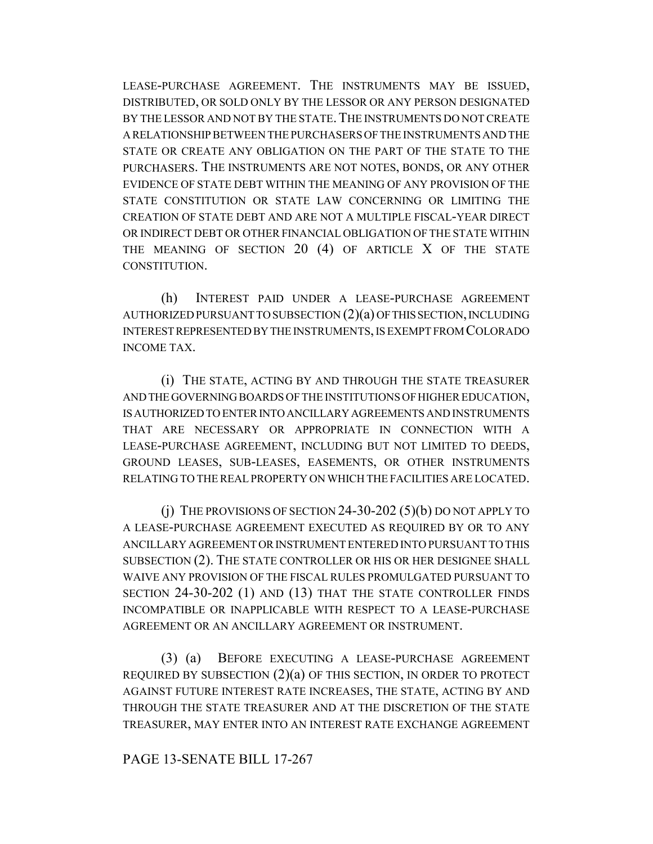LEASE-PURCHASE AGREEMENT. THE INSTRUMENTS MAY BE ISSUED, DISTRIBUTED, OR SOLD ONLY BY THE LESSOR OR ANY PERSON DESIGNATED BY THE LESSOR AND NOT BY THE STATE. THE INSTRUMENTS DO NOT CREATE A RELATIONSHIP BETWEEN THE PURCHASERS OF THE INSTRUMENTS AND THE STATE OR CREATE ANY OBLIGATION ON THE PART OF THE STATE TO THE PURCHASERS. THE INSTRUMENTS ARE NOT NOTES, BONDS, OR ANY OTHER EVIDENCE OF STATE DEBT WITHIN THE MEANING OF ANY PROVISION OF THE STATE CONSTITUTION OR STATE LAW CONCERNING OR LIMITING THE CREATION OF STATE DEBT AND ARE NOT A MULTIPLE FISCAL-YEAR DIRECT OR INDIRECT DEBT OR OTHER FINANCIAL OBLIGATION OF THE STATE WITHIN THE MEANING OF SECTION 20 (4) OF ARTICLE X OF THE STATE CONSTITUTION.

(h) INTEREST PAID UNDER A LEASE-PURCHASE AGREEMENT AUTHORIZED PURSUANT TO SUBSECTION (2)(a) OF THIS SECTION, INCLUDING INTEREST REPRESENTED BY THE INSTRUMENTS, IS EXEMPT FROM COLORADO INCOME TAX.

(i) THE STATE, ACTING BY AND THROUGH THE STATE TREASURER AND THE GOVERNING BOARDS OF THE INSTITUTIONS OF HIGHER EDUCATION, IS AUTHORIZED TO ENTER INTO ANCILLARY AGREEMENTS AND INSTRUMENTS THAT ARE NECESSARY OR APPROPRIATE IN CONNECTION WITH A LEASE-PURCHASE AGREEMENT, INCLUDING BUT NOT LIMITED TO DEEDS, GROUND LEASES, SUB-LEASES, EASEMENTS, OR OTHER INSTRUMENTS RELATING TO THE REAL PROPERTY ON WHICH THE FACILITIES ARE LOCATED.

 $(i)$  The provisions of section 24-30-202  $(5)(b)$  do not apply to A LEASE-PURCHASE AGREEMENT EXECUTED AS REQUIRED BY OR TO ANY ANCILLARY AGREEMENT OR INSTRUMENT ENTERED INTO PURSUANT TO THIS SUBSECTION (2). THE STATE CONTROLLER OR HIS OR HER DESIGNEE SHALL WAIVE ANY PROVISION OF THE FISCAL RULES PROMULGATED PURSUANT TO SECTION 24-30-202 (1) AND (13) THAT THE STATE CONTROLLER FINDS INCOMPATIBLE OR INAPPLICABLE WITH RESPECT TO A LEASE-PURCHASE AGREEMENT OR AN ANCILLARY AGREEMENT OR INSTRUMENT.

(3) (a) BEFORE EXECUTING A LEASE-PURCHASE AGREEMENT REQUIRED BY SUBSECTION  $(2)(a)$  OF THIS SECTION, IN ORDER TO PROTECT AGAINST FUTURE INTEREST RATE INCREASES, THE STATE, ACTING BY AND THROUGH THE STATE TREASURER AND AT THE DISCRETION OF THE STATE TREASURER, MAY ENTER INTO AN INTEREST RATE EXCHANGE AGREEMENT

PAGE 13-SENATE BILL 17-267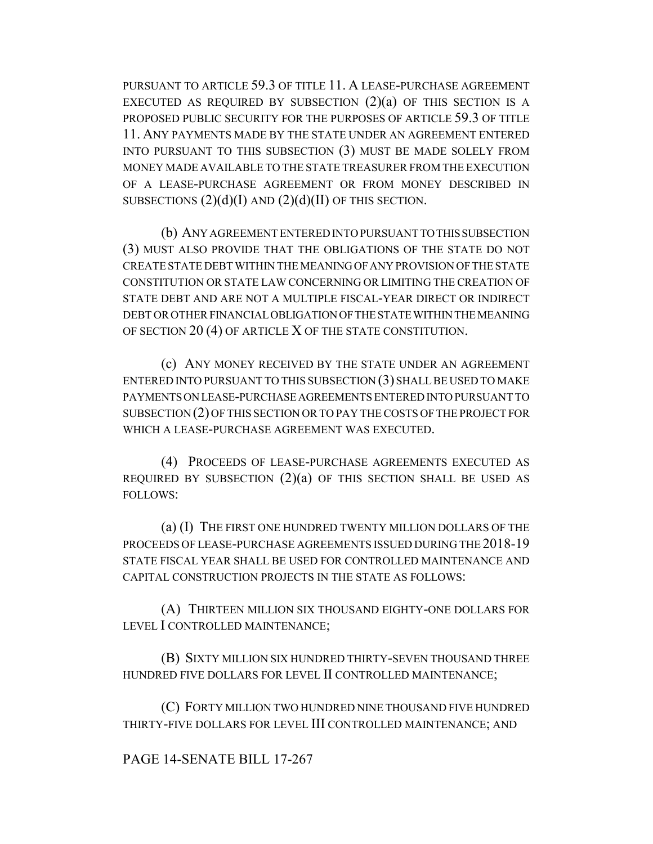PURSUANT TO ARTICLE 59.3 OF TITLE 11. A LEASE-PURCHASE AGREEMENT EXECUTED AS REQUIRED BY SUBSECTION  $(2)(a)$  OF THIS SECTION IS A PROPOSED PUBLIC SECURITY FOR THE PURPOSES OF ARTICLE 59.3 OF TITLE 11. ANY PAYMENTS MADE BY THE STATE UNDER AN AGREEMENT ENTERED INTO PURSUANT TO THIS SUBSECTION (3) MUST BE MADE SOLELY FROM MONEY MADE AVAILABLE TO THE STATE TREASURER FROM THE EXECUTION OF A LEASE-PURCHASE AGREEMENT OR FROM MONEY DESCRIBED IN SUBSECTIONS  $(2)(d)(I)$  AND  $(2)(d)(II)$  OF THIS SECTION.

(b) ANY AGREEMENT ENTERED INTO PURSUANT TO THIS SUBSECTION (3) MUST ALSO PROVIDE THAT THE OBLIGATIONS OF THE STATE DO NOT CREATE STATE DEBT WITHIN THE MEANING OF ANY PROVISION OF THE STATE CONSTITUTION OR STATE LAW CONCERNING OR LIMITING THE CREATION OF STATE DEBT AND ARE NOT A MULTIPLE FISCAL-YEAR DIRECT OR INDIRECT DEBT OR OTHER FINANCIAL OBLIGATION OF THE STATE WITHIN THE MEANING OF SECTION 20 (4) OF ARTICLE X OF THE STATE CONSTITUTION.

(c) ANY MONEY RECEIVED BY THE STATE UNDER AN AGREEMENT ENTERED INTO PURSUANT TO THIS SUBSECTION (3) SHALL BE USED TO MAKE PAYMENTS ON LEASE-PURCHASE AGREEMENTS ENTERED INTO PURSUANT TO SUBSECTION (2) OF THIS SECTION OR TO PAY THE COSTS OF THE PROJECT FOR WHICH A LEASE-PURCHASE AGREEMENT WAS EXECUTED.

(4) PROCEEDS OF LEASE-PURCHASE AGREEMENTS EXECUTED AS REQUIRED BY SUBSECTION  $(2)(a)$  OF THIS SECTION SHALL BE USED AS FOLLOWS:

(a) (I) THE FIRST ONE HUNDRED TWENTY MILLION DOLLARS OF THE PROCEEDS OF LEASE-PURCHASE AGREEMENTS ISSUED DURING THE 2018-19 STATE FISCAL YEAR SHALL BE USED FOR CONTROLLED MAINTENANCE AND CAPITAL CONSTRUCTION PROJECTS IN THE STATE AS FOLLOWS:

(A) THIRTEEN MILLION SIX THOUSAND EIGHTY-ONE DOLLARS FOR LEVEL I CONTROLLED MAINTENANCE;

(B) SIXTY MILLION SIX HUNDRED THIRTY-SEVEN THOUSAND THREE HUNDRED FIVE DOLLARS FOR LEVEL II CONTROLLED MAINTENANCE;

(C) FORTY MILLION TWO HUNDRED NINE THOUSAND FIVE HUNDRED THIRTY-FIVE DOLLARS FOR LEVEL III CONTROLLED MAINTENANCE; AND

PAGE 14-SENATE BILL 17-267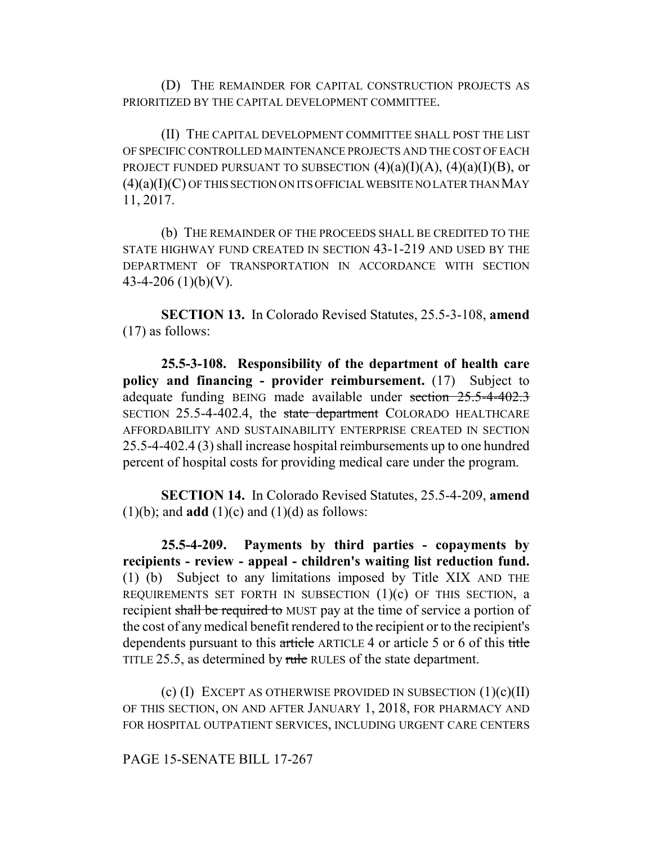(D) THE REMAINDER FOR CAPITAL CONSTRUCTION PROJECTS AS PRIORITIZED BY THE CAPITAL DEVELOPMENT COMMITTEE.

(II) THE CAPITAL DEVELOPMENT COMMITTEE SHALL POST THE LIST OF SPECIFIC CONTROLLED MAINTENANCE PROJECTS AND THE COST OF EACH PROJECT FUNDED PURSUANT TO SUBSECTION  $(4)(a)(I)(A)$ ,  $(4)(a)(I)(B)$ , or  $(4)(a)(I)(C)$  OF THIS SECTION ON ITS OFFICIAL WEBSITE NO LATER THAN MAY 11, 2017.

(b) THE REMAINDER OF THE PROCEEDS SHALL BE CREDITED TO THE STATE HIGHWAY FUND CREATED IN SECTION 43-1-219 AND USED BY THE DEPARTMENT OF TRANSPORTATION IN ACCORDANCE WITH SECTION 43-4-206 (1)(b)(V).

**SECTION 13.** In Colorado Revised Statutes, 25.5-3-108, **amend** (17) as follows:

**25.5-3-108. Responsibility of the department of health care policy and financing - provider reimbursement.** (17) Subject to adequate funding BEING made available under section 25.5-4-402.3 SECTION 25.5-4-402.4, the state department COLORADO HEALTHCARE AFFORDABILITY AND SUSTAINABILITY ENTERPRISE CREATED IN SECTION 25.5-4-402.4 (3) shall increase hospital reimbursements up to one hundred percent of hospital costs for providing medical care under the program.

**SECTION 14.** In Colorado Revised Statutes, 25.5-4-209, **amend**  $(1)(b)$ ; and **add**  $(1)(c)$  and  $(1)(d)$  as follows:

**25.5-4-209. Payments by third parties - copayments by recipients - review - appeal - children's waiting list reduction fund.** (1) (b) Subject to any limitations imposed by Title XIX AND THE REQUIREMENTS SET FORTH IN SUBSECTION  $(1)(c)$  OF THIS SECTION, a recipient shall be required to MUST pay at the time of service a portion of the cost of any medical benefit rendered to the recipient or to the recipient's dependents pursuant to this article ARTICLE 4 or article 5 or 6 of this title TITLE 25.5, as determined by rule RULES of the state department.

(c)  $(I)$  EXCEPT AS OTHERWISE PROVIDED IN SUBSECTION  $(1)(c)(II)$ OF THIS SECTION, ON AND AFTER JANUARY 1, 2018, FOR PHARMACY AND FOR HOSPITAL OUTPATIENT SERVICES, INCLUDING URGENT CARE CENTERS

PAGE 15-SENATE BILL 17-267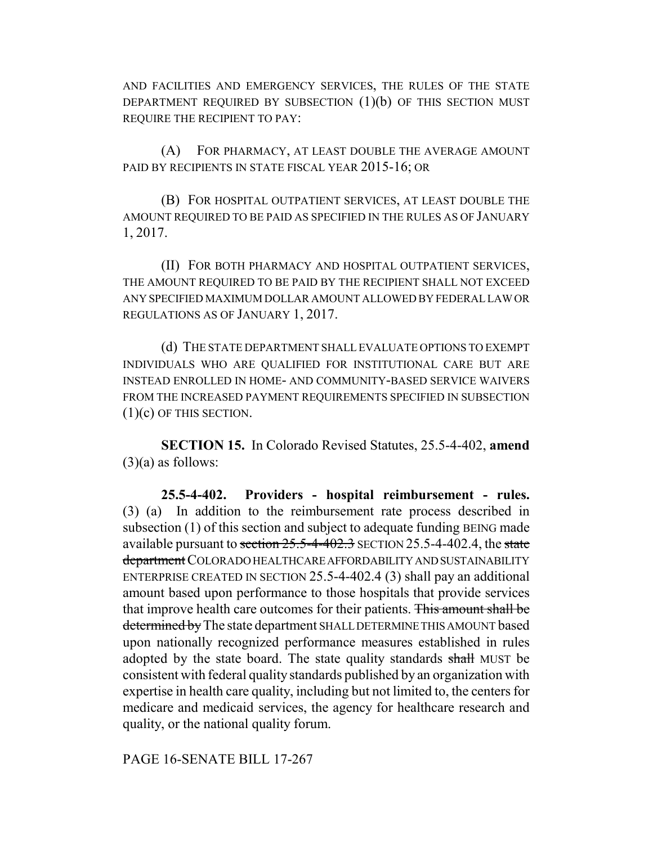AND FACILITIES AND EMERGENCY SERVICES, THE RULES OF THE STATE DEPARTMENT REQUIRED BY SUBSECTION  $(1)(b)$  OF THIS SECTION MUST REQUIRE THE RECIPIENT TO PAY:

(A) FOR PHARMACY, AT LEAST DOUBLE THE AVERAGE AMOUNT PAID BY RECIPIENTS IN STATE FISCAL YEAR 2015-16; OR

(B) FOR HOSPITAL OUTPATIENT SERVICES, AT LEAST DOUBLE THE AMOUNT REQUIRED TO BE PAID AS SPECIFIED IN THE RULES AS OF JANUARY 1, 2017.

(II) FOR BOTH PHARMACY AND HOSPITAL OUTPATIENT SERVICES, THE AMOUNT REQUIRED TO BE PAID BY THE RECIPIENT SHALL NOT EXCEED ANY SPECIFIED MAXIMUM DOLLAR AMOUNT ALLOWED BY FEDERAL LAW OR REGULATIONS AS OF JANUARY 1, 2017.

(d) THE STATE DEPARTMENT SHALL EVALUATE OPTIONS TO EXEMPT INDIVIDUALS WHO ARE QUALIFIED FOR INSTITUTIONAL CARE BUT ARE INSTEAD ENROLLED IN HOME- AND COMMUNITY-BASED SERVICE WAIVERS FROM THE INCREASED PAYMENT REQUIREMENTS SPECIFIED IN SUBSECTION (1)(c) OF THIS SECTION.

**SECTION 15.** In Colorado Revised Statutes, 25.5-4-402, **amend**  $(3)(a)$  as follows:

**25.5-4-402. Providers - hospital reimbursement - rules.** (3) (a) In addition to the reimbursement rate process described in subsection (1) of this section and subject to adequate funding BEING made available pursuant to section  $25.5-4-402.3$  SECTION 25.5-4-402.4, the state department COLORADO HEALTHCARE AFFORDABILITY AND SUSTAINABILITY ENTERPRISE CREATED IN SECTION 25.5-4-402.4 (3) shall pay an additional amount based upon performance to those hospitals that provide services that improve health care outcomes for their patients. This amount shall be determined by The state department SHALL DETERMINE THIS AMOUNT based upon nationally recognized performance measures established in rules adopted by the state board. The state quality standards shall MUST be consistent with federal quality standards published by an organization with expertise in health care quality, including but not limited to, the centers for medicare and medicaid services, the agency for healthcare research and quality, or the national quality forum.

PAGE 16-SENATE BILL 17-267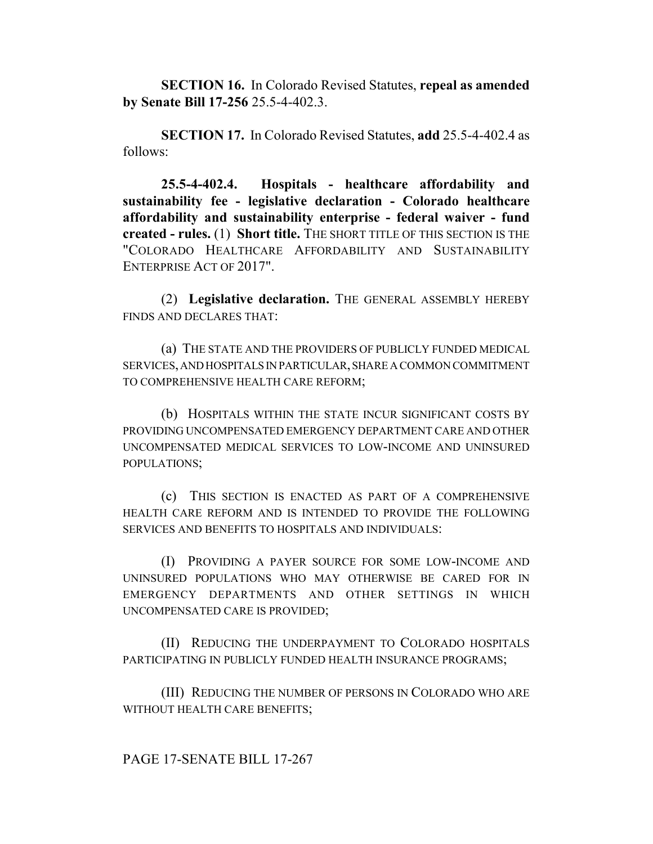**SECTION 16.** In Colorado Revised Statutes, **repeal as amended by Senate Bill 17-256** 25.5-4-402.3.

**SECTION 17.** In Colorado Revised Statutes, **add** 25.5-4-402.4 as follows:

**25.5-4-402.4. Hospitals - healthcare affordability and sustainability fee - legislative declaration - Colorado healthcare affordability and sustainability enterprise - federal waiver - fund created - rules.** (1) **Short title.** THE SHORT TITLE OF THIS SECTION IS THE "COLORADO HEALTHCARE AFFORDABILITY AND SUSTAINABILITY ENTERPRISE ACT OF 2017".

(2) **Legislative declaration.** THE GENERAL ASSEMBLY HEREBY FINDS AND DECLARES THAT:

(a) THE STATE AND THE PROVIDERS OF PUBLICLY FUNDED MEDICAL SERVICES, AND HOSPITALS IN PARTICULAR, SHARE A COMMON COMMITMENT TO COMPREHENSIVE HEALTH CARE REFORM;

(b) HOSPITALS WITHIN THE STATE INCUR SIGNIFICANT COSTS BY PROVIDING UNCOMPENSATED EMERGENCY DEPARTMENT CARE AND OTHER UNCOMPENSATED MEDICAL SERVICES TO LOW-INCOME AND UNINSURED POPULATIONS;

(c) THIS SECTION IS ENACTED AS PART OF A COMPREHENSIVE HEALTH CARE REFORM AND IS INTENDED TO PROVIDE THE FOLLOWING SERVICES AND BENEFITS TO HOSPITALS AND INDIVIDUALS:

(I) PROVIDING A PAYER SOURCE FOR SOME LOW-INCOME AND UNINSURED POPULATIONS WHO MAY OTHERWISE BE CARED FOR IN EMERGENCY DEPARTMENTS AND OTHER SETTINGS IN WHICH UNCOMPENSATED CARE IS PROVIDED;

(II) REDUCING THE UNDERPAYMENT TO COLORADO HOSPITALS PARTICIPATING IN PUBLICLY FUNDED HEALTH INSURANCE PROGRAMS;

(III) REDUCING THE NUMBER OF PERSONS IN COLORADO WHO ARE WITHOUT HEALTH CARE BENEFITS;

#### PAGE 17-SENATE BILL 17-267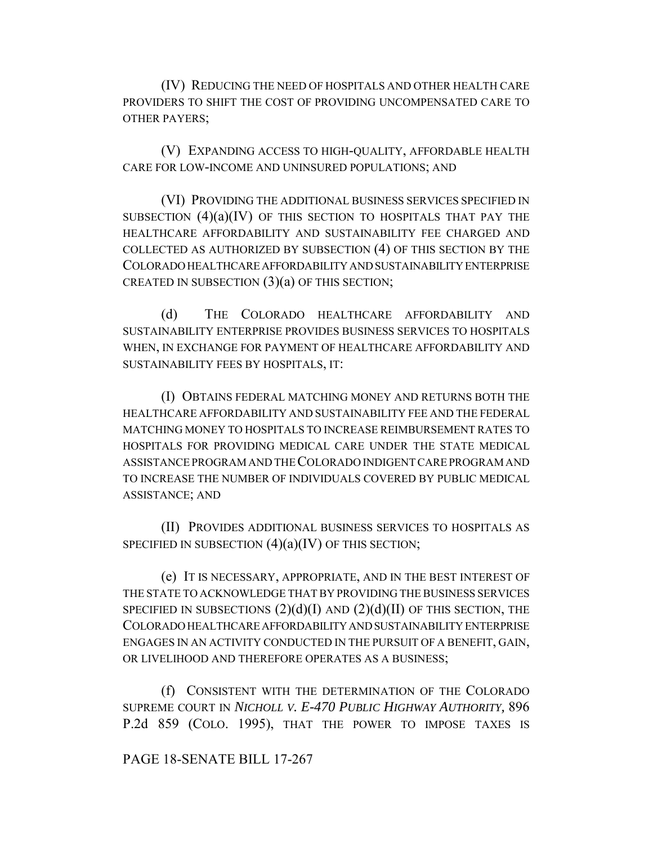(IV) REDUCING THE NEED OF HOSPITALS AND OTHER HEALTH CARE PROVIDERS TO SHIFT THE COST OF PROVIDING UNCOMPENSATED CARE TO OTHER PAYERS;

(V) EXPANDING ACCESS TO HIGH-QUALITY, AFFORDABLE HEALTH CARE FOR LOW-INCOME AND UNINSURED POPULATIONS; AND

(VI) PROVIDING THE ADDITIONAL BUSINESS SERVICES SPECIFIED IN SUBSECTION  $(4)(a)(IV)$  OF THIS SECTION TO HOSPITALS THAT PAY THE HEALTHCARE AFFORDABILITY AND SUSTAINABILITY FEE CHARGED AND COLLECTED AS AUTHORIZED BY SUBSECTION (4) OF THIS SECTION BY THE COLORADO HEALTHCARE AFFORDABILITY AND SUSTAINABILITY ENTERPRISE CREATED IN SUBSECTION  $(3)(a)$  OF THIS SECTION;

(d) THE COLORADO HEALTHCARE AFFORDABILITY AND SUSTAINABILITY ENTERPRISE PROVIDES BUSINESS SERVICES TO HOSPITALS WHEN, IN EXCHANGE FOR PAYMENT OF HEALTHCARE AFFORDABILITY AND SUSTAINABILITY FEES BY HOSPITALS, IT:

(I) OBTAINS FEDERAL MATCHING MONEY AND RETURNS BOTH THE HEALTHCARE AFFORDABILITY AND SUSTAINABILITY FEE AND THE FEDERAL MATCHING MONEY TO HOSPITALS TO INCREASE REIMBURSEMENT RATES TO HOSPITALS FOR PROVIDING MEDICAL CARE UNDER THE STATE MEDICAL ASSISTANCE PROGRAM AND THE COLORADO INDIGENT CARE PROGRAM AND TO INCREASE THE NUMBER OF INDIVIDUALS COVERED BY PUBLIC MEDICAL ASSISTANCE; AND

(II) PROVIDES ADDITIONAL BUSINESS SERVICES TO HOSPITALS AS SPECIFIED IN SUBSECTION  $(4)(a)(IV)$  OF THIS SECTION;

(e) IT IS NECESSARY, APPROPRIATE, AND IN THE BEST INTEREST OF THE STATE TO ACKNOWLEDGE THAT BY PROVIDING THE BUSINESS SERVICES SPECIFIED IN SUBSECTIONS  $(2)(d)(I)$  AND  $(2)(d)(II)$  OF THIS SECTION, THE COLORADO HEALTHCARE AFFORDABILITY AND SUSTAINABILITY ENTERPRISE ENGAGES IN AN ACTIVITY CONDUCTED IN THE PURSUIT OF A BENEFIT, GAIN, OR LIVELIHOOD AND THEREFORE OPERATES AS A BUSINESS;

(f) CONSISTENT WITH THE DETERMINATION OF THE COLORADO SUPREME COURT IN *NICHOLL V. E-470 PUBLIC HIGHWAY AUTHORITY,* 896 P.2d 859 (COLO. 1995), THAT THE POWER TO IMPOSE TAXES IS

# PAGE 18-SENATE BILL 17-267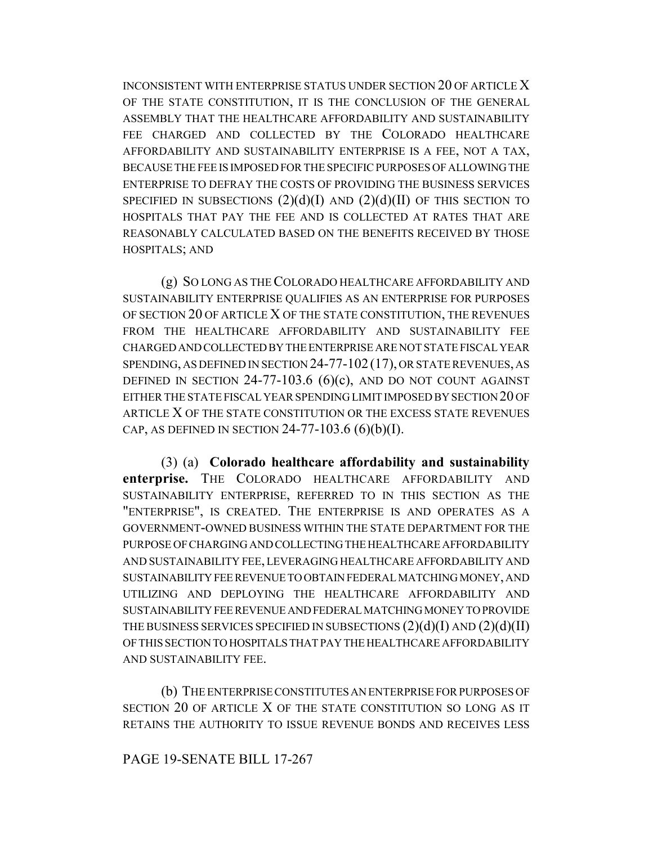INCONSISTENT WITH ENTERPRISE STATUS UNDER SECTION 20 OF ARTICLE X OF THE STATE CONSTITUTION, IT IS THE CONCLUSION OF THE GENERAL ASSEMBLY THAT THE HEALTHCARE AFFORDABILITY AND SUSTAINABILITY FEE CHARGED AND COLLECTED BY THE COLORADO HEALTHCARE AFFORDABILITY AND SUSTAINABILITY ENTERPRISE IS A FEE, NOT A TAX, BECAUSE THE FEE IS IMPOSED FOR THE SPECIFIC PURPOSES OF ALLOWING THE ENTERPRISE TO DEFRAY THE COSTS OF PROVIDING THE BUSINESS SERVICES SPECIFIED IN SUBSECTIONS  $(2)(d)(I)$  AND  $(2)(d)(II)$  OF THIS SECTION TO HOSPITALS THAT PAY THE FEE AND IS COLLECTED AT RATES THAT ARE REASONABLY CALCULATED BASED ON THE BENEFITS RECEIVED BY THOSE HOSPITALS; AND

(g) SO LONG AS THE COLORADO HEALTHCARE AFFORDABILITY AND SUSTAINABILITY ENTERPRISE QUALIFIES AS AN ENTERPRISE FOR PURPOSES OF SECTION 20 OF ARTICLE X OF THE STATE CONSTITUTION, THE REVENUES FROM THE HEALTHCARE AFFORDABILITY AND SUSTAINABILITY FEE CHARGED AND COLLECTED BY THE ENTERPRISE ARE NOT STATE FISCAL YEAR SPENDING, AS DEFINED IN SECTION 24-77-102 (17), OR STATE REVENUES, AS DEFINED IN SECTION  $24-77-103.6$  (6)(c), AND DO NOT COUNT AGAINST EITHER THE STATE FISCAL YEAR SPENDING LIMIT IMPOSED BY SECTION 20 OF ARTICLE X OF THE STATE CONSTITUTION OR THE EXCESS STATE REVENUES CAP, AS DEFINED IN SECTION 24-77-103.6  $(6)(b)(I)$ .

(3) (a) **Colorado healthcare affordability and sustainability enterprise.** THE COLORADO HEALTHCARE AFFORDABILITY AND SUSTAINABILITY ENTERPRISE, REFERRED TO IN THIS SECTION AS THE "ENTERPRISE", IS CREATED. THE ENTERPRISE IS AND OPERATES AS A GOVERNMENT-OWNED BUSINESS WITHIN THE STATE DEPARTMENT FOR THE PURPOSE OF CHARGING AND COLLECTING THE HEALTHCARE AFFORDABILITY AND SUSTAINABILITY FEE, LEVERAGING HEALTHCARE AFFORDABILITY AND SUSTAINABILITY FEE REVENUE TO OBTAIN FEDERAL MATCHING MONEY, AND UTILIZING AND DEPLOYING THE HEALTHCARE AFFORDABILITY AND SUSTAINABILITY FEE REVENUE AND FEDERAL MATCHING MONEY TO PROVIDE THE BUSINESS SERVICES SPECIFIED IN SUBSECTIONS  $(2)(d)(I)$  AND  $(2)(d)(II)$ OF THIS SECTION TO HOSPITALS THAT PAY THE HEALTHCARE AFFORDABILITY AND SUSTAINABILITY FEE.

(b) THE ENTERPRISE CONSTITUTES AN ENTERPRISE FOR PURPOSES OF SECTION 20 OF ARTICLE X OF THE STATE CONSTITUTION SO LONG AS IT RETAINS THE AUTHORITY TO ISSUE REVENUE BONDS AND RECEIVES LESS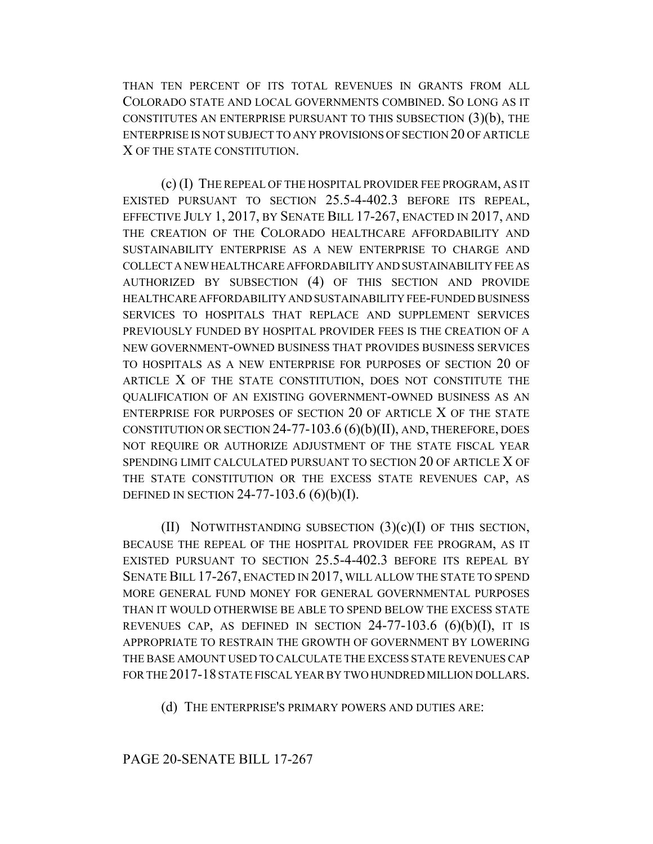THAN TEN PERCENT OF ITS TOTAL REVENUES IN GRANTS FROM ALL COLORADO STATE AND LOCAL GOVERNMENTS COMBINED. SO LONG AS IT CONSTITUTES AN ENTERPRISE PURSUANT TO THIS SUBSECTION (3)(b), THE ENTERPRISE IS NOT SUBJECT TO ANY PROVISIONS OF SECTION 20 OF ARTICLE X OF THE STATE CONSTITUTION.

(c) (I) THE REPEAL OF THE HOSPITAL PROVIDER FEE PROGRAM, AS IT EXISTED PURSUANT TO SECTION 25.5-4-402.3 BEFORE ITS REPEAL, EFFECTIVE JULY 1, 2017, BY SENATE BILL 17-267, ENACTED IN 2017, AND THE CREATION OF THE COLORADO HEALTHCARE AFFORDABILITY AND SUSTAINABILITY ENTERPRISE AS A NEW ENTERPRISE TO CHARGE AND COLLECT A NEW HEALTHCARE AFFORDABILITY AND SUSTAINABILITY FEE AS AUTHORIZED BY SUBSECTION (4) OF THIS SECTION AND PROVIDE HEALTHCARE AFFORDABILITY AND SUSTAINABILITY FEE-FUNDED BUSINESS SERVICES TO HOSPITALS THAT REPLACE AND SUPPLEMENT SERVICES PREVIOUSLY FUNDED BY HOSPITAL PROVIDER FEES IS THE CREATION OF A NEW GOVERNMENT-OWNED BUSINESS THAT PROVIDES BUSINESS SERVICES TO HOSPITALS AS A NEW ENTERPRISE FOR PURPOSES OF SECTION 20 OF ARTICLE X OF THE STATE CONSTITUTION, DOES NOT CONSTITUTE THE QUALIFICATION OF AN EXISTING GOVERNMENT-OWNED BUSINESS AS AN ENTERPRISE FOR PURPOSES OF SECTION 20 OF ARTICLE X OF THE STATE CONSTITUTION OR SECTION 24-77-103.6 (6)(b)(II), AND, THEREFORE, DOES NOT REQUIRE OR AUTHORIZE ADJUSTMENT OF THE STATE FISCAL YEAR SPENDING LIMIT CALCULATED PURSUANT TO SECTION 20 OF ARTICLE X OF THE STATE CONSTITUTION OR THE EXCESS STATE REVENUES CAP, AS DEFINED IN SECTION 24-77-103.6  $(6)(b)(I)$ .

(II) NOTWITHSTANDING SUBSECTION  $(3)(c)(I)$  OF THIS SECTION, BECAUSE THE REPEAL OF THE HOSPITAL PROVIDER FEE PROGRAM, AS IT EXISTED PURSUANT TO SECTION 25.5-4-402.3 BEFORE ITS REPEAL BY SENATE BILL 17-267, ENACTED IN 2017, WILL ALLOW THE STATE TO SPEND MORE GENERAL FUND MONEY FOR GENERAL GOVERNMENTAL PURPOSES THAN IT WOULD OTHERWISE BE ABLE TO SPEND BELOW THE EXCESS STATE REVENUES CAP, AS DEFINED IN SECTION  $24-77-103.6$  (6)(b)(I), IT IS APPROPRIATE TO RESTRAIN THE GROWTH OF GOVERNMENT BY LOWERING THE BASE AMOUNT USED TO CALCULATE THE EXCESS STATE REVENUES CAP FOR THE 2017-18 STATE FISCAL YEAR BY TWO HUNDRED MILLION DOLLARS.

(d) THE ENTERPRISE'S PRIMARY POWERS AND DUTIES ARE: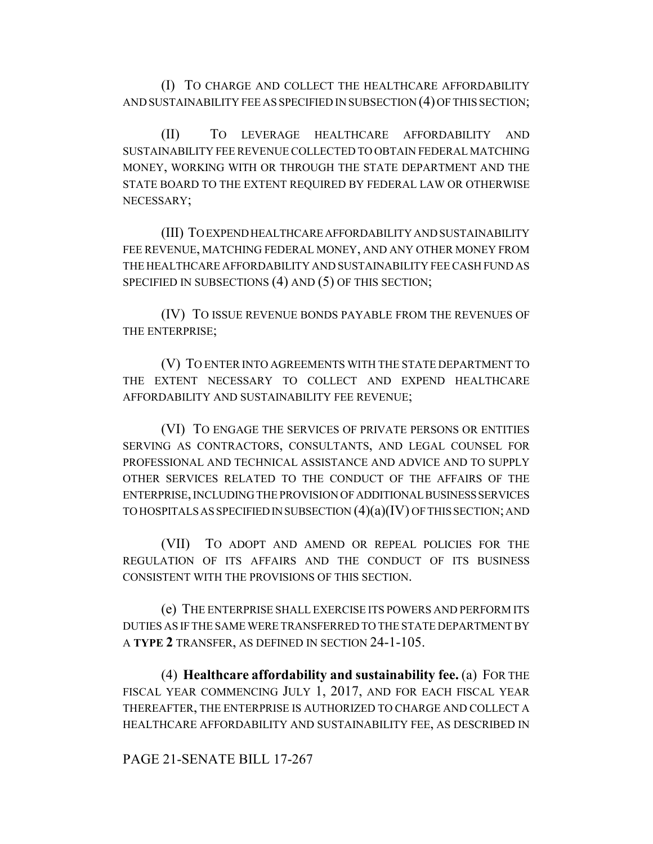(I) TO CHARGE AND COLLECT THE HEALTHCARE AFFORDABILITY AND SUSTAINABILITY FEE AS SPECIFIED IN SUBSECTION (4) OF THIS SECTION;

(II) TO LEVERAGE HEALTHCARE AFFORDABILITY AND SUSTAINABILITY FEE REVENUE COLLECTED TO OBTAIN FEDERAL MATCHING MONEY, WORKING WITH OR THROUGH THE STATE DEPARTMENT AND THE STATE BOARD TO THE EXTENT REQUIRED BY FEDERAL LAW OR OTHERWISE NECESSARY;

(III) TO EXPEND HEALTHCARE AFFORDABILITY AND SUSTAINABILITY FEE REVENUE, MATCHING FEDERAL MONEY, AND ANY OTHER MONEY FROM THE HEALTHCARE AFFORDABILITY AND SUSTAINABILITY FEE CASH FUND AS SPECIFIED IN SUBSECTIONS (4) AND (5) OF THIS SECTION;

(IV) TO ISSUE REVENUE BONDS PAYABLE FROM THE REVENUES OF THE ENTERPRISE;

(V) TO ENTER INTO AGREEMENTS WITH THE STATE DEPARTMENT TO THE EXTENT NECESSARY TO COLLECT AND EXPEND HEALTHCARE AFFORDABILITY AND SUSTAINABILITY FEE REVENUE;

(VI) TO ENGAGE THE SERVICES OF PRIVATE PERSONS OR ENTITIES SERVING AS CONTRACTORS, CONSULTANTS, AND LEGAL COUNSEL FOR PROFESSIONAL AND TECHNICAL ASSISTANCE AND ADVICE AND TO SUPPLY OTHER SERVICES RELATED TO THE CONDUCT OF THE AFFAIRS OF THE ENTERPRISE, INCLUDING THE PROVISION OF ADDITIONAL BUSINESS SERVICES TO HOSPITALS AS SPECIFIED IN SUBSECTION (4)(a)(IV) OF THIS SECTION; AND

(VII) TO ADOPT AND AMEND OR REPEAL POLICIES FOR THE REGULATION OF ITS AFFAIRS AND THE CONDUCT OF ITS BUSINESS CONSISTENT WITH THE PROVISIONS OF THIS SECTION.

(e) THE ENTERPRISE SHALL EXERCISE ITS POWERS AND PERFORM ITS DUTIES AS IF THE SAME WERE TRANSFERRED TO THE STATE DEPARTMENT BY A **TYPE 2** TRANSFER, AS DEFINED IN SECTION 24-1-105.

(4) **Healthcare affordability and sustainability fee.** (a) FOR THE FISCAL YEAR COMMENCING JULY 1, 2017, AND FOR EACH FISCAL YEAR THEREAFTER, THE ENTERPRISE IS AUTHORIZED TO CHARGE AND COLLECT A HEALTHCARE AFFORDABILITY AND SUSTAINABILITY FEE, AS DESCRIBED IN

PAGE 21-SENATE BILL 17-267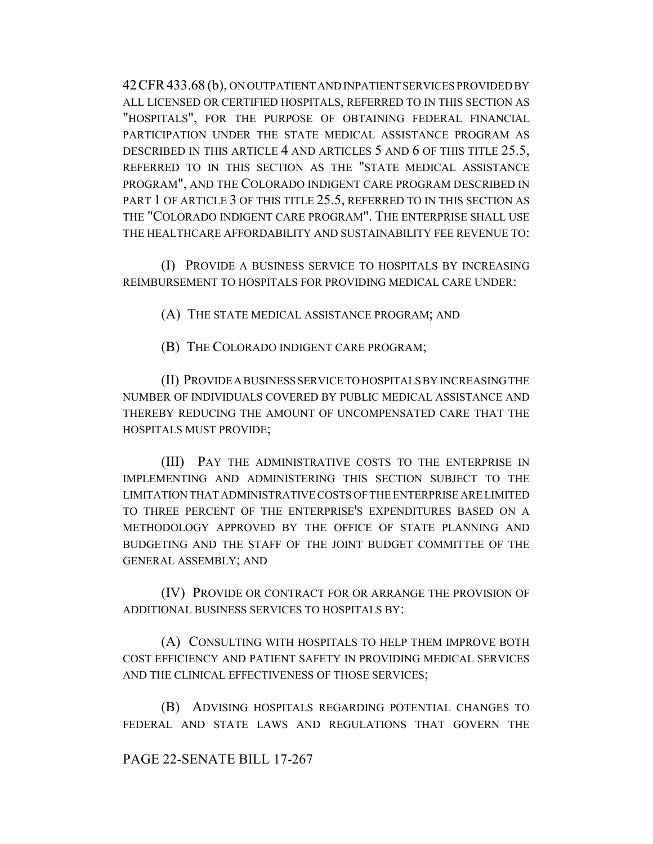42CFR433.68 (b), ON OUTPATIENT AND INPATIENT SERVICES PROVIDED BY ALL LICENSED OR CERTIFIED HOSPITALS, REFERRED TO IN THIS SECTION AS "HOSPITALS", FOR THE PURPOSE OF OBTAINING FEDERAL FINANCIAL PARTICIPATION UNDER THE STATE MEDICAL ASSISTANCE PROGRAM AS DESCRIBED IN THIS ARTICLE 4 AND ARTICLES 5 AND 6 OF THIS TITLE 25.5, REFERRED TO IN THIS SECTION AS THE "STATE MEDICAL ASSISTANCE PROGRAM", AND THE COLORADO INDIGENT CARE PROGRAM DESCRIBED IN PART 1 OF ARTICLE 3 OF THIS TITLE 25.5, REFERRED TO IN THIS SECTION AS THE "COLORADO INDIGENT CARE PROGRAM". THE ENTERPRISE SHALL USE THE HEALTHCARE AFFORDABILITY AND SUSTAINABILITY FEE REVENUE TO:

(I) PROVIDE A BUSINESS SERVICE TO HOSPITALS BY INCREASING REIMBURSEMENT TO HOSPITALS FOR PROVIDING MEDICAL CARE UNDER:

(A) THE STATE MEDICAL ASSISTANCE PROGRAM; AND

(B) THE COLORADO INDIGENT CARE PROGRAM;

(II) PROVIDE A BUSINESS SERVICE TO HOSPITALS BY INCREASING THE NUMBER OF INDIVIDUALS COVERED BY PUBLIC MEDICAL ASSISTANCE AND THEREBY REDUCING THE AMOUNT OF UNCOMPENSATED CARE THAT THE HOSPITALS MUST PROVIDE;

(III) PAY THE ADMINISTRATIVE COSTS TO THE ENTERPRISE IN IMPLEMENTING AND ADMINISTERING THIS SECTION SUBJECT TO THE LIMITATION THAT ADMINISTRATIVE COSTS OF THE ENTERPRISE ARE LIMITED TO THREE PERCENT OF THE ENTERPRISE'S EXPENDITURES BASED ON A METHODOLOGY APPROVED BY THE OFFICE OF STATE PLANNING AND BUDGETING AND THE STAFF OF THE JOINT BUDGET COMMITTEE OF THE GENERAL ASSEMBLY; AND

(IV) PROVIDE OR CONTRACT FOR OR ARRANGE THE PROVISION OF ADDITIONAL BUSINESS SERVICES TO HOSPITALS BY:

(A) CONSULTING WITH HOSPITALS TO HELP THEM IMPROVE BOTH COST EFFICIENCY AND PATIENT SAFETY IN PROVIDING MEDICAL SERVICES AND THE CLINICAL EFFECTIVENESS OF THOSE SERVICES;

(B) ADVISING HOSPITALS REGARDING POTENTIAL CHANGES TO FEDERAL AND STATE LAWS AND REGULATIONS THAT GOVERN THE

## PAGE 22-SENATE BILL 17-267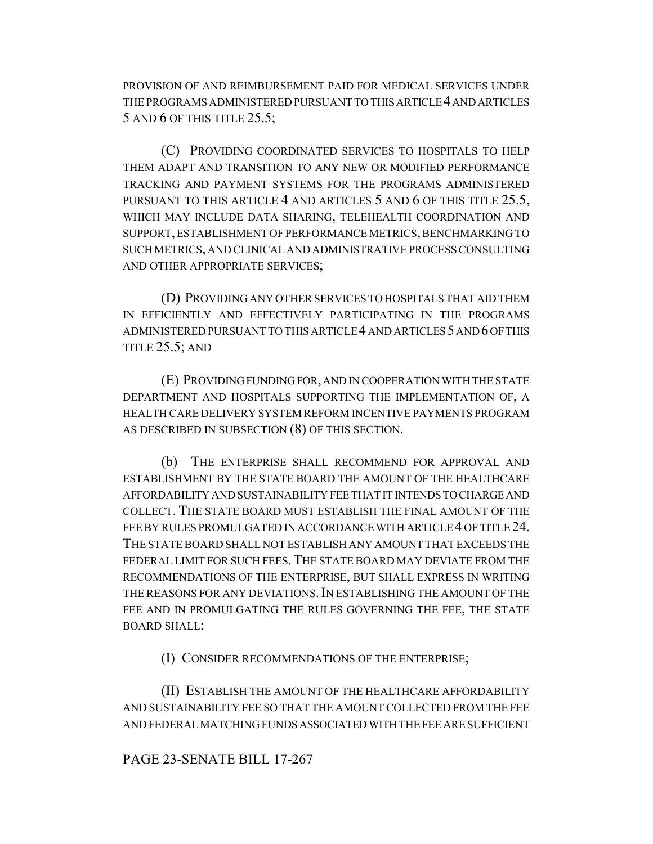PROVISION OF AND REIMBURSEMENT PAID FOR MEDICAL SERVICES UNDER THE PROGRAMS ADMINISTERED PURSUANT TO THIS ARTICLE 4 AND ARTICLES 5 AND 6 OF THIS TITLE 25.5;

(C) PROVIDING COORDINATED SERVICES TO HOSPITALS TO HELP THEM ADAPT AND TRANSITION TO ANY NEW OR MODIFIED PERFORMANCE TRACKING AND PAYMENT SYSTEMS FOR THE PROGRAMS ADMINISTERED PURSUANT TO THIS ARTICLE 4 AND ARTICLES 5 AND 6 OF THIS TITLE 25.5, WHICH MAY INCLUDE DATA SHARING, TELEHEALTH COORDINATION AND SUPPORT, ESTABLISHMENT OF PERFORMANCE METRICS, BENCHMARKING TO SUCH METRICS, AND CLINICAL AND ADMINISTRATIVE PROCESS CONSULTING AND OTHER APPROPRIATE SERVICES;

(D) PROVIDING ANY OTHER SERVICES TO HOSPITALS THAT AID THEM IN EFFICIENTLY AND EFFECTIVELY PARTICIPATING IN THE PROGRAMS ADMINISTERED PURSUANT TO THIS ARTICLE 4 AND ARTICLES 5 AND 6 OF THIS TITLE  $25.5$ ; AND

(E) PROVIDING FUNDING FOR, AND IN COOPERATION WITH THE STATE DEPARTMENT AND HOSPITALS SUPPORTING THE IMPLEMENTATION OF, A HEALTH CARE DELIVERY SYSTEM REFORM INCENTIVE PAYMENTS PROGRAM AS DESCRIBED IN SUBSECTION (8) OF THIS SECTION.

(b) THE ENTERPRISE SHALL RECOMMEND FOR APPROVAL AND ESTABLISHMENT BY THE STATE BOARD THE AMOUNT OF THE HEALTHCARE AFFORDABILITY AND SUSTAINABILITY FEE THAT IT INTENDS TO CHARGE AND COLLECT. THE STATE BOARD MUST ESTABLISH THE FINAL AMOUNT OF THE FEE BY RULES PROMULGATED IN ACCORDANCE WITH ARTICLE 4 OF TITLE 24. THE STATE BOARD SHALL NOT ESTABLISH ANY AMOUNT THAT EXCEEDS THE FEDERAL LIMIT FOR SUCH FEES. THE STATE BOARD MAY DEVIATE FROM THE RECOMMENDATIONS OF THE ENTERPRISE, BUT SHALL EXPRESS IN WRITING THE REASONS FOR ANY DEVIATIONS. IN ESTABLISHING THE AMOUNT OF THE FEE AND IN PROMULGATING THE RULES GOVERNING THE FEE, THE STATE BOARD SHALL:

(I) CONSIDER RECOMMENDATIONS OF THE ENTERPRISE;

(II) ESTABLISH THE AMOUNT OF THE HEALTHCARE AFFORDABILITY AND SUSTAINABILITY FEE SO THAT THE AMOUNT COLLECTED FROM THE FEE AND FEDERAL MATCHING FUNDS ASSOCIATED WITH THE FEE ARE SUFFICIENT

# PAGE 23-SENATE BILL 17-267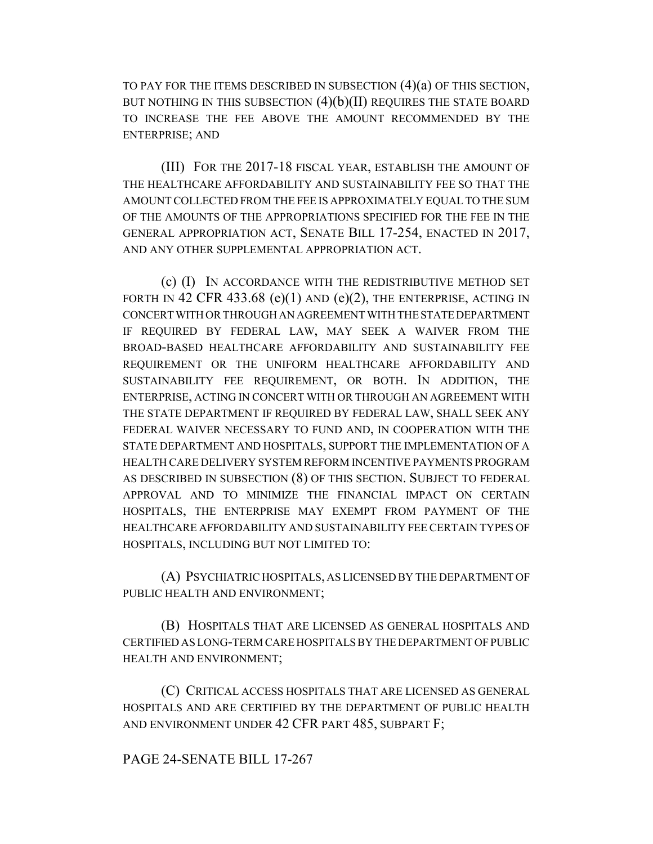TO PAY FOR THE ITEMS DESCRIBED IN SUBSECTION (4)(a) OF THIS SECTION, BUT NOTHING IN THIS SUBSECTION  $(4)(b)(II)$  requires the state board TO INCREASE THE FEE ABOVE THE AMOUNT RECOMMENDED BY THE ENTERPRISE; AND

(III) FOR THE 2017-18 FISCAL YEAR, ESTABLISH THE AMOUNT OF THE HEALTHCARE AFFORDABILITY AND SUSTAINABILITY FEE SO THAT THE AMOUNT COLLECTED FROM THE FEE IS APPROXIMATELY EQUAL TO THE SUM OF THE AMOUNTS OF THE APPROPRIATIONS SPECIFIED FOR THE FEE IN THE GENERAL APPROPRIATION ACT, SENATE BILL 17-254, ENACTED IN 2017, AND ANY OTHER SUPPLEMENTAL APPROPRIATION ACT.

(c) (I) IN ACCORDANCE WITH THE REDISTRIBUTIVE METHOD SET FORTH IN 42 CFR 433.68 (e)(1) AND (e)(2), THE ENTERPRISE, ACTING IN CONCERT WITH OR THROUGH AN AGREEMENT WITH THE STATE DEPARTMENT IF REQUIRED BY FEDERAL LAW, MAY SEEK A WAIVER FROM THE BROAD-BASED HEALTHCARE AFFORDABILITY AND SUSTAINABILITY FEE REQUIREMENT OR THE UNIFORM HEALTHCARE AFFORDABILITY AND SUSTAINABILITY FEE REQUIREMENT, OR BOTH. IN ADDITION, THE ENTERPRISE, ACTING IN CONCERT WITH OR THROUGH AN AGREEMENT WITH THE STATE DEPARTMENT IF REQUIRED BY FEDERAL LAW, SHALL SEEK ANY FEDERAL WAIVER NECESSARY TO FUND AND, IN COOPERATION WITH THE STATE DEPARTMENT AND HOSPITALS, SUPPORT THE IMPLEMENTATION OF A HEALTH CARE DELIVERY SYSTEM REFORM INCENTIVE PAYMENTS PROGRAM AS DESCRIBED IN SUBSECTION (8) OF THIS SECTION. SUBJECT TO FEDERAL APPROVAL AND TO MINIMIZE THE FINANCIAL IMPACT ON CERTAIN HOSPITALS, THE ENTERPRISE MAY EXEMPT FROM PAYMENT OF THE HEALTHCARE AFFORDABILITY AND SUSTAINABILITY FEE CERTAIN TYPES OF HOSPITALS, INCLUDING BUT NOT LIMITED TO:

(A) PSYCHIATRIC HOSPITALS, AS LICENSED BY THE DEPARTMENT OF PUBLIC HEALTH AND ENVIRONMENT;

(B) HOSPITALS THAT ARE LICENSED AS GENERAL HOSPITALS AND CERTIFIED AS LONG-TERM CARE HOSPITALS BY THE DEPARTMENT OF PUBLIC HEALTH AND ENVIRONMENT;

(C) CRITICAL ACCESS HOSPITALS THAT ARE LICENSED AS GENERAL HOSPITALS AND ARE CERTIFIED BY THE DEPARTMENT OF PUBLIC HEALTH AND ENVIRONMENT UNDER 42 CFR PART 485, SUBPART F;

PAGE 24-SENATE BILL 17-267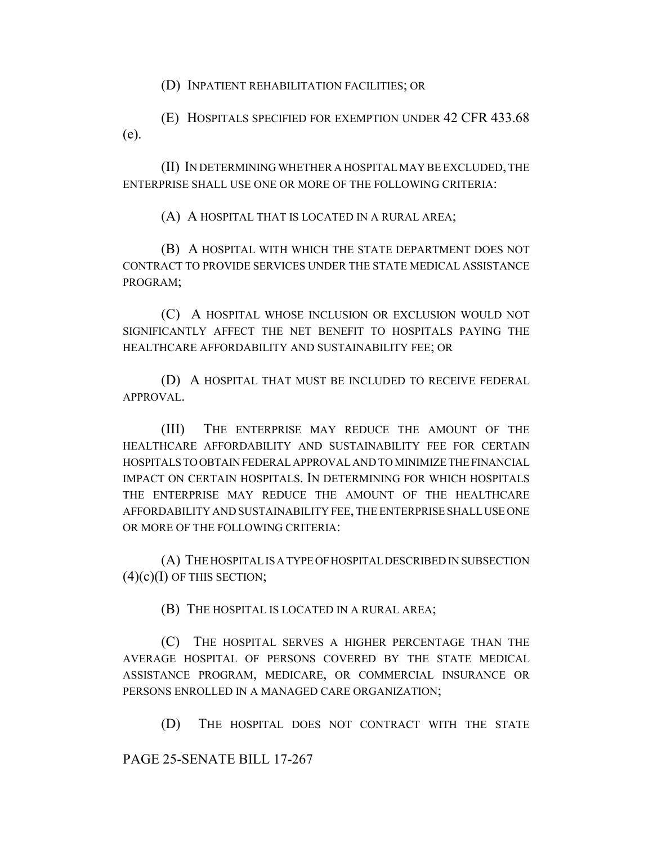(D) INPATIENT REHABILITATION FACILITIES; OR

(E) HOSPITALS SPECIFIED FOR EXEMPTION UNDER 42 CFR 433.68 (e).

(II) IN DETERMINING WHETHER A HOSPITAL MAY BE EXCLUDED, THE ENTERPRISE SHALL USE ONE OR MORE OF THE FOLLOWING CRITERIA:

(A) A HOSPITAL THAT IS LOCATED IN A RURAL AREA;

(B) A HOSPITAL WITH WHICH THE STATE DEPARTMENT DOES NOT CONTRACT TO PROVIDE SERVICES UNDER THE STATE MEDICAL ASSISTANCE PROGRAM;

(C) A HOSPITAL WHOSE INCLUSION OR EXCLUSION WOULD NOT SIGNIFICANTLY AFFECT THE NET BENEFIT TO HOSPITALS PAYING THE HEALTHCARE AFFORDABILITY AND SUSTAINABILITY FEE; OR

(D) A HOSPITAL THAT MUST BE INCLUDED TO RECEIVE FEDERAL APPROVAL.

(III) THE ENTERPRISE MAY REDUCE THE AMOUNT OF THE HEALTHCARE AFFORDABILITY AND SUSTAINABILITY FEE FOR CERTAIN HOSPITALS TO OBTAIN FEDERAL APPROVAL AND TO MINIMIZE THE FINANCIAL IMPACT ON CERTAIN HOSPITALS. IN DETERMINING FOR WHICH HOSPITALS THE ENTERPRISE MAY REDUCE THE AMOUNT OF THE HEALTHCARE AFFORDABILITY AND SUSTAINABILITY FEE, THE ENTERPRISE SHALL USE ONE OR MORE OF THE FOLLOWING CRITERIA:

(A) THE HOSPITAL IS A TYPE OF HOSPITAL DESCRIBED IN SUBSECTION  $(4)(c)(I)$  OF THIS SECTION;

(B) THE HOSPITAL IS LOCATED IN A RURAL AREA;

(C) THE HOSPITAL SERVES A HIGHER PERCENTAGE THAN THE AVERAGE HOSPITAL OF PERSONS COVERED BY THE STATE MEDICAL ASSISTANCE PROGRAM, MEDICARE, OR COMMERCIAL INSURANCE OR PERSONS ENROLLED IN A MANAGED CARE ORGANIZATION;

(D) THE HOSPITAL DOES NOT CONTRACT WITH THE STATE

PAGE 25-SENATE BILL 17-267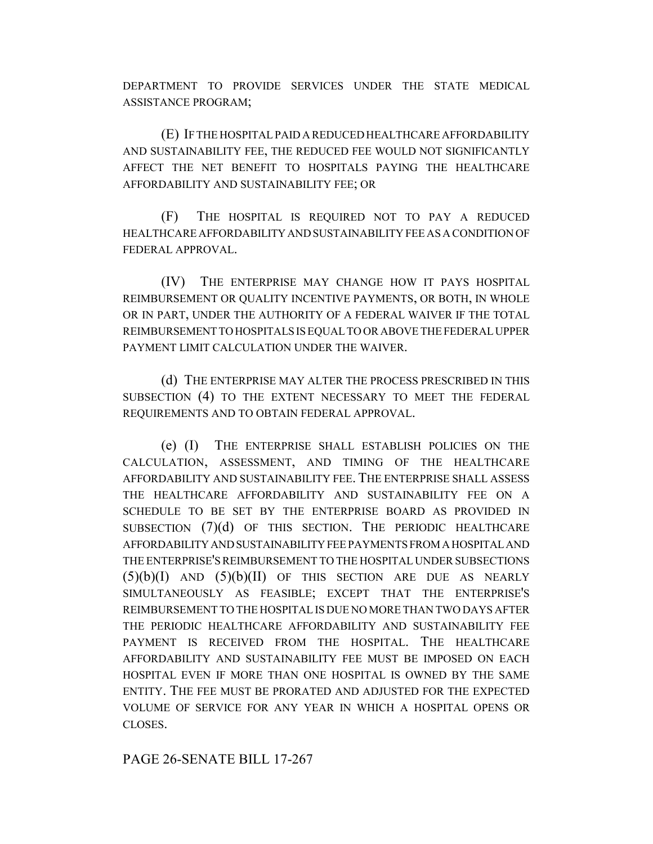DEPARTMENT TO PROVIDE SERVICES UNDER THE STATE MEDICAL ASSISTANCE PROGRAM;

(E) IF THE HOSPITAL PAID A REDUCED HEALTHCARE AFFORDABILITY AND SUSTAINABILITY FEE, THE REDUCED FEE WOULD NOT SIGNIFICANTLY AFFECT THE NET BENEFIT TO HOSPITALS PAYING THE HEALTHCARE AFFORDABILITY AND SUSTAINABILITY FEE; OR

(F) THE HOSPITAL IS REQUIRED NOT TO PAY A REDUCED HEALTHCARE AFFORDABILITY AND SUSTAINABILITY FEE AS A CONDITION OF FEDERAL APPROVAL.

(IV) THE ENTERPRISE MAY CHANGE HOW IT PAYS HOSPITAL REIMBURSEMENT OR QUALITY INCENTIVE PAYMENTS, OR BOTH, IN WHOLE OR IN PART, UNDER THE AUTHORITY OF A FEDERAL WAIVER IF THE TOTAL REIMBURSEMENT TO HOSPITALS IS EQUAL TO OR ABOVE THE FEDERAL UPPER PAYMENT LIMIT CALCULATION UNDER THE WAIVER.

(d) THE ENTERPRISE MAY ALTER THE PROCESS PRESCRIBED IN THIS SUBSECTION (4) TO THE EXTENT NECESSARY TO MEET THE FEDERAL REQUIREMENTS AND TO OBTAIN FEDERAL APPROVAL.

(e) (I) THE ENTERPRISE SHALL ESTABLISH POLICIES ON THE CALCULATION, ASSESSMENT, AND TIMING OF THE HEALTHCARE AFFORDABILITY AND SUSTAINABILITY FEE. THE ENTERPRISE SHALL ASSESS THE HEALTHCARE AFFORDABILITY AND SUSTAINABILITY FEE ON A SCHEDULE TO BE SET BY THE ENTERPRISE BOARD AS PROVIDED IN SUBSECTION (7)(d) OF THIS SECTION. THE PERIODIC HEALTHCARE AFFORDABILITY AND SUSTAINABILITY FEE PAYMENTS FROM A HOSPITAL AND THE ENTERPRISE'S REIMBURSEMENT TO THE HOSPITAL UNDER SUBSECTIONS  $(5)(b)(I)$  AND  $(5)(b)(II)$  OF THIS SECTION ARE DUE AS NEARLY SIMULTANEOUSLY AS FEASIBLE; EXCEPT THAT THE ENTERPRISE'S REIMBURSEMENT TO THE HOSPITAL IS DUE NO MORE THAN TWO DAYS AFTER THE PERIODIC HEALTHCARE AFFORDABILITY AND SUSTAINABILITY FEE PAYMENT IS RECEIVED FROM THE HOSPITAL. THE HEALTHCARE AFFORDABILITY AND SUSTAINABILITY FEE MUST BE IMPOSED ON EACH HOSPITAL EVEN IF MORE THAN ONE HOSPITAL IS OWNED BY THE SAME ENTITY. THE FEE MUST BE PRORATED AND ADJUSTED FOR THE EXPECTED VOLUME OF SERVICE FOR ANY YEAR IN WHICH A HOSPITAL OPENS OR CLOSES.

PAGE 26-SENATE BILL 17-267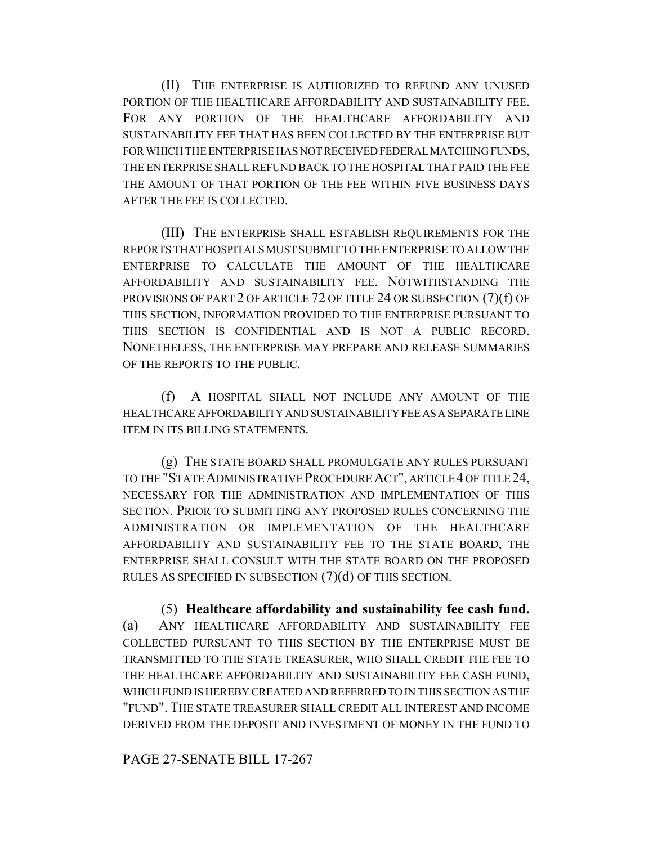(II) THE ENTERPRISE IS AUTHORIZED TO REFUND ANY UNUSED PORTION OF THE HEALTHCARE AFFORDABILITY AND SUSTAINABILITY FEE. FOR ANY PORTION OF THE HEALTHCARE AFFORDABILITY AND SUSTAINABILITY FEE THAT HAS BEEN COLLECTED BY THE ENTERPRISE BUT FOR WHICH THE ENTERPRISE HAS NOT RECEIVED FEDERAL MATCHING FUNDS, THE ENTERPRISE SHALL REFUND BACK TO THE HOSPITAL THAT PAID THE FEE THE AMOUNT OF THAT PORTION OF THE FEE WITHIN FIVE BUSINESS DAYS AFTER THE FEE IS COLLECTED.

(III) THE ENTERPRISE SHALL ESTABLISH REQUIREMENTS FOR THE REPORTS THAT HOSPITALS MUST SUBMIT TO THE ENTERPRISE TO ALLOW THE ENTERPRISE TO CALCULATE THE AMOUNT OF THE HEALTHCARE AFFORDABILITY AND SUSTAINABILITY FEE. NOTWITHSTANDING THE PROVISIONS OF PART 2 OF ARTICLE 72 OF TITLE 24 OR SUBSECTION (7)(f) OF THIS SECTION, INFORMATION PROVIDED TO THE ENTERPRISE PURSUANT TO THIS SECTION IS CONFIDENTIAL AND IS NOT A PUBLIC RECORD. NONETHELESS, THE ENTERPRISE MAY PREPARE AND RELEASE SUMMARIES OF THE REPORTS TO THE PUBLIC.

(f) A HOSPITAL SHALL NOT INCLUDE ANY AMOUNT OF THE HEALTHCARE AFFORDABILITY AND SUSTAINABILITY FEE AS A SEPARATE LINE ITEM IN ITS BILLING STATEMENTS.

(g) THE STATE BOARD SHALL PROMULGATE ANY RULES PURSUANT TO THE "STATE ADMINISTRATIVE PROCEDURE ACT", ARTICLE 4 OF TITLE 24, NECESSARY FOR THE ADMINISTRATION AND IMPLEMENTATION OF THIS SECTION. PRIOR TO SUBMITTING ANY PROPOSED RULES CONCERNING THE ADMINISTRATION OR IMPLEMENTATION OF THE HEALTHCARE AFFORDABILITY AND SUSTAINABILITY FEE TO THE STATE BOARD, THE ENTERPRISE SHALL CONSULT WITH THE STATE BOARD ON THE PROPOSED RULES AS SPECIFIED IN SUBSECTION  $(7)(d)$  OF THIS SECTION.

(5) **Healthcare affordability and sustainability fee cash fund.** (a) ANY HEALTHCARE AFFORDABILITY AND SUSTAINABILITY FEE COLLECTED PURSUANT TO THIS SECTION BY THE ENTERPRISE MUST BE TRANSMITTED TO THE STATE TREASURER, WHO SHALL CREDIT THE FEE TO THE HEALTHCARE AFFORDABILITY AND SUSTAINABILITY FEE CASH FUND, WHICH FUND IS HEREBY CREATED AND REFERRED TO IN THIS SECTION AS THE "FUND". THE STATE TREASURER SHALL CREDIT ALL INTEREST AND INCOME DERIVED FROM THE DEPOSIT AND INVESTMENT OF MONEY IN THE FUND TO

## PAGE 27-SENATE BILL 17-267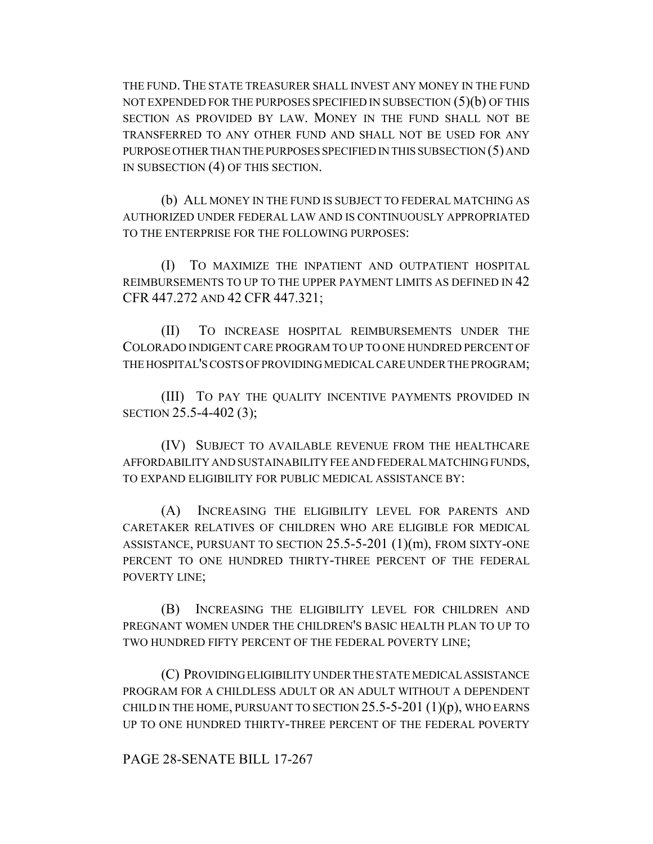THE FUND. THE STATE TREASURER SHALL INVEST ANY MONEY IN THE FUND NOT EXPENDED FOR THE PURPOSES SPECIFIED IN SUBSECTION  $(5)(b)$  OF THIS SECTION AS PROVIDED BY LAW. MONEY IN THE FUND SHALL NOT BE TRANSFERRED TO ANY OTHER FUND AND SHALL NOT BE USED FOR ANY PURPOSE OTHER THAN THE PURPOSES SPECIFIED IN THIS SUBSECTION (5) AND IN SUBSECTION (4) OF THIS SECTION.

(b) ALL MONEY IN THE FUND IS SUBJECT TO FEDERAL MATCHING AS AUTHORIZED UNDER FEDERAL LAW AND IS CONTINUOUSLY APPROPRIATED TO THE ENTERPRISE FOR THE FOLLOWING PURPOSES:

(I) TO MAXIMIZE THE INPATIENT AND OUTPATIENT HOSPITAL REIMBURSEMENTS TO UP TO THE UPPER PAYMENT LIMITS AS DEFINED IN 42 CFR 447.272 AND 42 CFR 447.321;

(II) TO INCREASE HOSPITAL REIMBURSEMENTS UNDER THE COLORADO INDIGENT CARE PROGRAM TO UP TO ONE HUNDRED PERCENT OF THE HOSPITAL'S COSTS OF PROVIDING MEDICAL CARE UNDER THE PROGRAM;

(III) TO PAY THE QUALITY INCENTIVE PAYMENTS PROVIDED IN SECTION 25.5-4-402 (3);

(IV) SUBJECT TO AVAILABLE REVENUE FROM THE HEALTHCARE AFFORDABILITY AND SUSTAINABILITY FEE AND FEDERAL MATCHING FUNDS, TO EXPAND ELIGIBILITY FOR PUBLIC MEDICAL ASSISTANCE BY:

(A) INCREASING THE ELIGIBILITY LEVEL FOR PARENTS AND CARETAKER RELATIVES OF CHILDREN WHO ARE ELIGIBLE FOR MEDICAL ASSISTANCE, PURSUANT TO SECTION 25.5-5-201 (1)(m), FROM SIXTY-ONE PERCENT TO ONE HUNDRED THIRTY-THREE PERCENT OF THE FEDERAL POVERTY LINE;

(B) INCREASING THE ELIGIBILITY LEVEL FOR CHILDREN AND PREGNANT WOMEN UNDER THE CHILDREN'S BASIC HEALTH PLAN TO UP TO TWO HUNDRED FIFTY PERCENT OF THE FEDERAL POVERTY LINE;

(C) PROVIDING ELIGIBILITY UNDER THE STATE MEDICAL ASSISTANCE PROGRAM FOR A CHILDLESS ADULT OR AN ADULT WITHOUT A DEPENDENT CHILD IN THE HOME, PURSUANT TO SECTION  $25.5$ -5-201 (1)(p), WHO EARNS UP TO ONE HUNDRED THIRTY-THREE PERCENT OF THE FEDERAL POVERTY

## PAGE 28-SENATE BILL 17-267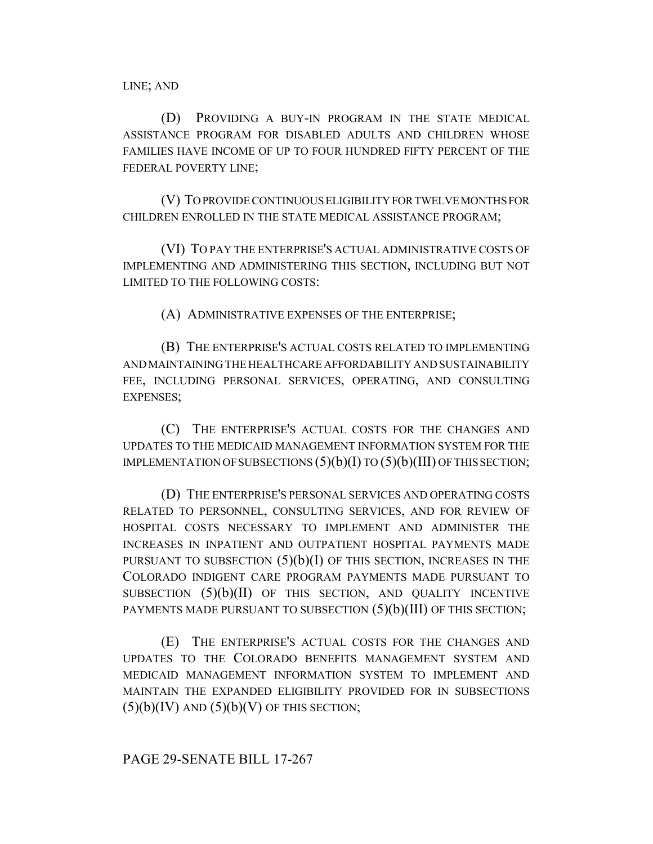LINE; AND

(D) PROVIDING A BUY-IN PROGRAM IN THE STATE MEDICAL ASSISTANCE PROGRAM FOR DISABLED ADULTS AND CHILDREN WHOSE FAMILIES HAVE INCOME OF UP TO FOUR HUNDRED FIFTY PERCENT OF THE FEDERAL POVERTY LINE;

(V) TO PROVIDE CONTINUOUS ELIGIBILITY FOR TWELVE MONTHS FOR CHILDREN ENROLLED IN THE STATE MEDICAL ASSISTANCE PROGRAM;

(VI) TO PAY THE ENTERPRISE'S ACTUAL ADMINISTRATIVE COSTS OF IMPLEMENTING AND ADMINISTERING THIS SECTION, INCLUDING BUT NOT LIMITED TO THE FOLLOWING COSTS:

(A) ADMINISTRATIVE EXPENSES OF THE ENTERPRISE;

(B) THE ENTERPRISE'S ACTUAL COSTS RELATED TO IMPLEMENTING AND MAINTAINING THE HEALTHCARE AFFORDABILITY AND SUSTAINABILITY FEE, INCLUDING PERSONAL SERVICES, OPERATING, AND CONSULTING EXPENSES;

(C) THE ENTERPRISE'S ACTUAL COSTS FOR THE CHANGES AND UPDATES TO THE MEDICAID MANAGEMENT INFORMATION SYSTEM FOR THE IMPLEMENTATION OF SUBSECTIONS  $(5)(b)(I)$  TO  $(5)(b)(III)$  OF THIS SECTION;

(D) THE ENTERPRISE'S PERSONAL SERVICES AND OPERATING COSTS RELATED TO PERSONNEL, CONSULTING SERVICES, AND FOR REVIEW OF HOSPITAL COSTS NECESSARY TO IMPLEMENT AND ADMINISTER THE INCREASES IN INPATIENT AND OUTPATIENT HOSPITAL PAYMENTS MADE PURSUANT TO SUBSECTION  $(5)(b)(I)$  OF THIS SECTION, INCREASES IN THE COLORADO INDIGENT CARE PROGRAM PAYMENTS MADE PURSUANT TO SUBSECTION  $(5)(b)(II)$  OF THIS SECTION, AND QUALITY INCENTIVE PAYMENTS MADE PURSUANT TO SUBSECTION  $(5)(b)(III)$  OF THIS SECTION;

(E) THE ENTERPRISE'S ACTUAL COSTS FOR THE CHANGES AND UPDATES TO THE COLORADO BENEFITS MANAGEMENT SYSTEM AND MEDICAID MANAGEMENT INFORMATION SYSTEM TO IMPLEMENT AND MAINTAIN THE EXPANDED ELIGIBILITY PROVIDED FOR IN SUBSECTIONS  $(5)(b)(IV)$  AND  $(5)(b)(V)$  OF THIS SECTION;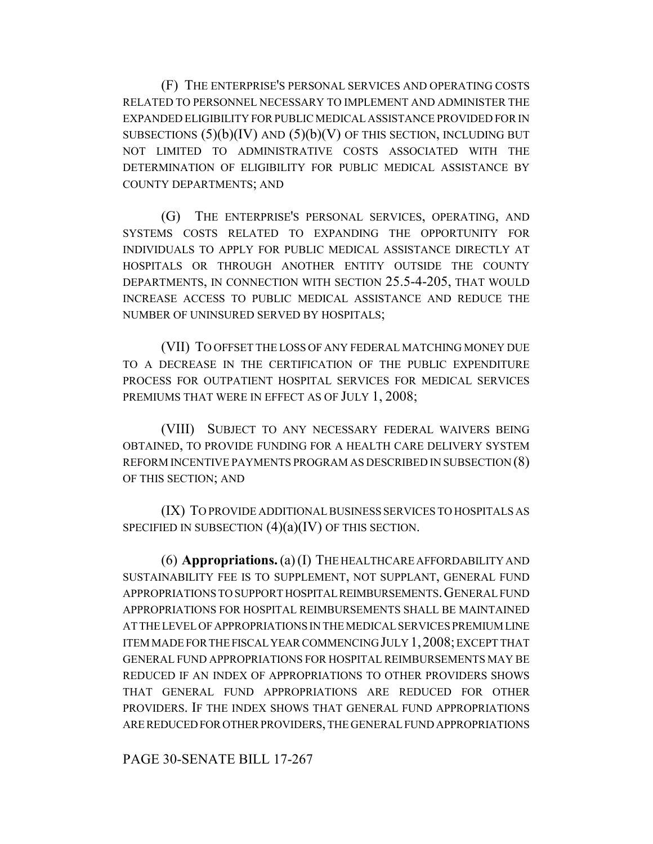(F) THE ENTERPRISE'S PERSONAL SERVICES AND OPERATING COSTS RELATED TO PERSONNEL NECESSARY TO IMPLEMENT AND ADMINISTER THE EXPANDED ELIGIBILITY FOR PUBLIC MEDICAL ASSISTANCE PROVIDED FOR IN SUBSECTIONS  $(5)(b)(IV)$  AND  $(5)(b)(V)$  OF THIS SECTION, INCLUDING BUT NOT LIMITED TO ADMINISTRATIVE COSTS ASSOCIATED WITH THE DETERMINATION OF ELIGIBILITY FOR PUBLIC MEDICAL ASSISTANCE BY COUNTY DEPARTMENTS; AND

(G) THE ENTERPRISE'S PERSONAL SERVICES, OPERATING, AND SYSTEMS COSTS RELATED TO EXPANDING THE OPPORTUNITY FOR INDIVIDUALS TO APPLY FOR PUBLIC MEDICAL ASSISTANCE DIRECTLY AT HOSPITALS OR THROUGH ANOTHER ENTITY OUTSIDE THE COUNTY DEPARTMENTS, IN CONNECTION WITH SECTION 25.5-4-205, THAT WOULD INCREASE ACCESS TO PUBLIC MEDICAL ASSISTANCE AND REDUCE THE NUMBER OF UNINSURED SERVED BY HOSPITALS;

(VII) TO OFFSET THE LOSS OF ANY FEDERAL MATCHING MONEY DUE TO A DECREASE IN THE CERTIFICATION OF THE PUBLIC EXPENDITURE PROCESS FOR OUTPATIENT HOSPITAL SERVICES FOR MEDICAL SERVICES PREMIUMS THAT WERE IN EFFECT AS OF JULY 1, 2008;

(VIII) SUBJECT TO ANY NECESSARY FEDERAL WAIVERS BEING OBTAINED, TO PROVIDE FUNDING FOR A HEALTH CARE DELIVERY SYSTEM REFORM INCENTIVE PAYMENTS PROGRAM AS DESCRIBED IN SUBSECTION (8) OF THIS SECTION; AND

(IX) TO PROVIDE ADDITIONAL BUSINESS SERVICES TO HOSPITALS AS SPECIFIED IN SUBSECTION  $(4)(a)(IV)$  OF THIS SECTION.

(6) **Appropriations.** (a) (I) THE HEALTHCARE AFFORDABILITY AND SUSTAINABILITY FEE IS TO SUPPLEMENT, NOT SUPPLANT, GENERAL FUND APPROPRIATIONS TO SUPPORT HOSPITAL REIMBURSEMENTS.GENERAL FUND APPROPRIATIONS FOR HOSPITAL REIMBURSEMENTS SHALL BE MAINTAINED AT THE LEVEL OF APPROPRIATIONS IN THE MEDICAL SERVICES PREMIUM LINE ITEM MADE FOR THE FISCAL YEAR COMMENCING JULY 1,2008; EXCEPT THAT GENERAL FUND APPROPRIATIONS FOR HOSPITAL REIMBURSEMENTS MAY BE REDUCED IF AN INDEX OF APPROPRIATIONS TO OTHER PROVIDERS SHOWS THAT GENERAL FUND APPROPRIATIONS ARE REDUCED FOR OTHER PROVIDERS. IF THE INDEX SHOWS THAT GENERAL FUND APPROPRIATIONS ARE REDUCED FOR OTHER PROVIDERS, THE GENERAL FUND APPROPRIATIONS

PAGE 30-SENATE BILL 17-267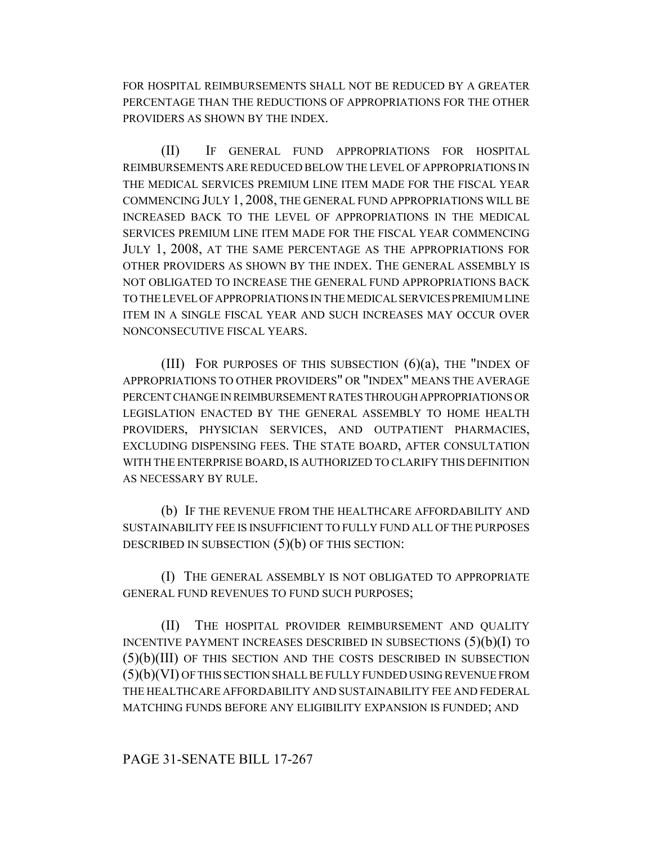FOR HOSPITAL REIMBURSEMENTS SHALL NOT BE REDUCED BY A GREATER PERCENTAGE THAN THE REDUCTIONS OF APPROPRIATIONS FOR THE OTHER PROVIDERS AS SHOWN BY THE INDEX.

(II) IF GENERAL FUND APPROPRIATIONS FOR HOSPITAL REIMBURSEMENTS ARE REDUCED BELOW THE LEVEL OF APPROPRIATIONS IN THE MEDICAL SERVICES PREMIUM LINE ITEM MADE FOR THE FISCAL YEAR COMMENCING JULY 1, 2008, THE GENERAL FUND APPROPRIATIONS WILL BE INCREASED BACK TO THE LEVEL OF APPROPRIATIONS IN THE MEDICAL SERVICES PREMIUM LINE ITEM MADE FOR THE FISCAL YEAR COMMENCING JULY 1, 2008, AT THE SAME PERCENTAGE AS THE APPROPRIATIONS FOR OTHER PROVIDERS AS SHOWN BY THE INDEX. THE GENERAL ASSEMBLY IS NOT OBLIGATED TO INCREASE THE GENERAL FUND APPROPRIATIONS BACK TO THE LEVEL OF APPROPRIATIONS IN THE MEDICAL SERVICES PREMIUM LINE ITEM IN A SINGLE FISCAL YEAR AND SUCH INCREASES MAY OCCUR OVER NONCONSECUTIVE FISCAL YEARS.

(III) FOR PURPOSES OF THIS SUBSECTION  $(6)(a)$ , THE "INDEX OF APPROPRIATIONS TO OTHER PROVIDERS" OR "INDEX" MEANS THE AVERAGE PERCENT CHANGE IN REIMBURSEMENT RATES THROUGH APPROPRIATIONS OR LEGISLATION ENACTED BY THE GENERAL ASSEMBLY TO HOME HEALTH PROVIDERS, PHYSICIAN SERVICES, AND OUTPATIENT PHARMACIES, EXCLUDING DISPENSING FEES. THE STATE BOARD, AFTER CONSULTATION WITH THE ENTERPRISE BOARD, IS AUTHORIZED TO CLARIFY THIS DEFINITION AS NECESSARY BY RULE.

(b) IF THE REVENUE FROM THE HEALTHCARE AFFORDABILITY AND SUSTAINABILITY FEE IS INSUFFICIENT TO FULLY FUND ALL OF THE PURPOSES DESCRIBED IN SUBSECTION (5)(b) OF THIS SECTION:

(I) THE GENERAL ASSEMBLY IS NOT OBLIGATED TO APPROPRIATE GENERAL FUND REVENUES TO FUND SUCH PURPOSES;

(II) THE HOSPITAL PROVIDER REIMBURSEMENT AND QUALITY INCENTIVE PAYMENT INCREASES DESCRIBED IN SUBSECTIONS  $(5)(b)(I)$  TO (5)(b)(III) OF THIS SECTION AND THE COSTS DESCRIBED IN SUBSECTION (5)(b)(VI) OF THIS SECTION SHALL BE FULLY FUNDED USING REVENUE FROM THE HEALTHCARE AFFORDABILITY AND SUSTAINABILITY FEE AND FEDERAL MATCHING FUNDS BEFORE ANY ELIGIBILITY EXPANSION IS FUNDED; AND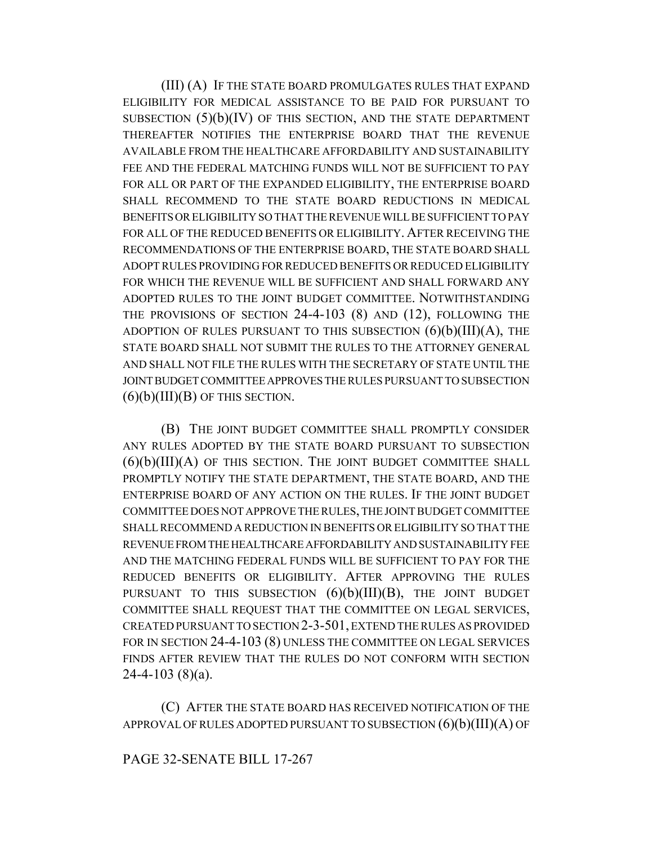(III) (A) IF THE STATE BOARD PROMULGATES RULES THAT EXPAND ELIGIBILITY FOR MEDICAL ASSISTANCE TO BE PAID FOR PURSUANT TO SUBSECTION (5)(b)(IV) OF THIS SECTION, AND THE STATE DEPARTMENT THEREAFTER NOTIFIES THE ENTERPRISE BOARD THAT THE REVENUE AVAILABLE FROM THE HEALTHCARE AFFORDABILITY AND SUSTAINABILITY FEE AND THE FEDERAL MATCHING FUNDS WILL NOT BE SUFFICIENT TO PAY FOR ALL OR PART OF THE EXPANDED ELIGIBILITY, THE ENTERPRISE BOARD SHALL RECOMMEND TO THE STATE BOARD REDUCTIONS IN MEDICAL BENEFITS OR ELIGIBILITY SO THAT THE REVENUE WILL BE SUFFICIENT TO PAY FOR ALL OF THE REDUCED BENEFITS OR ELIGIBILITY. AFTER RECEIVING THE RECOMMENDATIONS OF THE ENTERPRISE BOARD, THE STATE BOARD SHALL ADOPT RULES PROVIDING FOR REDUCED BENEFITS OR REDUCED ELIGIBILITY FOR WHICH THE REVENUE WILL BE SUFFICIENT AND SHALL FORWARD ANY ADOPTED RULES TO THE JOINT BUDGET COMMITTEE. NOTWITHSTANDING THE PROVISIONS OF SECTION 24-4-103 (8) AND (12), FOLLOWING THE ADOPTION OF RULES PURSUANT TO THIS SUBSECTION  $(6)(b)(III)(A)$ , THE STATE BOARD SHALL NOT SUBMIT THE RULES TO THE ATTORNEY GENERAL AND SHALL NOT FILE THE RULES WITH THE SECRETARY OF STATE UNTIL THE JOINT BUDGET COMMITTEE APPROVES THE RULES PURSUANT TO SUBSECTION  $(6)(b)(III)(B)$  OF THIS SECTION.

(B) THE JOINT BUDGET COMMITTEE SHALL PROMPTLY CONSIDER ANY RULES ADOPTED BY THE STATE BOARD PURSUANT TO SUBSECTION  $(6)(b)(III)(A)$  of this section. The joint budget committee shall PROMPTLY NOTIFY THE STATE DEPARTMENT, THE STATE BOARD, AND THE ENTERPRISE BOARD OF ANY ACTION ON THE RULES. IF THE JOINT BUDGET COMMITTEE DOES NOT APPROVE THE RULES, THE JOINT BUDGET COMMITTEE SHALL RECOMMEND A REDUCTION IN BENEFITS OR ELIGIBILITY SO THAT THE REVENUE FROM THE HEALTHCARE AFFORDABILITY AND SUSTAINABILITY FEE AND THE MATCHING FEDERAL FUNDS WILL BE SUFFICIENT TO PAY FOR THE REDUCED BENEFITS OR ELIGIBILITY. AFTER APPROVING THE RULES PURSUANT TO THIS SUBSECTION  $(6)(b)(III)(B)$ , THE JOINT BUDGET COMMITTEE SHALL REQUEST THAT THE COMMITTEE ON LEGAL SERVICES, CREATED PURSUANT TO SECTION 2-3-501, EXTEND THE RULES AS PROVIDED FOR IN SECTION 24-4-103 (8) UNLESS THE COMMITTEE ON LEGAL SERVICES FINDS AFTER REVIEW THAT THE RULES DO NOT CONFORM WITH SECTION  $24-4-103$  (8)(a).

(C) AFTER THE STATE BOARD HAS RECEIVED NOTIFICATION OF THE APPROVAL OF RULES ADOPTED PURSUANT TO SUBSECTION  $(6)(b)(III)(A)$  OF

## PAGE 32-SENATE BILL 17-267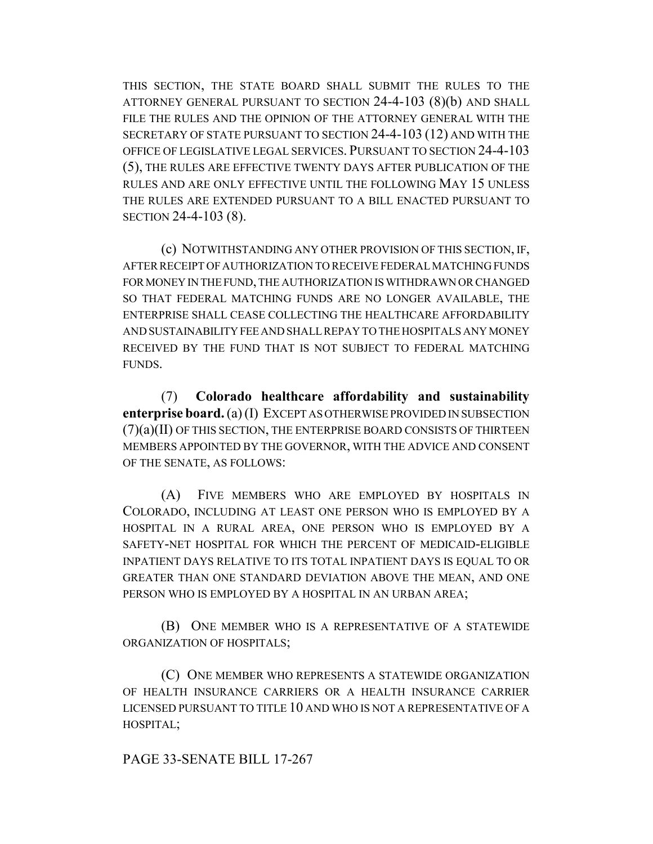THIS SECTION, THE STATE BOARD SHALL SUBMIT THE RULES TO THE ATTORNEY GENERAL PURSUANT TO SECTION 24-4-103 (8)(b) AND SHALL FILE THE RULES AND THE OPINION OF THE ATTORNEY GENERAL WITH THE SECRETARY OF STATE PURSUANT TO SECTION 24-4-103 (12) AND WITH THE OFFICE OF LEGISLATIVE LEGAL SERVICES. PURSUANT TO SECTION 24-4-103 (5), THE RULES ARE EFFECTIVE TWENTY DAYS AFTER PUBLICATION OF THE RULES AND ARE ONLY EFFECTIVE UNTIL THE FOLLOWING MAY 15 UNLESS THE RULES ARE EXTENDED PURSUANT TO A BILL ENACTED PURSUANT TO SECTION 24-4-103 (8).

(c) NOTWITHSTANDING ANY OTHER PROVISION OF THIS SECTION, IF, AFTER RECEIPT OF AUTHORIZATION TO RECEIVE FEDERAL MATCHING FUNDS FOR MONEY IN THE FUND, THE AUTHORIZATION IS WITHDRAWN OR CHANGED SO THAT FEDERAL MATCHING FUNDS ARE NO LONGER AVAILABLE, THE ENTERPRISE SHALL CEASE COLLECTING THE HEALTHCARE AFFORDABILITY AND SUSTAINABILITY FEE AND SHALL REPAY TO THE HOSPITALS ANY MONEY RECEIVED BY THE FUND THAT IS NOT SUBJECT TO FEDERAL MATCHING **FUNDS** 

(7) **Colorado healthcare affordability and sustainability enterprise board.** (a) (I) EXCEPT AS OTHERWISE PROVIDED IN SUBSECTION  $(7)(a)(II)$  OF THIS SECTION, THE ENTERPRISE BOARD CONSISTS OF THIRTEEN MEMBERS APPOINTED BY THE GOVERNOR, WITH THE ADVICE AND CONSENT OF THE SENATE, AS FOLLOWS:

(A) FIVE MEMBERS WHO ARE EMPLOYED BY HOSPITALS IN COLORADO, INCLUDING AT LEAST ONE PERSON WHO IS EMPLOYED BY A HOSPITAL IN A RURAL AREA, ONE PERSON WHO IS EMPLOYED BY A SAFETY-NET HOSPITAL FOR WHICH THE PERCENT OF MEDICAID-ELIGIBLE INPATIENT DAYS RELATIVE TO ITS TOTAL INPATIENT DAYS IS EQUAL TO OR GREATER THAN ONE STANDARD DEVIATION ABOVE THE MEAN, AND ONE PERSON WHO IS EMPLOYED BY A HOSPITAL IN AN URBAN AREA;

(B) ONE MEMBER WHO IS A REPRESENTATIVE OF A STATEWIDE ORGANIZATION OF HOSPITALS;

(C) ONE MEMBER WHO REPRESENTS A STATEWIDE ORGANIZATION OF HEALTH INSURANCE CARRIERS OR A HEALTH INSURANCE CARRIER LICENSED PURSUANT TO TITLE 10 AND WHO IS NOT A REPRESENTATIVE OF A HOSPITAL;

PAGE 33-SENATE BILL 17-267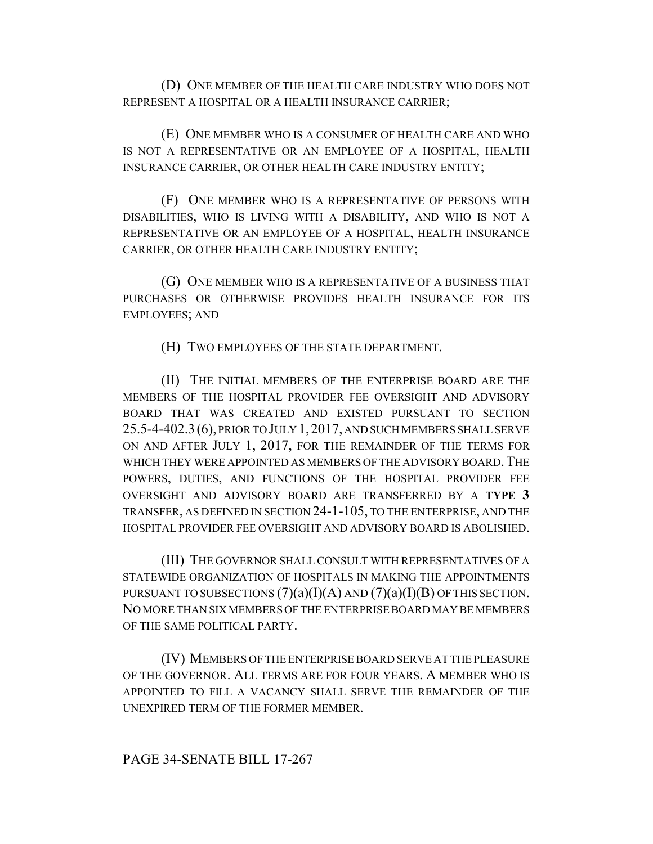(D) ONE MEMBER OF THE HEALTH CARE INDUSTRY WHO DOES NOT REPRESENT A HOSPITAL OR A HEALTH INSURANCE CARRIER;

(E) ONE MEMBER WHO IS A CONSUMER OF HEALTH CARE AND WHO IS NOT A REPRESENTATIVE OR AN EMPLOYEE OF A HOSPITAL, HEALTH INSURANCE CARRIER, OR OTHER HEALTH CARE INDUSTRY ENTITY;

(F) ONE MEMBER WHO IS A REPRESENTATIVE OF PERSONS WITH DISABILITIES, WHO IS LIVING WITH A DISABILITY, AND WHO IS NOT A REPRESENTATIVE OR AN EMPLOYEE OF A HOSPITAL, HEALTH INSURANCE CARRIER, OR OTHER HEALTH CARE INDUSTRY ENTITY;

(G) ONE MEMBER WHO IS A REPRESENTATIVE OF A BUSINESS THAT PURCHASES OR OTHERWISE PROVIDES HEALTH INSURANCE FOR ITS EMPLOYEES; AND

(H) TWO EMPLOYEES OF THE STATE DEPARTMENT.

(II) THE INITIAL MEMBERS OF THE ENTERPRISE BOARD ARE THE MEMBERS OF THE HOSPITAL PROVIDER FEE OVERSIGHT AND ADVISORY BOARD THAT WAS CREATED AND EXISTED PURSUANT TO SECTION 25.5-4-402.3(6), PRIOR TO JULY 1,2017, AND SUCH MEMBERS SHALL SERVE ON AND AFTER JULY 1, 2017, FOR THE REMAINDER OF THE TERMS FOR WHICH THEY WERE APPOINTED AS MEMBERS OF THE ADVISORY BOARD. THE POWERS, DUTIES, AND FUNCTIONS OF THE HOSPITAL PROVIDER FEE OVERSIGHT AND ADVISORY BOARD ARE TRANSFERRED BY A **TYPE 3** TRANSFER, AS DEFINED IN SECTION 24-1-105, TO THE ENTERPRISE, AND THE HOSPITAL PROVIDER FEE OVERSIGHT AND ADVISORY BOARD IS ABOLISHED.

(III) THE GOVERNOR SHALL CONSULT WITH REPRESENTATIVES OF A STATEWIDE ORGANIZATION OF HOSPITALS IN MAKING THE APPOINTMENTS PURSUANT TO SUBSECTIONS  $(7)(a)(I)(A)$  AND  $(7)(a)(I)(B)$  OF THIS SECTION. NO MORE THAN SIX MEMBERS OF THE ENTERPRISE BOARD MAY BE MEMBERS OF THE SAME POLITICAL PARTY.

(IV) MEMBERS OF THE ENTERPRISE BOARD SERVE AT THE PLEASURE OF THE GOVERNOR. ALL TERMS ARE FOR FOUR YEARS. A MEMBER WHO IS APPOINTED TO FILL A VACANCY SHALL SERVE THE REMAINDER OF THE UNEXPIRED TERM OF THE FORMER MEMBER.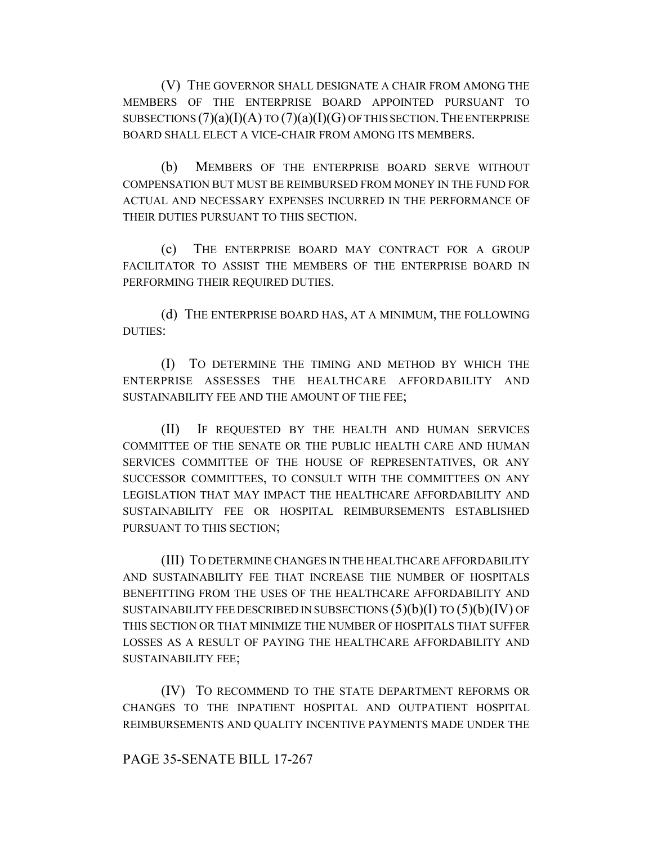(V) THE GOVERNOR SHALL DESIGNATE A CHAIR FROM AMONG THE MEMBERS OF THE ENTERPRISE BOARD APPOINTED PURSUANT TO SUBSECTIONS  $(7)(a)(I)(A)$  TO  $(7)(a)(I)(G)$  OF THIS SECTION. THE ENTERPRISE BOARD SHALL ELECT A VICE-CHAIR FROM AMONG ITS MEMBERS.

(b) MEMBERS OF THE ENTERPRISE BOARD SERVE WITHOUT COMPENSATION BUT MUST BE REIMBURSED FROM MONEY IN THE FUND FOR ACTUAL AND NECESSARY EXPENSES INCURRED IN THE PERFORMANCE OF THEIR DUTIES PURSUANT TO THIS SECTION.

(c) THE ENTERPRISE BOARD MAY CONTRACT FOR A GROUP FACILITATOR TO ASSIST THE MEMBERS OF THE ENTERPRISE BOARD IN PERFORMING THEIR REQUIRED DUTIES.

(d) THE ENTERPRISE BOARD HAS, AT A MINIMUM, THE FOLLOWING DUTIES:

(I) TO DETERMINE THE TIMING AND METHOD BY WHICH THE ENTERPRISE ASSESSES THE HEALTHCARE AFFORDABILITY AND SUSTAINABILITY FEE AND THE AMOUNT OF THE FEE;

(II) IF REQUESTED BY THE HEALTH AND HUMAN SERVICES COMMITTEE OF THE SENATE OR THE PUBLIC HEALTH CARE AND HUMAN SERVICES COMMITTEE OF THE HOUSE OF REPRESENTATIVES, OR ANY SUCCESSOR COMMITTEES, TO CONSULT WITH THE COMMITTEES ON ANY LEGISLATION THAT MAY IMPACT THE HEALTHCARE AFFORDABILITY AND SUSTAINABILITY FEE OR HOSPITAL REIMBURSEMENTS ESTABLISHED PURSUANT TO THIS SECTION;

(III) TO DETERMINE CHANGES IN THE HEALTHCARE AFFORDABILITY AND SUSTAINABILITY FEE THAT INCREASE THE NUMBER OF HOSPITALS BENEFITTING FROM THE USES OF THE HEALTHCARE AFFORDABILITY AND SUSTAINABILITY FEE DESCRIBED IN SUBSECTIONS  $(5)(b)(I)$  TO  $(5)(b)(IV)$  OF THIS SECTION OR THAT MINIMIZE THE NUMBER OF HOSPITALS THAT SUFFER LOSSES AS A RESULT OF PAYING THE HEALTHCARE AFFORDABILITY AND SUSTAINABILITY FEE;

(IV) TO RECOMMEND TO THE STATE DEPARTMENT REFORMS OR CHANGES TO THE INPATIENT HOSPITAL AND OUTPATIENT HOSPITAL REIMBURSEMENTS AND QUALITY INCENTIVE PAYMENTS MADE UNDER THE

#### PAGE 35-SENATE BILL 17-267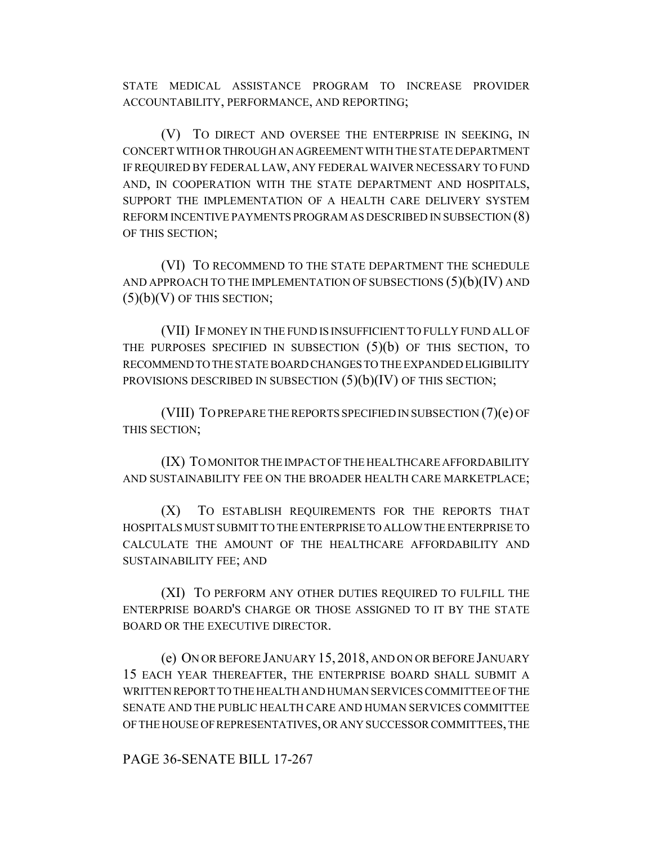STATE MEDICAL ASSISTANCE PROGRAM TO INCREASE PROVIDER ACCOUNTABILITY, PERFORMANCE, AND REPORTING;

(V) TO DIRECT AND OVERSEE THE ENTERPRISE IN SEEKING, IN CONCERT WITH OR THROUGH AN AGREEMENT WITH THE STATE DEPARTMENT IF REQUIRED BY FEDERAL LAW, ANY FEDERAL WAIVER NECESSARY TO FUND AND, IN COOPERATION WITH THE STATE DEPARTMENT AND HOSPITALS, SUPPORT THE IMPLEMENTATION OF A HEALTH CARE DELIVERY SYSTEM REFORM INCENTIVE PAYMENTS PROGRAM AS DESCRIBED IN SUBSECTION (8) OF THIS SECTION;

(VI) TO RECOMMEND TO THE STATE DEPARTMENT THE SCHEDULE AND APPROACH TO THE IMPLEMENTATION OF SUBSECTIONS  $(5)(b)(IV)$  AND  $(5)(b)(V)$  OF THIS SECTION;

(VII) IF MONEY IN THE FUND IS INSUFFICIENT TO FULLY FUND ALL OF THE PURPOSES SPECIFIED IN SUBSECTION (5)(b) OF THIS SECTION, TO RECOMMEND TO THE STATE BOARD CHANGES TO THE EXPANDED ELIGIBILITY PROVISIONS DESCRIBED IN SUBSECTION  $(5)(b)(IV)$  OF THIS SECTION;

(VIII) TO PREPARE THE REPORTS SPECIFIED IN SUBSECTION (7)(e) OF THIS SECTION;

(IX) TO MONITOR THE IMPACT OF THE HEALTHCARE AFFORDABILITY AND SUSTAINABILITY FEE ON THE BROADER HEALTH CARE MARKETPLACE;

(X) TO ESTABLISH REQUIREMENTS FOR THE REPORTS THAT HOSPITALS MUST SUBMIT TO THE ENTERPRISE TO ALLOW THE ENTERPRISE TO CALCULATE THE AMOUNT OF THE HEALTHCARE AFFORDABILITY AND SUSTAINABILITY FEE; AND

(XI) TO PERFORM ANY OTHER DUTIES REQUIRED TO FULFILL THE ENTERPRISE BOARD'S CHARGE OR THOSE ASSIGNED TO IT BY THE STATE BOARD OR THE EXECUTIVE DIRECTOR.

(e) ON OR BEFORE JANUARY 15, 2018, AND ON OR BEFORE JANUARY 15 EACH YEAR THEREAFTER, THE ENTERPRISE BOARD SHALL SUBMIT A WRITTEN REPORT TO THE HEALTH AND HUMAN SERVICES COMMITTEE OF THE SENATE AND THE PUBLIC HEALTH CARE AND HUMAN SERVICES COMMITTEE OF THE HOUSE OF REPRESENTATIVES, OR ANY SUCCESSOR COMMITTEES, THE

PAGE 36-SENATE BILL 17-267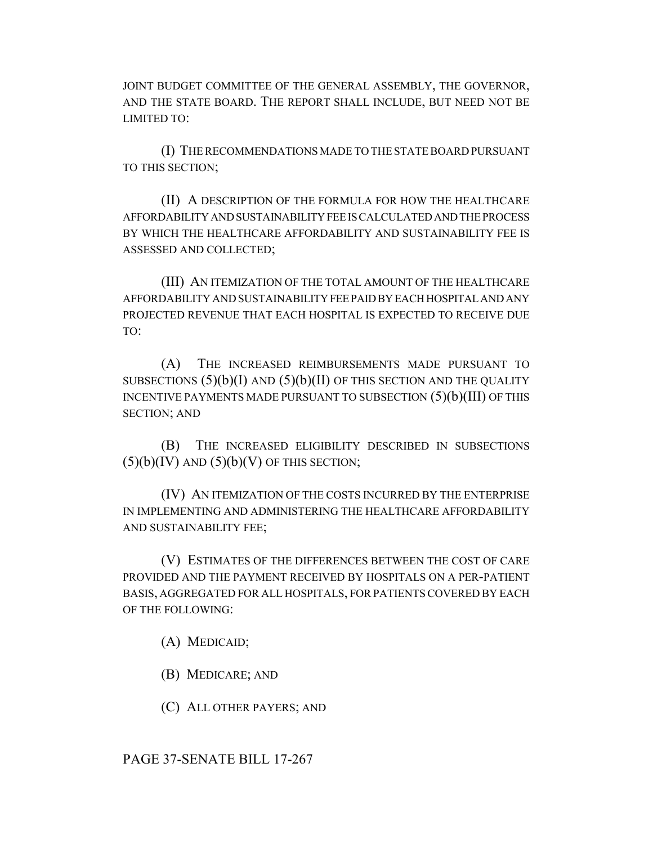JOINT BUDGET COMMITTEE OF THE GENERAL ASSEMBLY, THE GOVERNOR, AND THE STATE BOARD. THE REPORT SHALL INCLUDE, BUT NEED NOT BE LIMITED TO:

(I) THE RECOMMENDATIONS MADE TO THE STATE BOARD PURSUANT TO THIS SECTION;

(II) A DESCRIPTION OF THE FORMULA FOR HOW THE HEALTHCARE AFFORDABILITY AND SUSTAINABILITY FEE IS CALCULATED AND THE PROCESS BY WHICH THE HEALTHCARE AFFORDABILITY AND SUSTAINABILITY FEE IS ASSESSED AND COLLECTED;

(III) AN ITEMIZATION OF THE TOTAL AMOUNT OF THE HEALTHCARE AFFORDABILITY AND SUSTAINABILITY FEE PAID BY EACH HOSPITAL AND ANY PROJECTED REVENUE THAT EACH HOSPITAL IS EXPECTED TO RECEIVE DUE TO:

(A) THE INCREASED REIMBURSEMENTS MADE PURSUANT TO SUBSECTIONS  $(5)(b)(I)$  AND  $(5)(b)(II)$  OF THIS SECTION AND THE QUALITY INCENTIVE PAYMENTS MADE PURSUANT TO SUBSECTION (5)(b)(III) OF THIS SECTION; AND

(B) THE INCREASED ELIGIBILITY DESCRIBED IN SUBSECTIONS  $(5)(b)(IV)$  AND  $(5)(b)(V)$  OF THIS SECTION;

(IV) AN ITEMIZATION OF THE COSTS INCURRED BY THE ENTERPRISE IN IMPLEMENTING AND ADMINISTERING THE HEALTHCARE AFFORDABILITY AND SUSTAINABILITY FEE;

(V) ESTIMATES OF THE DIFFERENCES BETWEEN THE COST OF CARE PROVIDED AND THE PAYMENT RECEIVED BY HOSPITALS ON A PER-PATIENT BASIS, AGGREGATED FOR ALL HOSPITALS, FOR PATIENTS COVERED BY EACH OF THE FOLLOWING:

(A) MEDICAID;

(B) MEDICARE; AND

(C) ALL OTHER PAYERS; AND

PAGE 37-SENATE BILL 17-267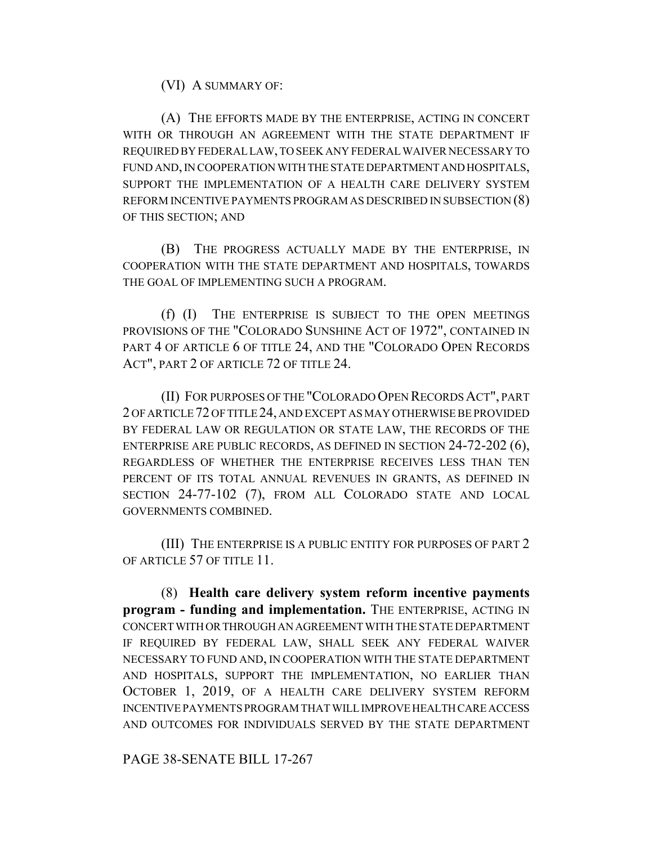(VI) A SUMMARY OF:

(A) THE EFFORTS MADE BY THE ENTERPRISE, ACTING IN CONCERT WITH OR THROUGH AN AGREEMENT WITH THE STATE DEPARTMENT IF REQUIRED BY FEDERAL LAW, TO SEEK ANY FEDERAL WAIVER NECESSARY TO FUND AND, IN COOPERATION WITH THE STATE DEPARTMENT AND HOSPITALS, SUPPORT THE IMPLEMENTATION OF A HEALTH CARE DELIVERY SYSTEM REFORM INCENTIVE PAYMENTS PROGRAM AS DESCRIBED IN SUBSECTION (8) OF THIS SECTION; AND

(B) THE PROGRESS ACTUALLY MADE BY THE ENTERPRISE, IN COOPERATION WITH THE STATE DEPARTMENT AND HOSPITALS, TOWARDS THE GOAL OF IMPLEMENTING SUCH A PROGRAM.

(f) (I) THE ENTERPRISE IS SUBJECT TO THE OPEN MEETINGS PROVISIONS OF THE "COLORADO SUNSHINE ACT OF 1972", CONTAINED IN PART 4 OF ARTICLE 6 OF TITLE 24, AND THE "COLORADO OPEN RECORDS ACT", PART 2 OF ARTICLE 72 OF TITLE 24.

(II) FOR PURPOSES OF THE "COLORADO OPEN RECORDS ACT", PART 2 OF ARTICLE 72 OF TITLE 24, AND EXCEPT AS MAY OTHERWISE BE PROVIDED BY FEDERAL LAW OR REGULATION OR STATE LAW, THE RECORDS OF THE ENTERPRISE ARE PUBLIC RECORDS, AS DEFINED IN SECTION 24-72-202 (6), REGARDLESS OF WHETHER THE ENTERPRISE RECEIVES LESS THAN TEN PERCENT OF ITS TOTAL ANNUAL REVENUES IN GRANTS, AS DEFINED IN SECTION 24-77-102 (7), FROM ALL COLORADO STATE AND LOCAL GOVERNMENTS COMBINED.

(III) THE ENTERPRISE IS A PUBLIC ENTITY FOR PURPOSES OF PART 2 OF ARTICLE 57 OF TITLE 11.

(8) **Health care delivery system reform incentive payments program - funding and implementation.** THE ENTERPRISE, ACTING IN CONCERT WITH OR THROUGH AN AGREEMENT WITH THE STATE DEPARTMENT IF REQUIRED BY FEDERAL LAW, SHALL SEEK ANY FEDERAL WAIVER NECESSARY TO FUND AND, IN COOPERATION WITH THE STATE DEPARTMENT AND HOSPITALS, SUPPORT THE IMPLEMENTATION, NO EARLIER THAN OCTOBER 1, 2019, OF A HEALTH CARE DELIVERY SYSTEM REFORM INCENTIVE PAYMENTS PROGRAM THAT WILL IMPROVE HEALTH CARE ACCESS AND OUTCOMES FOR INDIVIDUALS SERVED BY THE STATE DEPARTMENT

PAGE 38-SENATE BILL 17-267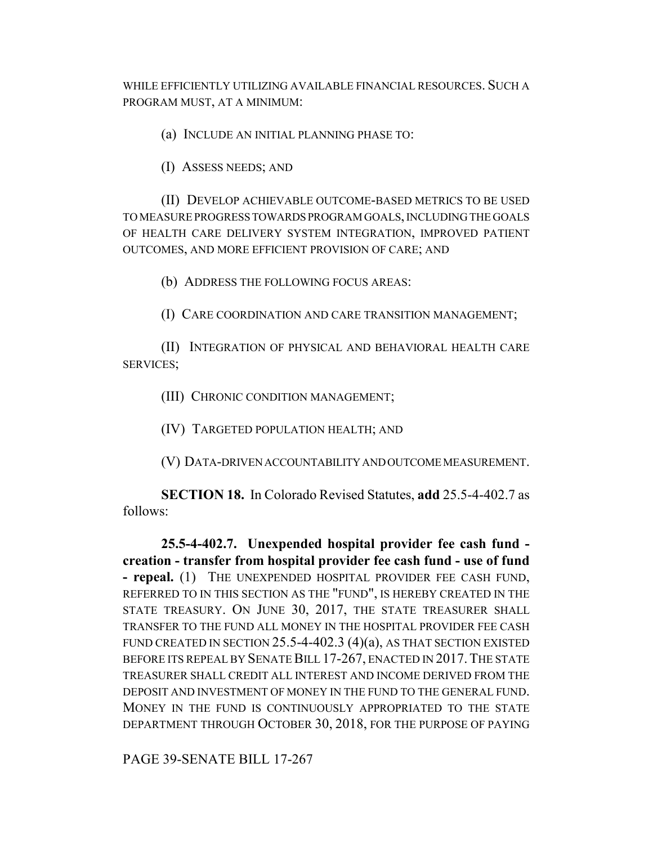WHILE EFFICIENTLY UTILIZING AVAILABLE FINANCIAL RESOURCES. SUCH A PROGRAM MUST, AT A MINIMUM:

(a) INCLUDE AN INITIAL PLANNING PHASE TO:

(I) ASSESS NEEDS; AND

(II) DEVELOP ACHIEVABLE OUTCOME-BASED METRICS TO BE USED TO MEASURE PROGRESS TOWARDS PROGRAM GOALS, INCLUDING THE GOALS OF HEALTH CARE DELIVERY SYSTEM INTEGRATION, IMPROVED PATIENT OUTCOMES, AND MORE EFFICIENT PROVISION OF CARE; AND

(b) ADDRESS THE FOLLOWING FOCUS AREAS:

(I) CARE COORDINATION AND CARE TRANSITION MANAGEMENT;

(II) INTEGRATION OF PHYSICAL AND BEHAVIORAL HEALTH CARE SERVICES;

(III) CHRONIC CONDITION MANAGEMENT;

(IV) TARGETED POPULATION HEALTH; AND

(V) DATA-DRIVEN ACCOUNTABILITY AND OUTCOME MEASUREMENT.

**SECTION 18.** In Colorado Revised Statutes, **add** 25.5-4-402.7 as follows:

**25.5-4-402.7. Unexpended hospital provider fee cash fund creation - transfer from hospital provider fee cash fund - use of fund - repeal.** (1) THE UNEXPENDED HOSPITAL PROVIDER FEE CASH FUND, REFERRED TO IN THIS SECTION AS THE "FUND", IS HEREBY CREATED IN THE STATE TREASURY. ON JUNE 30, 2017, THE STATE TREASURER SHALL TRANSFER TO THE FUND ALL MONEY IN THE HOSPITAL PROVIDER FEE CASH FUND CREATED IN SECTION  $25.5$ -4-402.3 (4)(a), AS THAT SECTION EXISTED BEFORE ITS REPEAL BY SENATE BILL 17-267, ENACTED IN 2017. THE STATE TREASURER SHALL CREDIT ALL INTEREST AND INCOME DERIVED FROM THE DEPOSIT AND INVESTMENT OF MONEY IN THE FUND TO THE GENERAL FUND. MONEY IN THE FUND IS CONTINUOUSLY APPROPRIATED TO THE STATE DEPARTMENT THROUGH OCTOBER 30, 2018, FOR THE PURPOSE OF PAYING

PAGE 39-SENATE BILL 17-267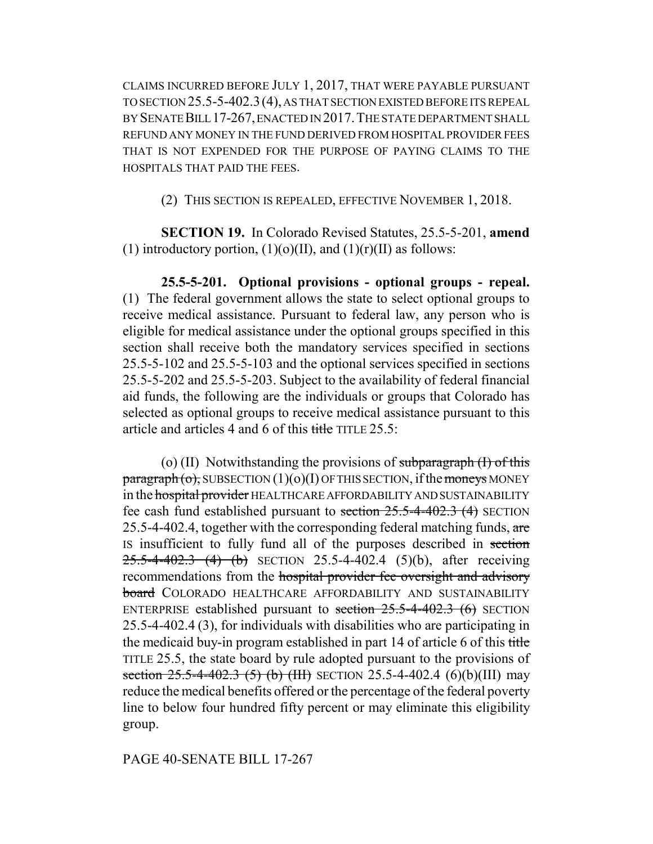CLAIMS INCURRED BEFORE JULY 1, 2017, THAT WERE PAYABLE PURSUANT TO SECTION 25.5-5-402.3(4), AS THAT SECTION EXISTED BEFORE ITS REPEAL BY SENATE BILL 17-267, ENACTED IN 2017.THE STATE DEPARTMENT SHALL REFUND ANY MONEY IN THE FUND DERIVED FROM HOSPITAL PROVIDER FEES THAT IS NOT EXPENDED FOR THE PURPOSE OF PAYING CLAIMS TO THE HOSPITALS THAT PAID THE FEES.

(2) THIS SECTION IS REPEALED, EFFECTIVE NOVEMBER 1, 2018.

**SECTION 19.** In Colorado Revised Statutes, 25.5-5-201, **amend** (1) introductory portion,  $(1)(o)(II)$ , and  $(1)(r)(II)$  as follows:

**25.5-5-201. Optional provisions - optional groups - repeal.** (1) The federal government allows the state to select optional groups to receive medical assistance. Pursuant to federal law, any person who is eligible for medical assistance under the optional groups specified in this section shall receive both the mandatory services specified in sections 25.5-5-102 and 25.5-5-103 and the optional services specified in sections 25.5-5-202 and 25.5-5-203. Subject to the availability of federal financial aid funds, the following are the individuals or groups that Colorado has selected as optional groups to receive medical assistance pursuant to this article and articles 4 and 6 of this title TITLE 25.5:

(o) (II) Notwithstanding the provisions of subparagraph  $(I)$  of this  $\frac{\text{pargraph}}{\text{obj}}$  SUBSECTION  $(1)(0)(I)$  OF THIS SECTION, if the moneys MONEY in the hospital provider HEALTHCARE AFFORDABILITY AND SUSTAINABILITY fee cash fund established pursuant to section  $25.5-4-402.3$  (4) SECTION 25.5-4-402.4, together with the corresponding federal matching funds,  $are$ IS insufficient to fully fund all of the purposes described in section  $25.5-4-402.3$  (4) (b) SECTION 25.5-4-402.4 (5)(b), after receiving recommendations from the hospital provider fee oversight and advisory **board** COLORADO HEALTHCARE AFFORDABILITY AND SUSTAINABILITY ENTERPRISE established pursuant to section  $25.5-4-402.3$  (6) SECTION 25.5-4-402.4 (3), for individuals with disabilities who are participating in the medicaid buy-in program established in part 14 of article 6 of this title TITLE 25.5, the state board by rule adopted pursuant to the provisions of section  $25.5-4-402.3$  (5) (b) (III) SECTION 25.5-4-402.4 (6)(b)(III) may reduce the medical benefits offered or the percentage of the federal poverty line to below four hundred fifty percent or may eliminate this eligibility group.

# PAGE 40-SENATE BILL 17-267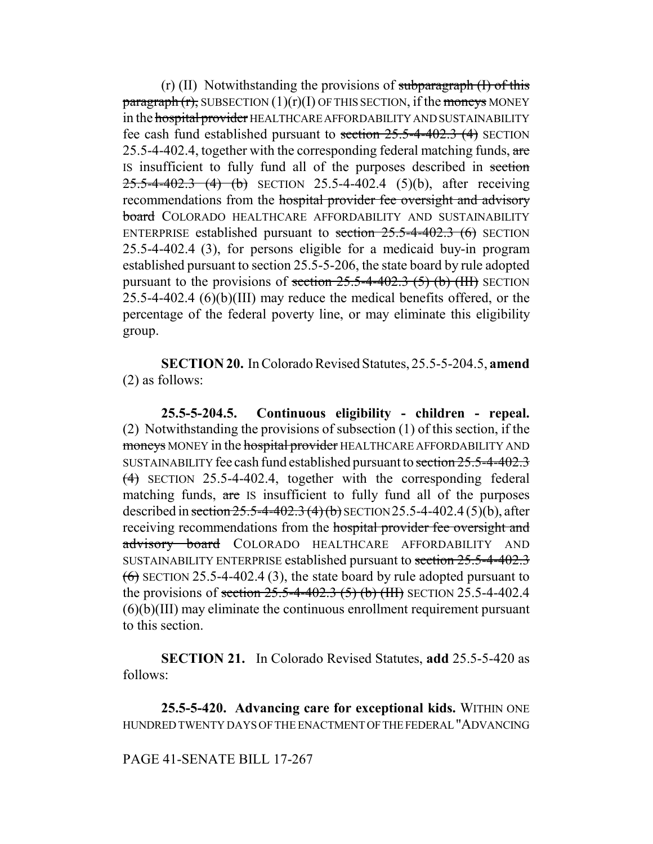$(r)$  (II) Notwithstanding the provisions of subparagraph  $(1)$  of this  $\frac{\text{parameter}}{\text{energy}}$  (r), SUBSECTION (1)(r)(I) OF THIS SECTION, if the moneys MONEY in the hospital provider HEALTHCARE AFFORDABILITY AND SUSTAINABILITY fee cash fund established pursuant to section  $25.5-4-402.3$  (4) SECTION 25.5-4-402.4, together with the corresponding federal matching funds,  $are$ IS insufficient to fully fund all of the purposes described in section  $25.5-4-402.3$  (4) (b) SECTION 25.5-4-402.4 (5)(b), after receiving recommendations from the hospital provider fee oversight and advisory **board** COLORADO HEALTHCARE AFFORDABILITY AND SUSTAINABILITY ENTERPRISE established pursuant to section  $25.5-4-402.3$  (6) SECTION 25.5-4-402.4 (3), for persons eligible for a medicaid buy-in program established pursuant to section 25.5-5-206, the state board by rule adopted pursuant to the provisions of section  $25.5-4-402.3$  (5) (b) (III) SECTION  $25.5$ -4-402.4  $(6)(b)(III)$  may reduce the medical benefits offered, or the percentage of the federal poverty line, or may eliminate this eligibility group.

**SECTION 20.** In Colorado Revised Statutes, 25.5-5-204.5, **amend** (2) as follows:

**25.5-5-204.5. Continuous eligibility - children - repeal.** (2) Notwithstanding the provisions of subsection (1) of this section, if the moneys MONEY in the hospital provider HEALTHCARE AFFORDABILITY AND SUSTAINABILITY fee cash fund established pursuant to section 25.5-4-402.3 (4) SECTION 25.5-4-402.4, together with the corresponding federal matching funds, are IS insufficient to fully fund all of the purposes described in section  $25.5-4-402.3$  (4) (b) SECTION 25.5-4-402.4 (5)(b), after receiving recommendations from the hospital provider fee oversight and advisory board COLORADO HEALTHCARE AFFORDABILITY AND SUSTAINABILITY ENTERPRISE established pursuant to section 25.5-4-402.3  $(6)$  SECTION 25.5-4-402.4 (3), the state board by rule adopted pursuant to the provisions of section  $25.5-4-402.3$  (5) (b) (HH) SECTION 25.5-4-402.4  $(6)(b)(III)$  may eliminate the continuous enrollment requirement pursuant to this section.

**SECTION 21.** In Colorado Revised Statutes, **add** 25.5-5-420 as follows:

**25.5-5-420. Advancing care for exceptional kids.** WITHIN ONE HUNDRED TWENTY DAYS OF THE ENACTMENT OF THE FEDERAL "ADVANCING

PAGE 41-SENATE BILL 17-267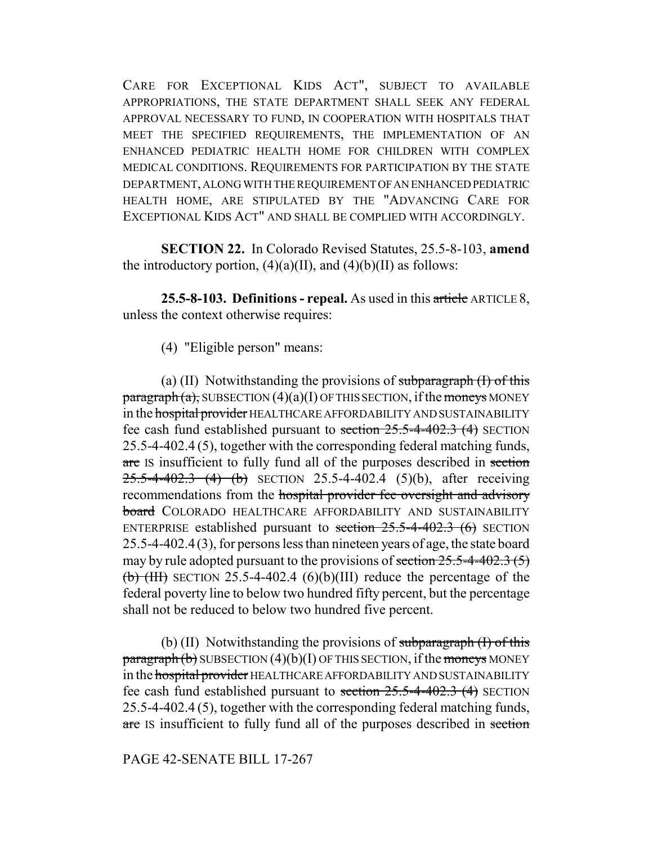CARE FOR EXCEPTIONAL KIDS ACT", SUBJECT TO AVAILABLE APPROPRIATIONS, THE STATE DEPARTMENT SHALL SEEK ANY FEDERAL APPROVAL NECESSARY TO FUND, IN COOPERATION WITH HOSPITALS THAT MEET THE SPECIFIED REQUIREMENTS, THE IMPLEMENTATION OF AN ENHANCED PEDIATRIC HEALTH HOME FOR CHILDREN WITH COMPLEX MEDICAL CONDITIONS. REQUIREMENTS FOR PARTICIPATION BY THE STATE DEPARTMENT, ALONG WITH THE REQUIREMENT OF AN ENHANCED PEDIATRIC HEALTH HOME, ARE STIPULATED BY THE "ADVANCING CARE FOR EXCEPTIONAL KIDS ACT" AND SHALL BE COMPLIED WITH ACCORDINGLY.

**SECTION 22.** In Colorado Revised Statutes, 25.5-8-103, **amend** the introductory portion,  $(4)(a)(II)$ , and  $(4)(b)(II)$  as follows:

**25.5-8-103. Definitions - repeal.** As used in this article ARTICLE 8, unless the context otherwise requires:

(4) "Eligible person" means:

(a) (II) Notwithstanding the provisions of subparagraph  $(I)$  of this  $\frac{\text{pargraph}}{a}$ , SUBSECTION  $(4)(a)(I)$  OF THIS SECTION, if the moneys MONEY in the hospital provider HEALTHCARE AFFORDABILITY AND SUSTAINABILITY fee cash fund established pursuant to section  $25.5-4-402.3$  (4) SECTION 25.5-4-402.4 (5), together with the corresponding federal matching funds, are IS insufficient to fully fund all of the purposes described in section  $25.5-4-402.3$  (4) (b) SECTION 25.5-4-402.4 (5)(b), after receiving recommendations from the hospital provider fee oversight and advisory **board** COLORADO HEALTHCARE AFFORDABILITY AND SUSTAINABILITY ENTERPRISE established pursuant to section  $25.5-4-402.3$  (6) SECTION 25.5-4-402.4(3), for persons less than nineteen years of age, the state board may by rule adopted pursuant to the provisions of section  $25.5-4-402.3(5)$ (b) (HI) SECTION 25.5-4-402.4 (6)(b)(III) reduce the percentage of the federal poverty line to below two hundred fifty percent, but the percentage shall not be reduced to below two hundred five percent.

(b) (II) Notwithstanding the provisions of subparagraph  $(1)$  of this  $\frac{\text{parameter}}{\text{b}}$  SUBSECTION (4)(b)(I) OF THIS SECTION, if the moneys MONEY in the hospital provider HEALTHCARE AFFORDABILITY AND SUSTAINABILITY fee cash fund established pursuant to section  $25.5-4-402.3$  (4) SECTION 25.5-4-402.4 (5), together with the corresponding federal matching funds, are IS insufficient to fully fund all of the purposes described in section

#### PAGE 42-SENATE BILL 17-267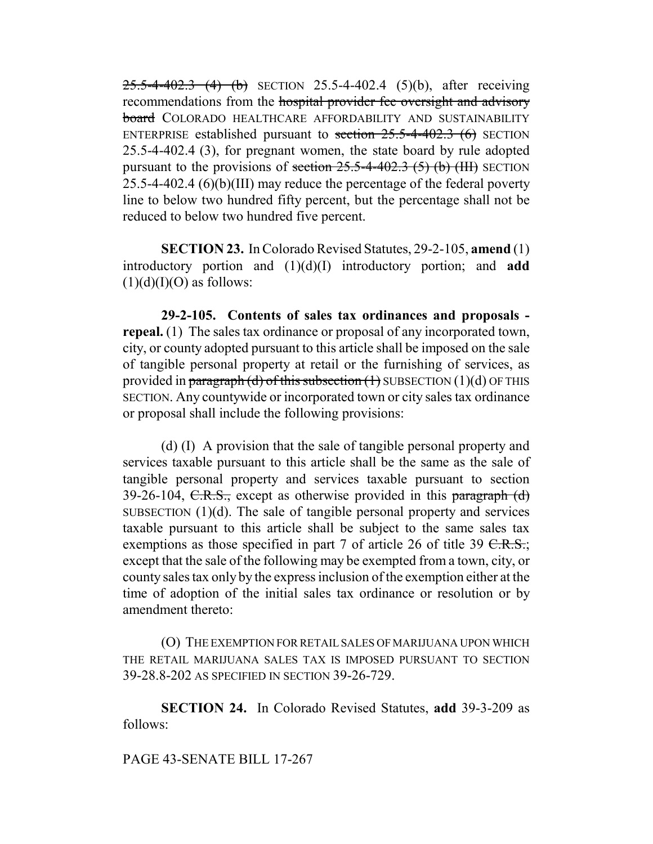$25.5-4-402.3$  (4) (b) SECTION 25.5-4-402.4 (5)(b), after receiving recommendations from the hospital provider fee oversight and advisory board COLORADO HEALTHCARE AFFORDABILITY AND SUSTAINABILITY ENTERPRISE established pursuant to section  $25.5$ -4-402.3 (6) SECTION 25.5-4-402.4 (3), for pregnant women, the state board by rule adopted pursuant to the provisions of section  $25.5$ -4-402.3 (5) (b) (III) SECTION 25.5-4-402.4 (6)(b)(III) may reduce the percentage of the federal poverty line to below two hundred fifty percent, but the percentage shall not be reduced to below two hundred five percent.

**SECTION 23.** In Colorado Revised Statutes, 29-2-105, **amend** (1) introductory portion and (1)(d)(I) introductory portion; and **add**  $(1)(d)(I)(O)$  as follows:

**29-2-105. Contents of sales tax ordinances and proposals repeal.** (1) The sales tax ordinance or proposal of any incorporated town, city, or county adopted pursuant to this article shall be imposed on the sale of tangible personal property at retail or the furnishing of services, as provided in paragraph (d) of this subsection  $(1)$  SUBSECTION  $(1)(d)$  OF THIS SECTION. Any countywide or incorporated town or city sales tax ordinance or proposal shall include the following provisions:

(d) (I) A provision that the sale of tangible personal property and services taxable pursuant to this article shall be the same as the sale of tangible personal property and services taxable pursuant to section 39-26-104, C.R.S., except as otherwise provided in this paragraph  $(d)$ SUBSECTION  $(1)(d)$ . The sale of tangible personal property and services taxable pursuant to this article shall be subject to the same sales tax exemptions as those specified in part 7 of article 26 of title 39  $C.R.S.$ ; except that the sale of the following may be exempted from a town, city, or county sales tax only by the express inclusion of the exemption either at the time of adoption of the initial sales tax ordinance or resolution or by amendment thereto:

(O) THE EXEMPTION FOR RETAIL SALES OF MARIJUANA UPON WHICH THE RETAIL MARIJUANA SALES TAX IS IMPOSED PURSUANT TO SECTION 39-28.8-202 AS SPECIFIED IN SECTION 39-26-729.

**SECTION 24.** In Colorado Revised Statutes, **add** 39-3-209 as follows:

#### PAGE 43-SENATE BILL 17-267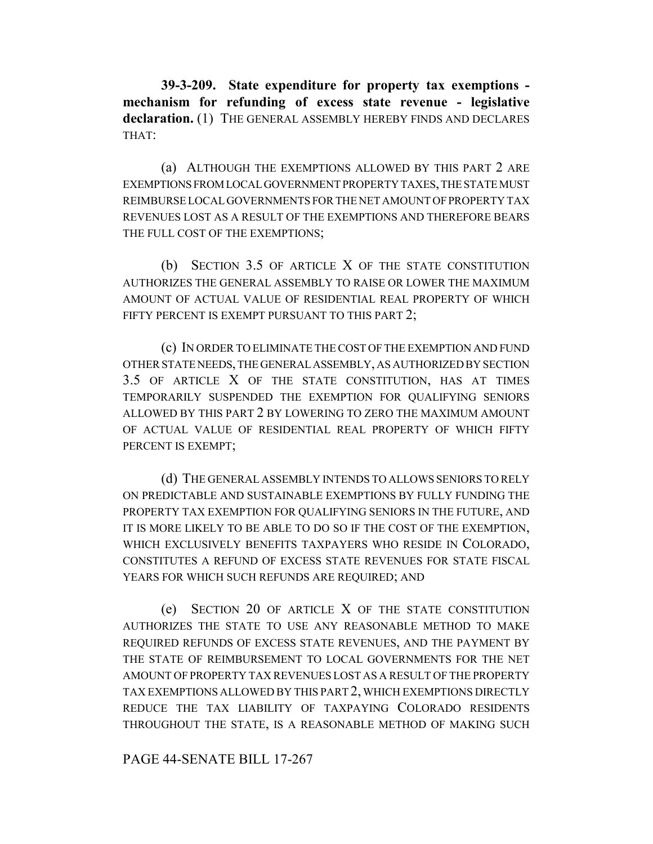**39-3-209. State expenditure for property tax exemptions mechanism for refunding of excess state revenue - legislative declaration.** (1) THE GENERAL ASSEMBLY HEREBY FINDS AND DECLARES THAT:

(a) ALTHOUGH THE EXEMPTIONS ALLOWED BY THIS PART 2 ARE EXEMPTIONS FROM LOCAL GOVERNMENT PROPERTY TAXES, THE STATE MUST REIMBURSE LOCAL GOVERNMENTS FOR THE NET AMOUNT OF PROPERTY TAX REVENUES LOST AS A RESULT OF THE EXEMPTIONS AND THEREFORE BEARS THE FULL COST OF THE EXEMPTIONS;

(b) SECTION 3.5 OF ARTICLE X OF THE STATE CONSTITUTION AUTHORIZES THE GENERAL ASSEMBLY TO RAISE OR LOWER THE MAXIMUM AMOUNT OF ACTUAL VALUE OF RESIDENTIAL REAL PROPERTY OF WHICH FIFTY PERCENT IS EXEMPT PURSUANT TO THIS PART 2;

(c) IN ORDER TO ELIMINATE THE COST OF THE EXEMPTION AND FUND OTHER STATE NEEDS, THE GENERAL ASSEMBLY, AS AUTHORIZED BY SECTION 3.5 OF ARTICLE X OF THE STATE CONSTITUTION, HAS AT TIMES TEMPORARILY SUSPENDED THE EXEMPTION FOR QUALIFYING SENIORS ALLOWED BY THIS PART 2 BY LOWERING TO ZERO THE MAXIMUM AMOUNT OF ACTUAL VALUE OF RESIDENTIAL REAL PROPERTY OF WHICH FIFTY PERCENT IS EXEMPT;

(d) THE GENERAL ASSEMBLY INTENDS TO ALLOWS SENIORS TO RELY ON PREDICTABLE AND SUSTAINABLE EXEMPTIONS BY FULLY FUNDING THE PROPERTY TAX EXEMPTION FOR QUALIFYING SENIORS IN THE FUTURE, AND IT IS MORE LIKELY TO BE ABLE TO DO SO IF THE COST OF THE EXEMPTION, WHICH EXCLUSIVELY BENEFITS TAXPAYERS WHO RESIDE IN COLORADO, CONSTITUTES A REFUND OF EXCESS STATE REVENUES FOR STATE FISCAL YEARS FOR WHICH SUCH REFUNDS ARE REQUIRED; AND

(e) SECTION 20 OF ARTICLE X OF THE STATE CONSTITUTION AUTHORIZES THE STATE TO USE ANY REASONABLE METHOD TO MAKE REQUIRED REFUNDS OF EXCESS STATE REVENUES, AND THE PAYMENT BY THE STATE OF REIMBURSEMENT TO LOCAL GOVERNMENTS FOR THE NET AMOUNT OF PROPERTY TAX REVENUES LOST AS A RESULT OF THE PROPERTY TAX EXEMPTIONS ALLOWED BY THIS PART 2, WHICH EXEMPTIONS DIRECTLY REDUCE THE TAX LIABILITY OF TAXPAYING COLORADO RESIDENTS THROUGHOUT THE STATE, IS A REASONABLE METHOD OF MAKING SUCH

PAGE 44-SENATE BILL 17-267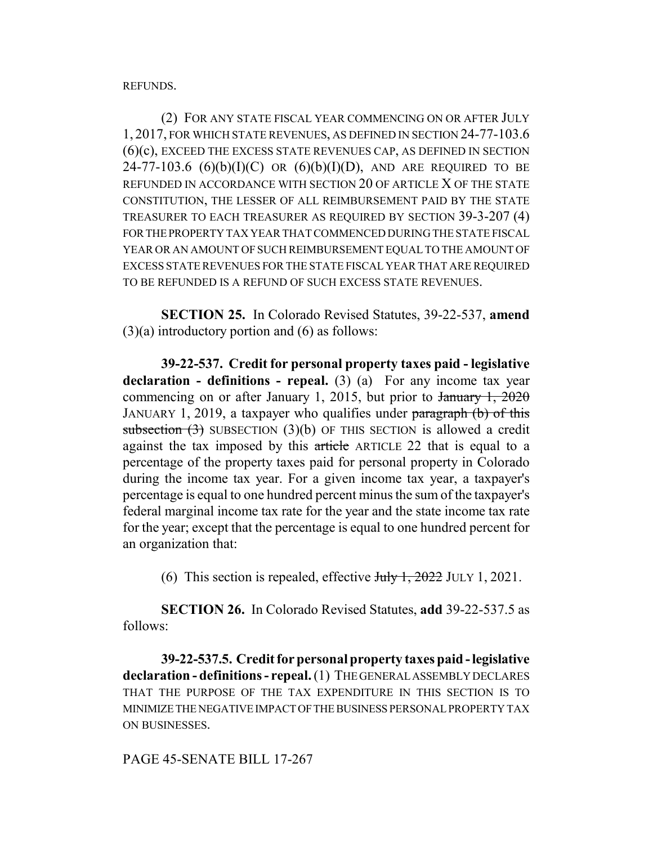REFUNDS.

(2) FOR ANY STATE FISCAL YEAR COMMENCING ON OR AFTER JULY 1, 2017, FOR WHICH STATE REVENUES, AS DEFINED IN SECTION 24-77-103.6 (6)(c), EXCEED THE EXCESS STATE REVENUES CAP, AS DEFINED IN SECTION 24-77-103.6  $(6)(b)(I)(C)$  OR  $(6)(b)(I)(D)$ , AND ARE REQUIRED TO BE REFUNDED IN ACCORDANCE WITH SECTION 20 OF ARTICLE X OF THE STATE CONSTITUTION, THE LESSER OF ALL REIMBURSEMENT PAID BY THE STATE TREASURER TO EACH TREASURER AS REQUIRED BY SECTION 39-3-207 (4) FOR THE PROPERTY TAX YEAR THAT COMMENCED DURING THE STATE FISCAL YEAR OR AN AMOUNT OF SUCH REIMBURSEMENT EQUAL TO THE AMOUNT OF EXCESS STATE REVENUES FOR THE STATE FISCAL YEAR THAT ARE REQUIRED TO BE REFUNDED IS A REFUND OF SUCH EXCESS STATE REVENUES.

**SECTION 25.** In Colorado Revised Statutes, 39-22-537, **amend**  $(3)(a)$  introductory portion and  $(6)$  as follows:

**39-22-537. Credit for personal property taxes paid - legislative declaration - definitions - repeal.** (3) (a) For any income tax year commencing on or after January 1, 2015, but prior to  $\frac{1}{2020}$ JANUARY 1, 2019, a taxpayer who qualifies under paragraph (b) of this subsection  $(3)$  SUBSECTION  $(3)(b)$  OF THIS SECTION is allowed a credit against the tax imposed by this article ARTICLE 22 that is equal to a percentage of the property taxes paid for personal property in Colorado during the income tax year. For a given income tax year, a taxpayer's percentage is equal to one hundred percent minus the sum of the taxpayer's federal marginal income tax rate for the year and the state income tax rate for the year; except that the percentage is equal to one hundred percent for an organization that:

(6) This section is repealed, effective  $\frac{\text{H}_y}{\text{H}_y}$ ,  $\frac{2022}{\text{H}_y}$  JULY 1, 2021.

**SECTION 26.** In Colorado Revised Statutes, **add** 39-22-537.5 as follows:

**39-22-537.5. Credit for personal property taxes paid - legislative declaration - definitions - repeal.** (1) THE GENERAL ASSEMBLY DECLARES THAT THE PURPOSE OF THE TAX EXPENDITURE IN THIS SECTION IS TO MINIMIZE THE NEGATIVE IMPACT OF THE BUSINESS PERSONAL PROPERTY TAX ON BUSINESSES.

PAGE 45-SENATE BILL 17-267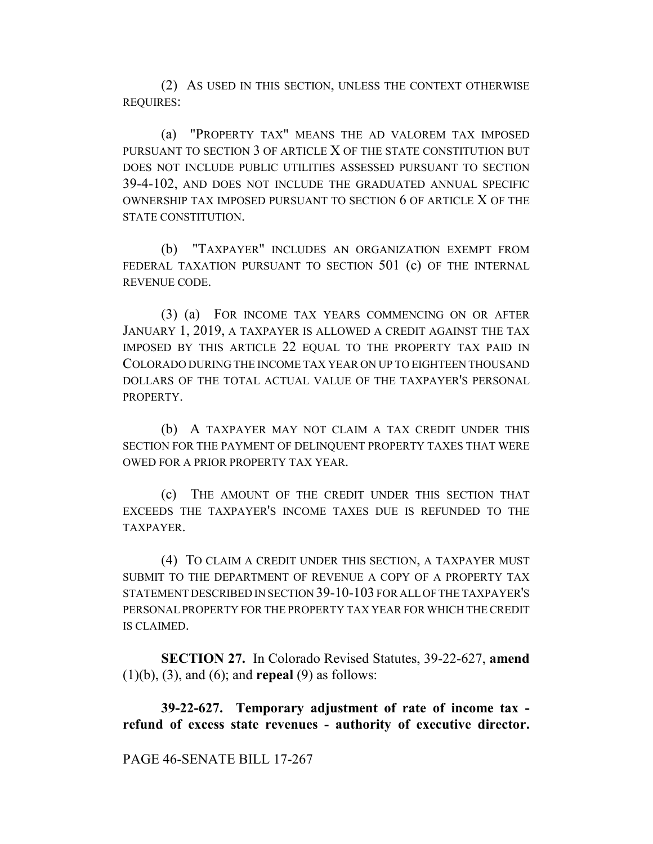(2) AS USED IN THIS SECTION, UNLESS THE CONTEXT OTHERWISE REQUIRES:

(a) "PROPERTY TAX" MEANS THE AD VALOREM TAX IMPOSED PURSUANT TO SECTION 3 OF ARTICLE X OF THE STATE CONSTITUTION BUT DOES NOT INCLUDE PUBLIC UTILITIES ASSESSED PURSUANT TO SECTION 39-4-102, AND DOES NOT INCLUDE THE GRADUATED ANNUAL SPECIFIC OWNERSHIP TAX IMPOSED PURSUANT TO SECTION 6 OF ARTICLE X OF THE STATE CONSTITUTION.

(b) "TAXPAYER" INCLUDES AN ORGANIZATION EXEMPT FROM FEDERAL TAXATION PURSUANT TO SECTION 501 (c) OF THE INTERNAL REVENUE CODE.

(3) (a) FOR INCOME TAX YEARS COMMENCING ON OR AFTER JANUARY 1, 2019, A TAXPAYER IS ALLOWED A CREDIT AGAINST THE TAX IMPOSED BY THIS ARTICLE 22 EQUAL TO THE PROPERTY TAX PAID IN COLORADO DURING THE INCOME TAX YEAR ON UP TO EIGHTEEN THOUSAND DOLLARS OF THE TOTAL ACTUAL VALUE OF THE TAXPAYER'S PERSONAL **PROPERTY** 

(b) A TAXPAYER MAY NOT CLAIM A TAX CREDIT UNDER THIS SECTION FOR THE PAYMENT OF DELINQUENT PROPERTY TAXES THAT WERE OWED FOR A PRIOR PROPERTY TAX YEAR.

(c) THE AMOUNT OF THE CREDIT UNDER THIS SECTION THAT EXCEEDS THE TAXPAYER'S INCOME TAXES DUE IS REFUNDED TO THE **TAXPAYER** 

(4) TO CLAIM A CREDIT UNDER THIS SECTION, A TAXPAYER MUST SUBMIT TO THE DEPARTMENT OF REVENUE A COPY OF A PROPERTY TAX STATEMENT DESCRIBED IN SECTION 39-10-103 FOR ALL OF THE TAXPAYER'S PERSONAL PROPERTY FOR THE PROPERTY TAX YEAR FOR WHICH THE CREDIT IS CLAIMED.

**SECTION 27.** In Colorado Revised Statutes, 39-22-627, **amend** (1)(b), (3), and (6); and **repeal** (9) as follows:

**39-22-627. Temporary adjustment of rate of income tax refund of excess state revenues - authority of executive director.**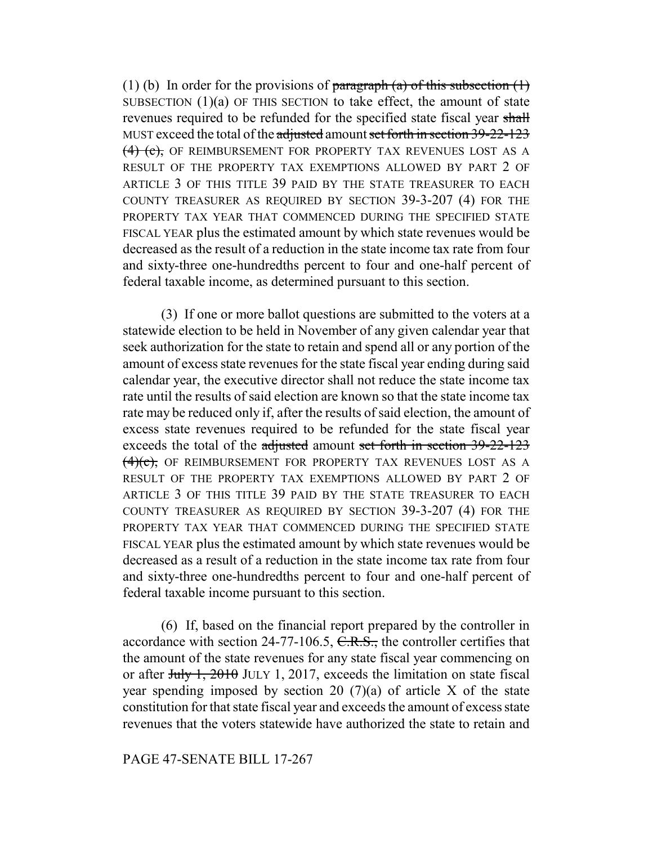(1) (b) In order for the provisions of paragraph (a) of this subsection  $(1)$ SUBSECTION  $(1)(a)$  OF THIS SECTION to take effect, the amount of state revenues required to be refunded for the specified state fiscal year shall MUST exceed the total of the adjusted amount set forth in section 39-22-123 (4) (c), OF REIMBURSEMENT FOR PROPERTY TAX REVENUES LOST AS A RESULT OF THE PROPERTY TAX EXEMPTIONS ALLOWED BY PART 2 OF ARTICLE 3 OF THIS TITLE 39 PAID BY THE STATE TREASURER TO EACH COUNTY TREASURER AS REQUIRED BY SECTION 39-3-207 (4) FOR THE PROPERTY TAX YEAR THAT COMMENCED DURING THE SPECIFIED STATE FISCAL YEAR plus the estimated amount by which state revenues would be decreased as the result of a reduction in the state income tax rate from four and sixty-three one-hundredths percent to four and one-half percent of federal taxable income, as determined pursuant to this section.

(3) If one or more ballot questions are submitted to the voters at a statewide election to be held in November of any given calendar year that seek authorization for the state to retain and spend all or any portion of the amount of excess state revenues for the state fiscal year ending during said calendar year, the executive director shall not reduce the state income tax rate until the results of said election are known so that the state income tax rate may be reduced only if, after the results of said election, the amount of excess state revenues required to be refunded for the state fiscal year exceeds the total of the adjusted amount set forth in section 39-22-123 (4)(c), OF REIMBURSEMENT FOR PROPERTY TAX REVENUES LOST AS A RESULT OF THE PROPERTY TAX EXEMPTIONS ALLOWED BY PART 2 OF ARTICLE 3 OF THIS TITLE 39 PAID BY THE STATE TREASURER TO EACH COUNTY TREASURER AS REQUIRED BY SECTION 39-3-207 (4) FOR THE PROPERTY TAX YEAR THAT COMMENCED DURING THE SPECIFIED STATE FISCAL YEAR plus the estimated amount by which state revenues would be decreased as a result of a reduction in the state income tax rate from four and sixty-three one-hundredths percent to four and one-half percent of federal taxable income pursuant to this section.

(6) If, based on the financial report prepared by the controller in accordance with section 24-77-106.5, C.R.S., the controller certifies that the amount of the state revenues for any state fiscal year commencing on or after July 1, 2010 JULY 1, 2017, exceeds the limitation on state fiscal year spending imposed by section 20  $(7)(a)$  of article X of the state constitution for that state fiscal year and exceeds the amount of excess state revenues that the voters statewide have authorized the state to retain and

## PAGE 47-SENATE BILL 17-267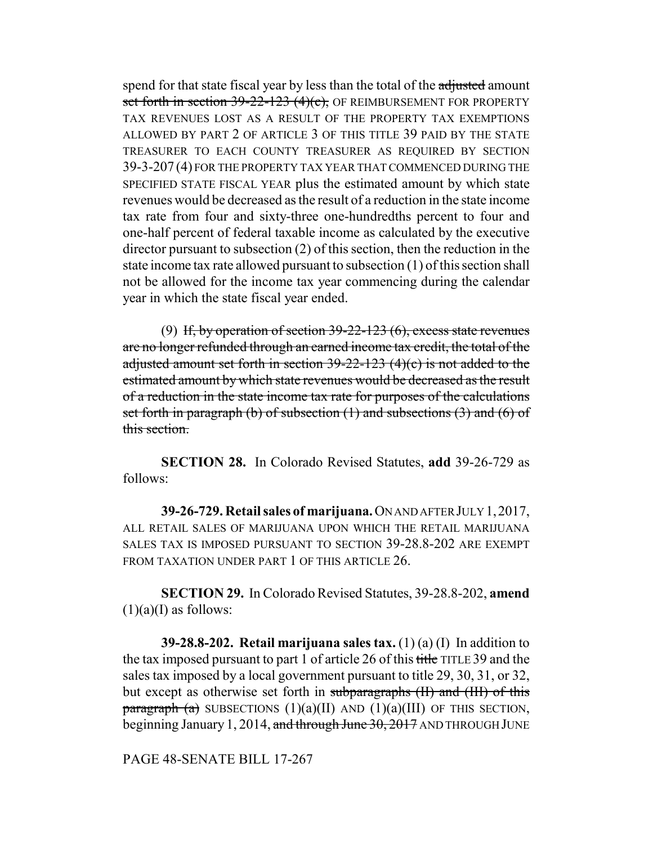spend for that state fiscal year by less than the total of the adjusted amount set forth in section 39-22-123 (4)(c), OF REIMBURSEMENT FOR PROPERTY TAX REVENUES LOST AS A RESULT OF THE PROPERTY TAX EXEMPTIONS ALLOWED BY PART 2 OF ARTICLE 3 OF THIS TITLE 39 PAID BY THE STATE TREASURER TO EACH COUNTY TREASURER AS REQUIRED BY SECTION 39-3-207 (4) FOR THE PROPERTY TAX YEAR THAT COMMENCED DURING THE SPECIFIED STATE FISCAL YEAR plus the estimated amount by which state revenues would be decreased as the result of a reduction in the state income tax rate from four and sixty-three one-hundredths percent to four and one-half percent of federal taxable income as calculated by the executive director pursuant to subsection (2) of this section, then the reduction in the state income tax rate allowed pursuant to subsection (1) of this section shall not be allowed for the income tax year commencing during the calendar year in which the state fiscal year ended.

(9) If, by operation of section  $39-22-123(6)$ , excess state revenues are no longer refunded through an earned income tax credit, the total of the adjusted amount set forth in section  $39-22-123$  (4)(c) is not added to the estimated amount by which state revenues would be decreased as the result of a reduction in the state income tax rate for purposes of the calculations set forth in paragraph (b) of subsection  $(1)$  and subsections  $(3)$  and  $(6)$  of this section.

**SECTION 28.** In Colorado Revised Statutes, **add** 39-26-729 as follows:

**39-26-729. Retail sales of marijuana.** ON AND AFTER JULY 1,2017, ALL RETAIL SALES OF MARIJUANA UPON WHICH THE RETAIL MARIJUANA SALES TAX IS IMPOSED PURSUANT TO SECTION 39-28.8-202 ARE EXEMPT FROM TAXATION UNDER PART 1 OF THIS ARTICLE 26.

**SECTION 29.** In Colorado Revised Statutes, 39-28.8-202, **amend**  $(1)(a)(I)$  as follows:

**39-28.8-202. Retail marijuana sales tax.** (1) (a) (I) In addition to the tax imposed pursuant to part 1 of article 26 of this title TITLE 39 and the sales tax imposed by a local government pursuant to title 29, 30, 31, or 32, but except as otherwise set forth in subparagraphs (II) and (III) of this paragraph (a) SUBSECTIONS  $(1)(a)(II)$  AND  $(1)(a)(III)$  OF THIS SECTION, beginning January 1, 2014, and through June 30, 2017 AND THROUGH JUNE

PAGE 48-SENATE BILL 17-267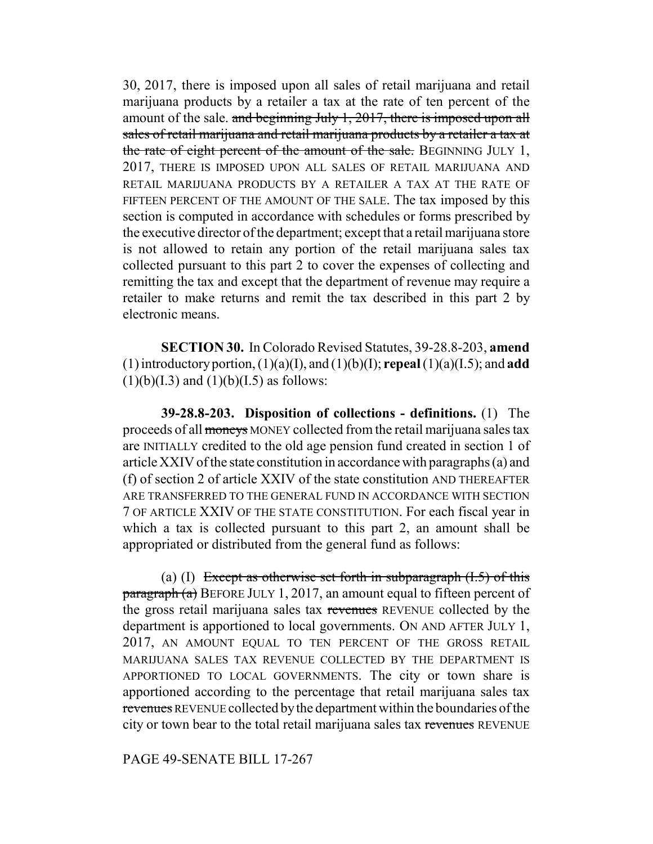30, 2017, there is imposed upon all sales of retail marijuana and retail marijuana products by a retailer a tax at the rate of ten percent of the amount of the sale. and beginning July 1, 2017, there is imposed upon all sales of retail marijuana and retail marijuana products by a retailer a tax at the rate of eight percent of the amount of the sale. BEGINNING JULY 1, 2017, THERE IS IMPOSED UPON ALL SALES OF RETAIL MARIJUANA AND RETAIL MARIJUANA PRODUCTS BY A RETAILER A TAX AT THE RATE OF FIFTEEN PERCENT OF THE AMOUNT OF THE SALE. The tax imposed by this section is computed in accordance with schedules or forms prescribed by the executive director of the department; except that a retail marijuana store is not allowed to retain any portion of the retail marijuana sales tax collected pursuant to this part 2 to cover the expenses of collecting and remitting the tax and except that the department of revenue may require a retailer to make returns and remit the tax described in this part 2 by electronic means.

**SECTION 30.** In Colorado Revised Statutes, 39-28.8-203, **amend** (1) introductory portion, (1)(a)(I), and (1)(b)(I); **repeal** (1)(a)(I.5); and **add**  $(1)(b)(I.3)$  and  $(1)(b)(I.5)$  as follows:

**39-28.8-203. Disposition of collections - definitions.** (1) The proceeds of all moneys MONEY collected from the retail marijuana sales tax are INITIALLY credited to the old age pension fund created in section 1 of article XXIV of the state constitution in accordance with paragraphs (a) and (f) of section 2 of article XXIV of the state constitution AND THEREAFTER ARE TRANSFERRED TO THE GENERAL FUND IN ACCORDANCE WITH SECTION 7 OF ARTICLE XXIV OF THE STATE CONSTITUTION. For each fiscal year in which a tax is collected pursuant to this part 2, an amount shall be appropriated or distributed from the general fund as follows:

(a) (I) Except as otherwise set forth in subparagraph  $(1.5)$  of this  $\frac{\text{pargraph}}{\text{a}}$  BEFORE JULY 1, 2017, an amount equal to fifteen percent of the gross retail marijuana sales tax revenues REVENUE collected by the department is apportioned to local governments. ON AND AFTER JULY 1, 2017, AN AMOUNT EQUAL TO TEN PERCENT OF THE GROSS RETAIL MARIJUANA SALES TAX REVENUE COLLECTED BY THE DEPARTMENT IS APPORTIONED TO LOCAL GOVERNMENTS. The city or town share is apportioned according to the percentage that retail marijuana sales tax revenues REVENUE collected by the department within the boundaries of the city or town bear to the total retail marijuana sales tax revenues REVENUE

## PAGE 49-SENATE BILL 17-267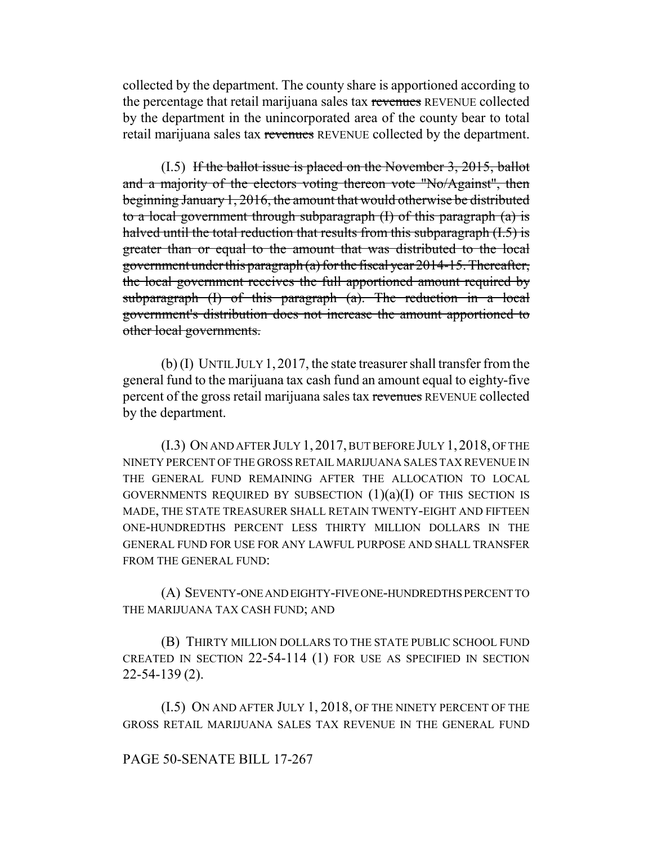collected by the department. The county share is apportioned according to the percentage that retail marijuana sales tax revenues REVENUE collected by the department in the unincorporated area of the county bear to total retail marijuana sales tax revenues REVENUE collected by the department.

 $(1.5)$  If the ballot issue is placed on the November 3, 2015, ballot and a majority of the electors voting thereon vote "No/Against", then beginning January 1, 2016, the amount that would otherwise be distributed to a local government through subparagraph  $(I)$  of this paragraph  $(a)$  is halved until the total reduction that results from this subparagraph (I.5) is greater than or equal to the amount that was distributed to the local government under this paragraph (a) for the fiscal year 2014-15. Thereafter, the local government receives the full apportioned amount required by subparagraph (I) of this paragraph (a). The reduction in a local government's distribution does not increase the amount apportioned to other local governments.

(b) (I) UNTIL JULY 1, 2017, the state treasurer shall transfer from the general fund to the marijuana tax cash fund an amount equal to eighty-five percent of the gross retail marijuana sales tax revenues REVENUE collected by the department.

(I.3) ON AND AFTER JULY 1, 2017, BUT BEFORE JULY 1, 2018, OF THE NINETY PERCENT OF THE GROSS RETAIL MARIJUANA SALES TAX REVENUE IN THE GENERAL FUND REMAINING AFTER THE ALLOCATION TO LOCAL GOVERNMENTS REQUIRED BY SUBSECTION  $(1)(a)(I)$  OF THIS SECTION IS MADE, THE STATE TREASURER SHALL RETAIN TWENTY-EIGHT AND FIFTEEN ONE-HUNDREDTHS PERCENT LESS THIRTY MILLION DOLLARS IN THE GENERAL FUND FOR USE FOR ANY LAWFUL PURPOSE AND SHALL TRANSFER FROM THE GENERAL FUND:

(A) SEVENTY-ONE AND EIGHTY-FIVE ONE-HUNDREDTHS PERCENT TO THE MARIJUANA TAX CASH FUND; AND

(B) THIRTY MILLION DOLLARS TO THE STATE PUBLIC SCHOOL FUND CREATED IN SECTION 22-54-114 (1) FOR USE AS SPECIFIED IN SECTION 22-54-139 (2).

(I.5) ON AND AFTER JULY 1, 2018, OF THE NINETY PERCENT OF THE GROSS RETAIL MARIJUANA SALES TAX REVENUE IN THE GENERAL FUND

## PAGE 50-SENATE BILL 17-267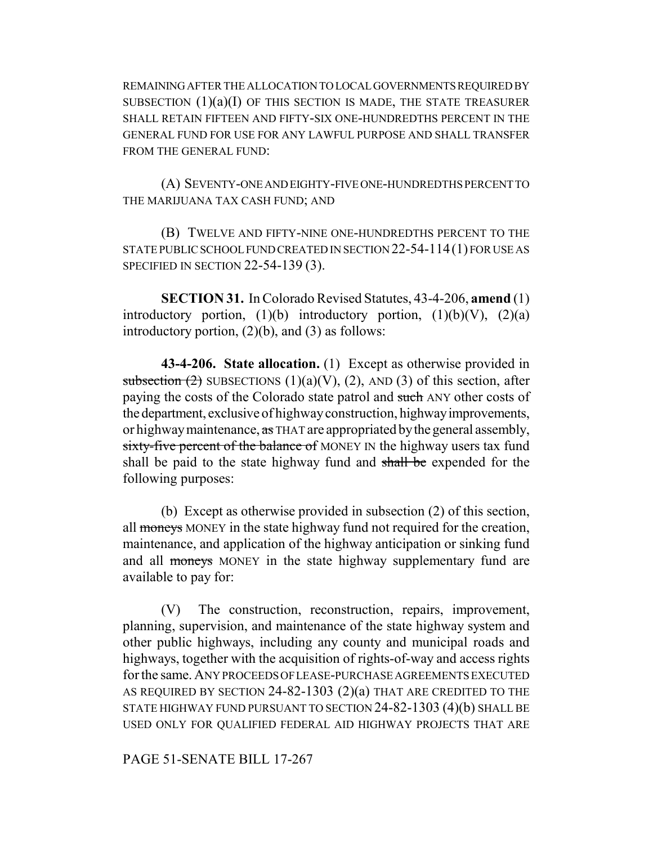REMAINING AFTER THE ALLOCATION TO LOCAL GOVERNMENTS REQUIRED BY SUBSECTION  $(1)(a)(I)$  OF THIS SECTION IS MADE, THE STATE TREASURER SHALL RETAIN FIFTEEN AND FIFTY-SIX ONE-HUNDREDTHS PERCENT IN THE GENERAL FUND FOR USE FOR ANY LAWFUL PURPOSE AND SHALL TRANSFER FROM THE GENERAL FUND:

(A) SEVENTY-ONE AND EIGHTY-FIVE ONE-HUNDREDTHS PERCENT TO THE MARIJUANA TAX CASH FUND; AND

(B) TWELVE AND FIFTY-NINE ONE-HUNDREDTHS PERCENT TO THE STATE PUBLIC SCHOOL FUND CREATED IN SECTION 22-54-114(1) FOR USE AS SPECIFIED IN SECTION 22-54-139 (3).

**SECTION 31.** In Colorado Revised Statutes, 43-4-206, **amend** (1) introductory portion,  $(1)(b)$  introductory portion,  $(1)(b)(V)$ ,  $(2)(a)$ introductory portion,  $(2)(b)$ , and  $(3)$  as follows:

**43-4-206. State allocation.** (1) Except as otherwise provided in subsection  $(2)$  SUBSECTIONS  $(1)(a)(V)$ ,  $(2)$ , AND  $(3)$  of this section, after paying the costs of the Colorado state patrol and such ANY other costs of the department, exclusive of highway construction, highway improvements, or highway maintenance, as THAT are appropriated by the general assembly, sixty-five percent of the balance of MONEY IN the highway users tax fund shall be paid to the state highway fund and shall be expended for the following purposes:

(b) Except as otherwise provided in subsection (2) of this section, all moneys MONEY in the state highway fund not required for the creation, maintenance, and application of the highway anticipation or sinking fund and all moneys MONEY in the state highway supplementary fund are available to pay for:

(V) The construction, reconstruction, repairs, improvement, planning, supervision, and maintenance of the state highway system and other public highways, including any county and municipal roads and highways, together with the acquisition of rights-of-way and access rights for the same. ANY PROCEEDS OF LEASE-PURCHASE AGREEMENTS EXECUTED AS REQUIRED BY SECTION 24-82-1303 (2)(a) THAT ARE CREDITED TO THE STATE HIGHWAY FUND PURSUANT TO SECTION 24-82-1303 (4)(b) SHALL BE USED ONLY FOR QUALIFIED FEDERAL AID HIGHWAY PROJECTS THAT ARE

PAGE 51-SENATE BILL 17-267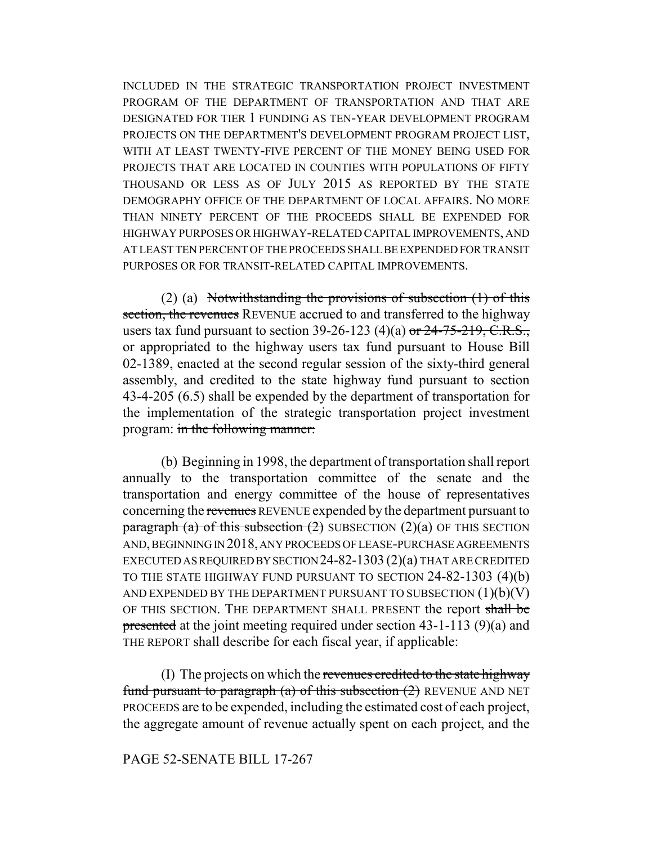INCLUDED IN THE STRATEGIC TRANSPORTATION PROJECT INVESTMENT PROGRAM OF THE DEPARTMENT OF TRANSPORTATION AND THAT ARE DESIGNATED FOR TIER 1 FUNDING AS TEN-YEAR DEVELOPMENT PROGRAM PROJECTS ON THE DEPARTMENT'S DEVELOPMENT PROGRAM PROJECT LIST, WITH AT LEAST TWENTY-FIVE PERCENT OF THE MONEY BEING USED FOR PROJECTS THAT ARE LOCATED IN COUNTIES WITH POPULATIONS OF FIFTY THOUSAND OR LESS AS OF JULY 2015 AS REPORTED BY THE STATE DEMOGRAPHY OFFICE OF THE DEPARTMENT OF LOCAL AFFAIRS. NO MORE THAN NINETY PERCENT OF THE PROCEEDS SHALL BE EXPENDED FOR HIGHWAY PURPOSES OR HIGHWAY-RELATED CAPITAL IMPROVEMENTS, AND AT LEAST TEN PERCENT OF THE PROCEEDS SHALL BE EXPENDED FOR TRANSIT PURPOSES OR FOR TRANSIT-RELATED CAPITAL IMPROVEMENTS.

(2) (a) Notwithstanding the provisions of subsection  $(1)$  of this section, the revenues REVENUE accrued to and transferred to the highway users tax fund pursuant to section 39-26-123 (4)(a) or  $24-75-219$ , C.R.S., or appropriated to the highway users tax fund pursuant to House Bill 02-1389, enacted at the second regular session of the sixty-third general assembly, and credited to the state highway fund pursuant to section 43-4-205 (6.5) shall be expended by the department of transportation for the implementation of the strategic transportation project investment program: in the following manner:

(b) Beginning in 1998, the department of transportation shall report annually to the transportation committee of the senate and the transportation and energy committee of the house of representatives concerning the revenues REVENUE expended by the department pursuant to paragraph (a) of this subsection  $(2)$  SUBSECTION  $(2)(a)$  OF THIS SECTION AND, BEGINNING IN 2018, ANY PROCEEDS OF LEASE-PURCHASE AGREEMENTS EXECUTED AS REQUIRED BY SECTION 24-82-1303 (2)(a) THAT ARE CREDITED TO THE STATE HIGHWAY FUND PURSUANT TO SECTION 24-82-1303 (4)(b) AND EXPENDED BY THE DEPARTMENT PURSUANT TO SUBSECTION  $(1)(b)(V)$ OF THIS SECTION. THE DEPARTMENT SHALL PRESENT the report shall be presented at the joint meeting required under section 43-1-113 (9)(a) and THE REPORT shall describe for each fiscal year, if applicable:

(I) The projects on which the revenues credited to the state highway fund pursuant to paragraph (a) of this subsection  $(2)$  REVENUE AND NET PROCEEDS are to be expended, including the estimated cost of each project, the aggregate amount of revenue actually spent on each project, and the

## PAGE 52-SENATE BILL 17-267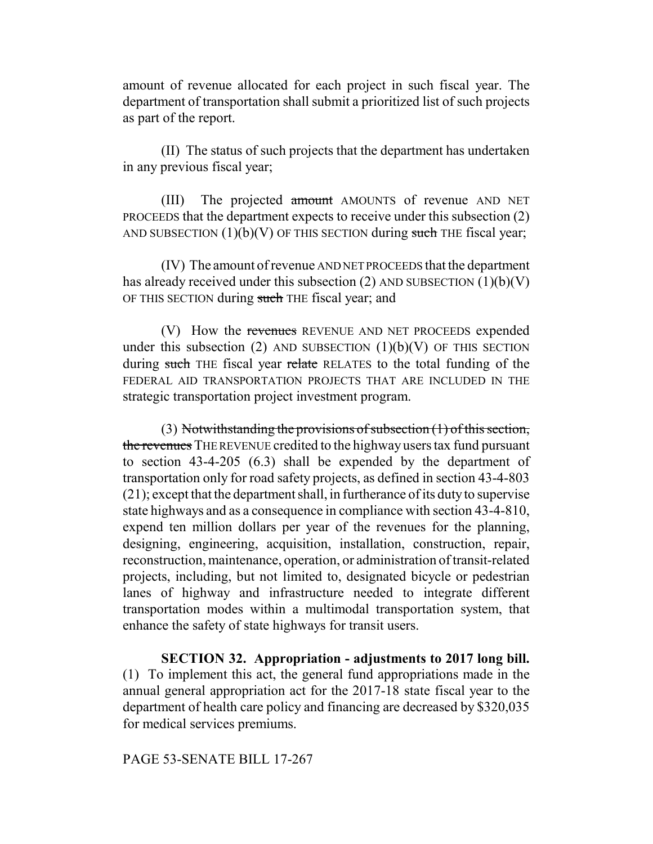amount of revenue allocated for each project in such fiscal year. The department of transportation shall submit a prioritized list of such projects as part of the report.

(II) The status of such projects that the department has undertaken in any previous fiscal year;

(III) The projected amount AMOUNTS of revenue AND NET PROCEEDS that the department expects to receive under this subsection (2) AND SUBSECTION  $(1)(b)(V)$  OF THIS SECTION during such THE fiscal year;

(IV) The amount of revenue AND NET PROCEEDS that the department has already received under this subsection (2) AND SUBSECTION  $(1)(b)(V)$ OF THIS SECTION during such THE fiscal year; and

(V) How the revenues REVENUE AND NET PROCEEDS expended under this subsection (2) AND SUBSECTION  $(1)(b)(V)$  OF THIS SECTION during such THE fiscal year relate RELATES to the total funding of the FEDERAL AID TRANSPORTATION PROJECTS THAT ARE INCLUDED IN THE strategic transportation project investment program.

(3) Notwithstanding the provisions of subsection (1) of this section, the revenues THE REVENUE credited to the highway users tax fund pursuant to section 43-4-205 (6.3) shall be expended by the department of transportation only for road safety projects, as defined in section 43-4-803 (21); except that the department shall, in furtherance of its duty to supervise state highways and as a consequence in compliance with section 43-4-810, expend ten million dollars per year of the revenues for the planning, designing, engineering, acquisition, installation, construction, repair, reconstruction, maintenance, operation, or administration of transit-related projects, including, but not limited to, designated bicycle or pedestrian lanes of highway and infrastructure needed to integrate different transportation modes within a multimodal transportation system, that enhance the safety of state highways for transit users.

**SECTION 32. Appropriation - adjustments to 2017 long bill.** (1) To implement this act, the general fund appropriations made in the annual general appropriation act for the 2017-18 state fiscal year to the department of health care policy and financing are decreased by \$320,035 for medical services premiums.

PAGE 53-SENATE BILL 17-267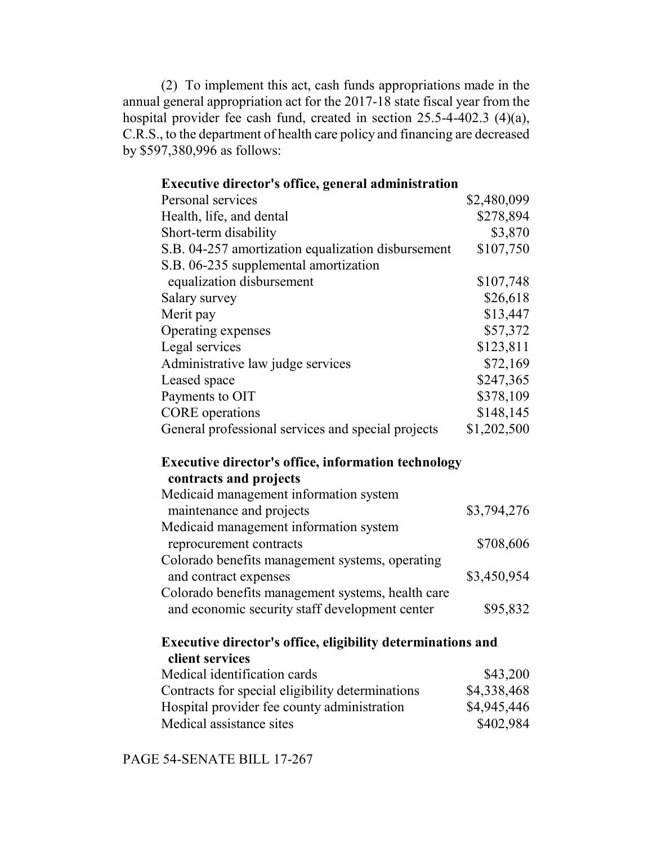(2) To implement this act, cash funds appropriations made in the annual general appropriation act for the 2017-18 state fiscal year from the hospital provider fee cash fund, created in section 25.5-4-402.3 (4)(a), C.R.S., to the department of health care policy and financing are decreased by \$597,380,996 as follows:

# **Executive director's office, general administration**

| Personal services                                  | \$2,480,099 |
|----------------------------------------------------|-------------|
| Health, life, and dental                           | \$278,894   |
| Short-term disability                              | \$3,870     |
| S.B. 04-257 amortization equalization disbursement | \$107,750   |
| S.B. 06-235 supplemental amortization              |             |
| equalization disbursement                          | \$107,748   |
| Salary survey                                      | \$26,618    |
| Merit pay                                          | \$13,447    |
| Operating expenses                                 | \$57,372    |
| Legal services                                     | \$123,811   |
| Administrative law judge services                  | \$72,169    |
| Leased space                                       | \$247,365   |
| Payments to OIT                                    | \$378,109   |
| <b>CORE</b> operations                             | \$148, 145  |
| General professional services and special projects | \$1,202,500 |

# **Executive director's office, information technology contracts and projects**

| \$3,794,276 |
|-------------|
|             |
| \$708,606   |
|             |
| \$3,450,954 |
|             |
| \$95,832    |
|             |

# **Executive director's office, eligibility determinations and client services**

| Medical identification cards                     | \$43,200    |
|--------------------------------------------------|-------------|
| Contracts for special eligibility determinations | \$4,338,468 |
| Hospital provider fee county administration      | \$4,945,446 |
| Medical assistance sites                         | \$402,984   |

PAGE 54-SENATE BILL 17-267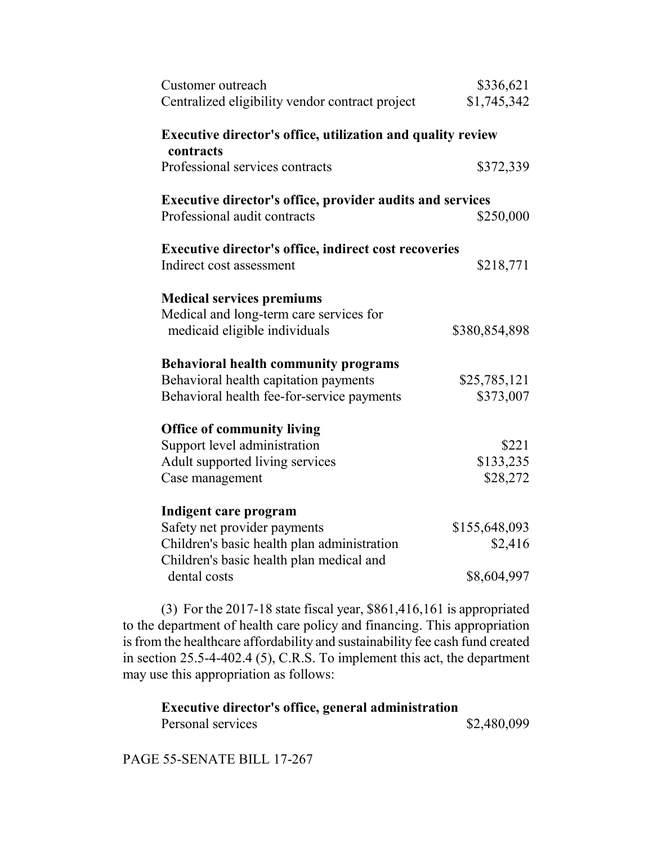| Customer outreach<br>Centralized eligibility vendor contract project                             | \$336,621<br>\$1,745,342 |
|--------------------------------------------------------------------------------------------------|--------------------------|
| <b>Executive director's office, utilization and quality review</b><br>contracts                  |                          |
| Professional services contracts                                                                  | \$372,339                |
| <b>Executive director's office, provider audits and services</b><br>Professional audit contracts | \$250,000                |
| <b>Executive director's office, indirect cost recoveries</b>                                     |                          |
| Indirect cost assessment                                                                         | \$218,771                |
| <b>Medical services premiums</b>                                                                 |                          |
| Medical and long-term care services for<br>medicaid eligible individuals                         | \$380,854,898            |
| <b>Behavioral health community programs</b>                                                      |                          |
| Behavioral health capitation payments                                                            | \$25,785,121             |
| Behavioral health fee-for-service payments                                                       | \$373,007                |
| <b>Office of community living</b>                                                                |                          |
| Support level administration                                                                     | \$221                    |
| Adult supported living services                                                                  | \$133,235                |
| Case management                                                                                  | \$28,272                 |
| Indigent care program                                                                            |                          |
| Safety net provider payments                                                                     | \$155,648,093            |
| Children's basic health plan administration<br>Children's basic health plan medical and          | \$2,416                  |
| dental costs                                                                                     | \$8,604,997              |

(3) For the 2017-18 state fiscal year, \$861,416,161 is appropriated to the department of health care policy and financing. This appropriation is from the healthcare affordability and sustainability fee cash fund created in section 25.5-4-402.4 (5), C.R.S. To implement this act, the department may use this appropriation as follows:

**Executive director's office, general administration** Personal services  $$2,480,099$ 

PAGE 55-SENATE BILL 17-267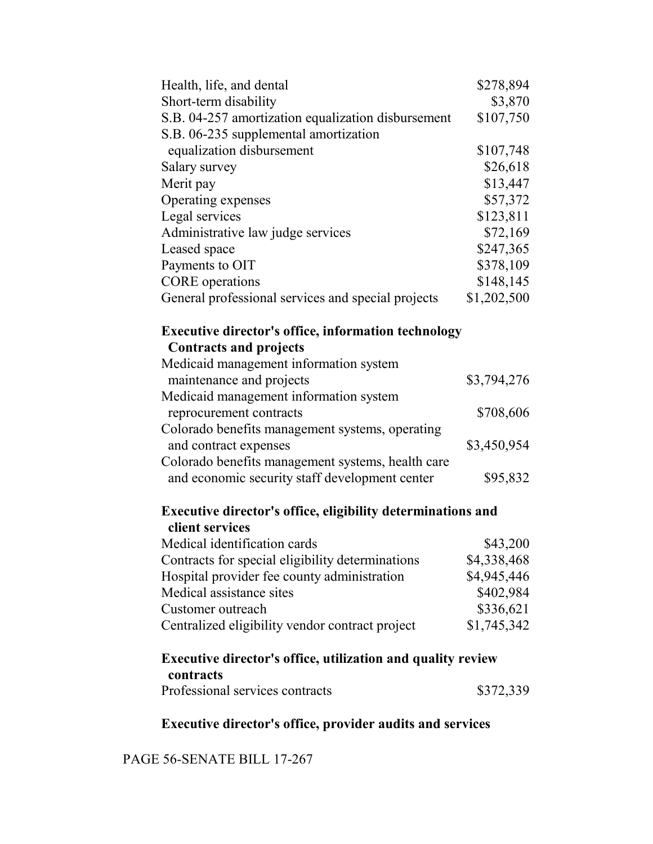| Health, life, and dental                                                                    | \$278,894   |  |
|---------------------------------------------------------------------------------------------|-------------|--|
| Short-term disability                                                                       | \$3,870     |  |
| S.B. 04-257 amortization equalization disbursement                                          | \$107,750   |  |
| S.B. 06-235 supplemental amortization                                                       |             |  |
| equalization disbursement                                                                   | \$107,748   |  |
| Salary survey                                                                               | \$26,618    |  |
| Merit pay                                                                                   | \$13,447    |  |
| Operating expenses                                                                          | \$57,372    |  |
| Legal services                                                                              | \$123,811   |  |
| Administrative law judge services                                                           | \$72,169    |  |
| Leased space                                                                                | \$247,365   |  |
| Payments to OIT                                                                             | \$378,109   |  |
| <b>CORE</b> operations                                                                      | \$148,145   |  |
| General professional services and special projects                                          | \$1,202,500 |  |
| <b>Executive director's office, information technology</b><br><b>Contracts and projects</b> |             |  |
| Medicaid management information system                                                      |             |  |
| maintenance and projects                                                                    | \$3,794,276 |  |
| Medicaid management information system                                                      |             |  |
| reprocurement contracts                                                                     | \$708,606   |  |
| Colorado benefits management systems, operating                                             |             |  |
| and contract expenses                                                                       | \$3,450,954 |  |
| Colorado benefits management systems, health care                                           |             |  |
| and economic security staff development center                                              | \$95,832    |  |
| <b>Executive director's office, eligibility determinations and</b>                          |             |  |
| client services                                                                             |             |  |
| Medical identification cards                                                                | \$43,200    |  |
| Contracts for special eligibility determinations                                            | \$4,338,468 |  |
| Hospital provider fee county administration                                                 | \$4,945,446 |  |
| Medical assistance sites                                                                    | \$402,984   |  |
| Customer outreach                                                                           | \$336,621   |  |
| Centralized eligibility vendor contract project                                             | \$1,745,342 |  |
| <b>Executive director's office, utilization and quality review</b>                          |             |  |
| contracts<br>Professional services contracts                                                | \$372,339   |  |
|                                                                                             |             |  |

**Executive director's office, provider audits and services**

PAGE 56-SENATE BILL 17-267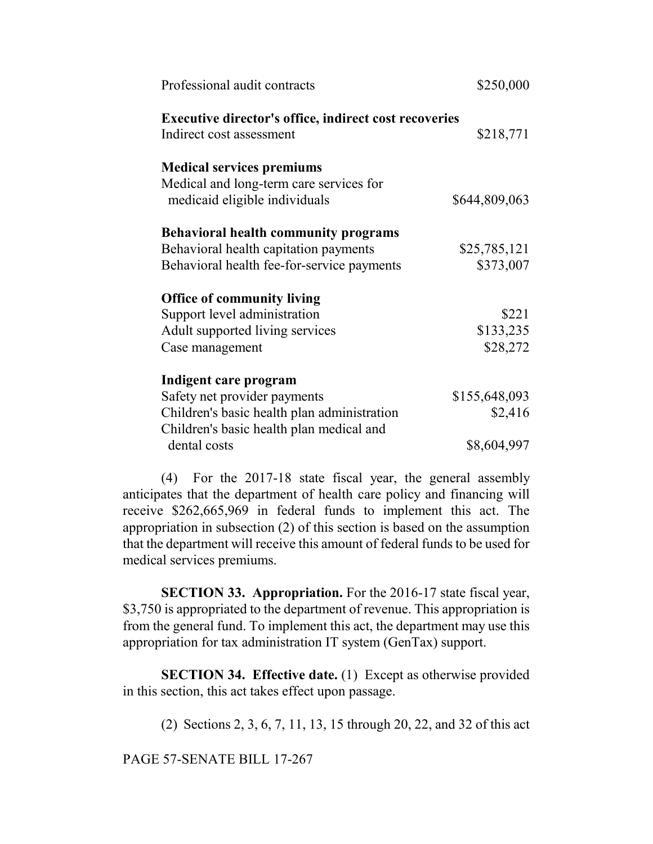| Professional audit contracts                                                             | \$250,000     |
|------------------------------------------------------------------------------------------|---------------|
| <b>Executive director's office, indirect cost recoveries</b><br>Indirect cost assessment | \$218,771     |
| <b>Medical services premiums</b>                                                         |               |
| Medical and long-term care services for                                                  |               |
| medicaid eligible individuals                                                            | \$644,809,063 |
| <b>Behavioral health community programs</b>                                              |               |
| Behavioral health capitation payments                                                    | \$25,785,121  |
| Behavioral health fee-for-service payments                                               | \$373,007     |
| <b>Office of community living</b>                                                        |               |
| Support level administration                                                             | \$221         |
| Adult supported living services                                                          | \$133,235     |
| Case management                                                                          | \$28,272      |
| Indigent care program                                                                    |               |
| Safety net provider payments                                                             | \$155,648,093 |
| Children's basic health plan administration                                              | \$2,416       |
| Children's basic health plan medical and                                                 |               |
| dental costs                                                                             | \$8,604,997   |
|                                                                                          |               |

(4) For the 2017-18 state fiscal year, the general assembly anticipates that the department of health care policy and financing will receive \$262,665,969 in federal funds to implement this act. The appropriation in subsection (2) of this section is based on the assumption that the department will receive this amount of federal funds to be used for medical services premiums.

**SECTION 33. Appropriation.** For the 2016-17 state fiscal year, \$3,750 is appropriated to the department of revenue. This appropriation is from the general fund. To implement this act, the department may use this appropriation for tax administration IT system (GenTax) support.

**SECTION 34. Effective date.** (1) Except as otherwise provided in this section, this act takes effect upon passage.

(2) Sections 2, 3, 6, 7, 11, 13, 15 through 20, 22, and 32 of this act

PAGE 57-SENATE BILL 17-267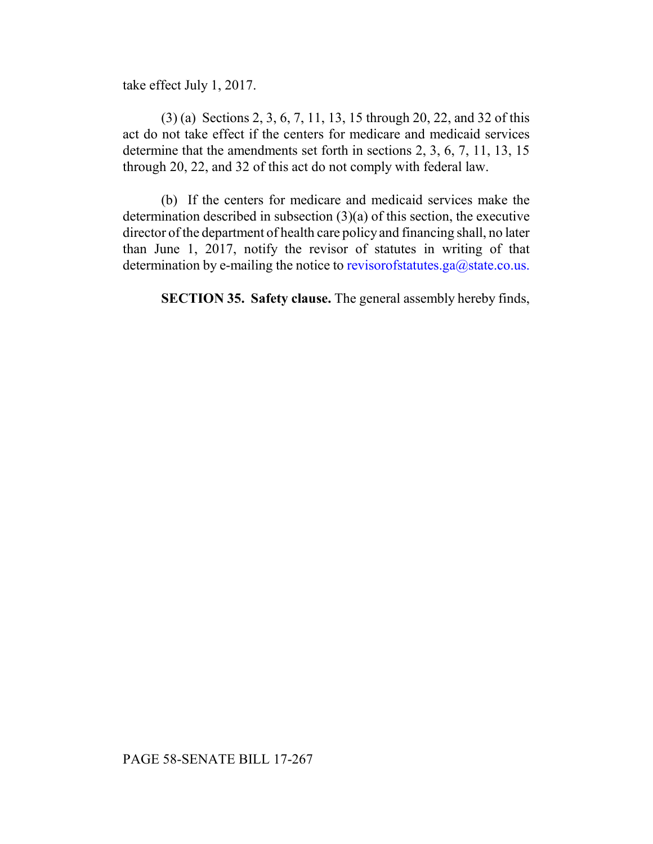take effect July 1, 2017.

(3) (a) Sections 2, 3, 6, 7, 11, 13, 15 through 20, 22, and 32 of this act do not take effect if the centers for medicare and medicaid services determine that the amendments set forth in sections 2, 3, 6, 7, 11, 13, 15 through 20, 22, and 32 of this act do not comply with federal law.

(b) If the centers for medicare and medicaid services make the determination described in subsection (3)(a) of this section, the executive director of the department of health care policy and financing shall, no later than June 1, 2017, notify the revisor of statutes in writing of that determination by e-mailing the notice to revisorofstatutes.ga@state.co.us.

**SECTION 35. Safety clause.** The general assembly hereby finds,